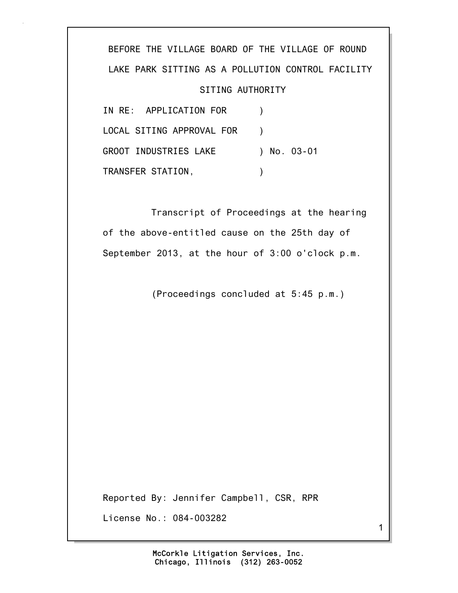BEFORE THE VILLAGE BOARD OF THE VILLAGE OF ROUND LAKE PARK SITTING AS A POLLUTION CONTROL FACILITY SITING AUTHORITY IN RE: APPLICATION FOR ) LOCAL SITING APPROVAL FOR ) GROOT INDUSTRIES LAKE ) No. 03-01 TRANSFER STATION,

 Transcript of Proceedings at the hearing of the above-entitled cause on the 25th day of September 2013, at the hour of 3:00 o'clock p.m.

(Proceedings concluded at 5:45 p.m.)

Reported By: Jennifer Campbell, CSR, RPR License No.: 084-003282

1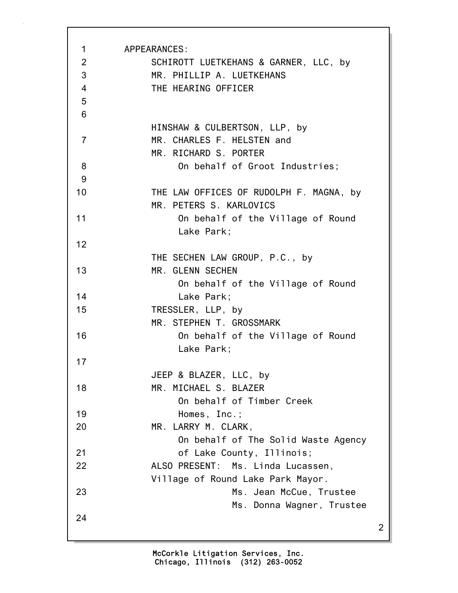| 1<br>$\overline{2}$<br>3<br>$\overline{4}$<br>5 | APPEARANCES:<br>SCHIROTT LUETKEHANS & GARNER, LLC, by<br>MR. PHILLIP A. LUETKEHANS<br>THE HEARING OFFICER |
|-------------------------------------------------|-----------------------------------------------------------------------------------------------------------|
| 6                                               |                                                                                                           |
| $\overline{7}$                                  | HINSHAW & CULBERTSON, LLP, by<br>MR. CHARLES F. HELSTEN and<br>MR. RICHARD S. PORTER                      |
| 8                                               | On behalf of Groot Industries;                                                                            |
| 9                                               |                                                                                                           |
| 10                                              | THE LAW OFFICES OF RUDOLPH F. MAGNA, by<br>MR. PETERS S. KARLOVICS                                        |
| 11                                              | On behalf of the Village of Round<br>Lake Park;                                                           |
| 12                                              |                                                                                                           |
|                                                 | THE SECHEN LAW GROUP, P.C., by                                                                            |
| 13                                              | MR. GLENN SECHEN<br>On behalf of the Village of Round                                                     |
| 14                                              | Lake Park;                                                                                                |
| 15                                              | TRESSLER, LLP, by<br>MR. STEPHEN T. GROSSMARK                                                             |
| 16                                              | On behalf of the Village of Round<br>Lake Park;                                                           |
| 17                                              |                                                                                                           |
|                                                 | JEEP & BLAZER, LLC, by                                                                                    |
| 18                                              | MR. MICHAEL S. BLAZER<br>On behalf of Timber Creek                                                        |
| 19                                              | Homes, Inc.;                                                                                              |
| 20                                              | MR. LARRY M. CLARK,                                                                                       |
|                                                 | On behalf of The Solid Waste Agency                                                                       |
| 21                                              | of Lake County, Illinois;                                                                                 |
| 22                                              | ALSO PRESENT: Ms. Linda Lucassen,<br>Village of Round Lake Park Mayor.                                    |
| 23                                              | Ms. Jean McCue, Trustee<br>Ms. Donna Wagner, Trustee                                                      |
| 24                                              | 2                                                                                                         |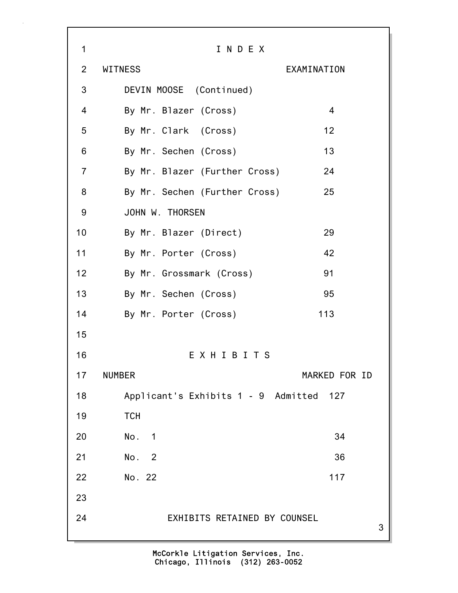3 1 I N D E X 2 WITNESS EXAMINATION 3 DEVIN MOOSE (Continued) 4 By Mr. Blazer (Cross) 4 5 By Mr. Clark (Cross) 12 6 By Mr. Sechen (Cross) 13 7 By Mr. Blazer (Further Cross) 24 8 By Mr. Sechen (Further Cross) 25 9 JOHN W. THORSEN 10 By Mr. Blazer (Direct) 29 11 By Mr. Porter (Cross) 42 12 By Mr. Grossmark (Cross) 91 13 By Mr. Sechen (Cross) 95 14 By Mr. Porter (Cross) 113 15 16 E X H I B I T S 17 NUMBER MARKED FOR ID 18 Applicant's Exhibits 1 - 9 Admitted 127 19 TCH 20 No. 1 34 21 No. 2 36 22 No. 22 117 23 24 EXHIBITS RETAINED BY COUNSEL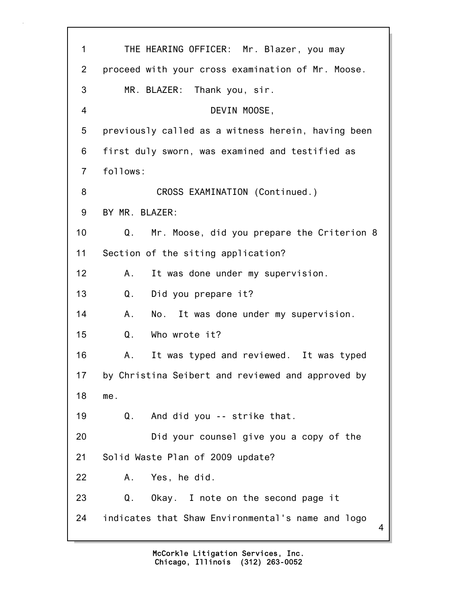| 1              | THE HEARING OFFICER: Mr. Blazer, you may               |
|----------------|--------------------------------------------------------|
| $\overline{2}$ | proceed with your cross examination of Mr. Moose.      |
| 3              | MR. BLAZER: Thank you, sir.                            |
| 4              | DEVIN MOOSE,                                           |
| 5              | previously called as a witness herein, having been     |
| 6              | first duly sworn, was examined and testified as        |
| $\overline{7}$ | follows:                                               |
| 8              | CROSS EXAMINATION (Continued.)                         |
| 9              | BY MR. BLAZER:                                         |
| 10             | Mr. Moose, did you prepare the Criterion 8<br>Q.       |
| 11             | Section of the siting application?                     |
| 12             | It was done under my supervision.<br>A.,               |
| 13             | Q.<br>Did you prepare it?                              |
| 14             | No. It was done under my supervision.<br>A.            |
| 15             | Q.<br>Who wrote it?                                    |
| 16             | It was typed and reviewed. It was typed<br>Α.          |
| 17             | by Christina Seibert and reviewed and approved by      |
| 18             | me.                                                    |
| 19             | And did you -- strike that.<br>Q.                      |
| 20             | Did your counsel give you a copy of the                |
| 21             | Solid Waste Plan of 2009 update?                       |
| 22             | Yes, he did.<br>А.                                     |
| 23             | Q.<br>Okay. I note on the second page it               |
| 24             | indicates that Shaw Environmental's name and logo<br>4 |
|                |                                                        |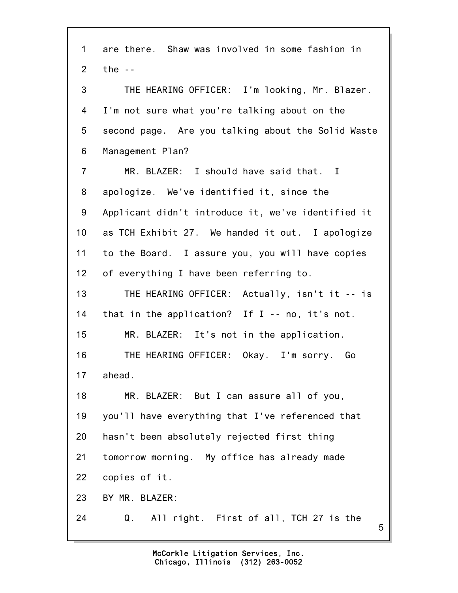5 1 are there. Shaw was involved in some fashion in 2 the -- 3 THE HEARING OFFICER: I'm looking, Mr. Blazer. 4 I'm not sure what you're talking about on the 5 second page. Are you talking about the Solid Waste 6 Management Plan? 7 MR. BLAZER: I should have said that. I 8 apologize. We've identified it, since the 9 Applicant didn't introduce it, we've identified it 10 as TCH Exhibit 27. We handed it out. I apologize 11 to the Board. I assure you, you will have copies 12 of everything I have been referring to. 13 THE HEARING OFFICER: Actually, isn't it -- is 14 that in the application? If I -- no, it's not. 15 MR. BLAZER: It's not in the application. 16 THE HEARING OFFICER: Okay. I'm sorry. Go 17 ahead. 18 MR. BLAZER: But I can assure all of you, 19 you'll have everything that I've referenced that 20 hasn't been absolutely rejected first thing 21 tomorrow morning. My office has already made 22 copies of it. 23 BY MR. BLAZER: 24 Q. All right. First of all, TCH 27 is the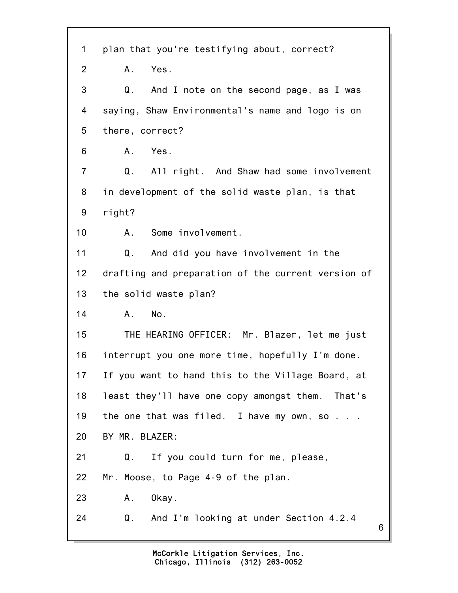| $\mathbf 1$    | plan that you're testifying about, correct?        |
|----------------|----------------------------------------------------|
| 2              | Yes.<br>A.                                         |
| 3              | Q.<br>And I note on the second page, as I was      |
| 4              | saying, Shaw Environmental's name and logo is on   |
| 5              | there, correct?                                    |
| 6              | Yes.<br>A.                                         |
| $\overline{7}$ | Q.<br>All right. And Shaw had some involvement     |
| 8              | in development of the solid waste plan, is that    |
| 9              | right?                                             |
| 10             | Some involvement.<br>A.                            |
| 11             | And did you have involvement in the<br>Q.          |
| 12             | drafting and preparation of the current version of |
| 13             | the solid waste plan?                              |
| 14             | No.<br>A.                                          |
| 15             | THE HEARING OFFICER: Mr. Blazer, let me just       |
| 16             | interrupt you one more time, hopefully I'm done.   |
| 17             | If you want to hand this to the Village Board, at  |
| 18             | least they'll have one copy amongst them. That's   |
| 19             | the one that was filed. I have my own, so $\ldots$ |
| 20             | BY MR. BLAZER:                                     |
| 21             | If you could turn for me, please,<br>Q.            |
| 22             | Mr. Moose, to Page 4-9 of the plan.                |
| 23             | Okay.<br>Α.                                        |
| 24             | And I'm looking at under Section 4.2.4<br>Q.<br>6  |
|                |                                                    |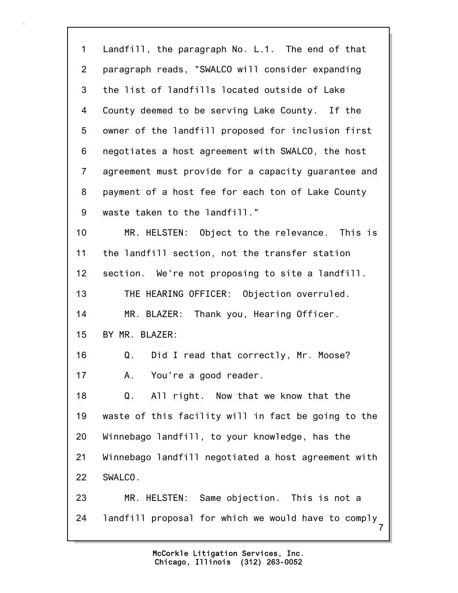| $\mathbf 1$    | Landfill, the paragraph No. L.1. The end of that     |
|----------------|------------------------------------------------------|
| $\overline{2}$ | paragraph reads, "SWALCO will consider expanding     |
| 3              | the list of landfills located outside of Lake        |
| 4              | County deemed to be serving Lake County. If the      |
| 5              | owner of the landfill proposed for inclusion first   |
| 6              | negotiates a host agreement with SWALCO, the host    |
| $\overline{7}$ | agreement must provide for a capacity guarantee and  |
| 8              | payment of a host fee for each ton of Lake County    |
| 9              | waste taken to the landfill."                        |
| 10             | MR. HELSTEN: Object to the relevance. This is        |
| 11             | the landfill section, not the transfer station       |
| 12             | section. We're not proposing to site a landfill.     |
| 13             | THE HEARING OFFICER: Objection overruled.            |
| 14             | MR. BLAZER: Thank you, Hearing Officer.              |
| 15             | BY MR. BLAZER:                                       |
| 16             | $Q_{\perp}$<br>Did I read that correctly, Mr. Moose? |
| 17             | You're a good reader.<br>А.                          |
| 18             | Q.<br>All right. Now that we know that the           |
| 19             | waste of this facility will in fact be going to the  |
| 20             | Winnebago landfill, to your knowledge, has the       |
| 21             | Winnebago landfill negotiated a host agreement with  |
| 22             | SWALCO.                                              |
| 23             | MR. HELSTEN: Same objection. This is not a           |
| 24             | landfill proposal for which we would have to comply  |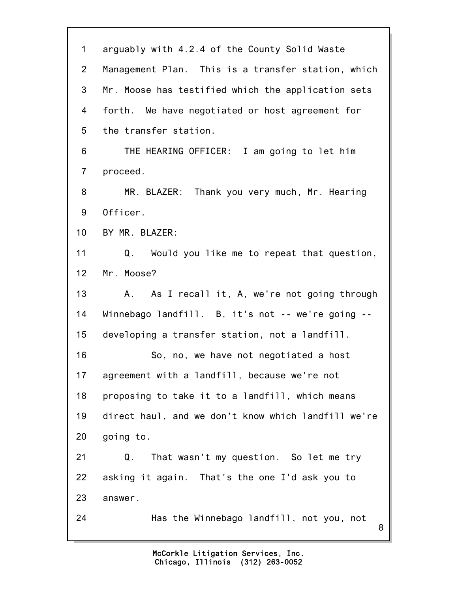| $\mathbf 1$     | arguably with 4.2.4 of the County Solid Waste       |
|-----------------|-----------------------------------------------------|
| $\overline{2}$  | Management Plan. This is a transfer station, which  |
| 3               | Mr. Moose has testified which the application sets  |
| 4               | forth. We have negotiated or host agreement for     |
| 5               | the transfer station.                               |
| 6               | THE HEARING OFFICER: I am going to let him          |
| $\overline{7}$  | proceed.                                            |
| 8               | MR. BLAZER: Thank you very much, Mr. Hearing        |
| 9               | Officer.                                            |
| 10 <sub>1</sub> | BY MR. BLAZER:                                      |
| 11              | Q.<br>Would you like me to repeat that question,    |
| 12              | Mr. Moose?                                          |
| 13              | As I recall it, A, we're not going through<br>A.,   |
| 14              | Winnebago landfill. B, it's not -- we're going --   |
| 15              | developing a transfer station, not a landfill.      |
| 16              | So, no, we have not negotiated a host               |
| 17              | agreement with a landfill, because we're not        |
| 18              | proposing to take it to a landfill, which means     |
| 19              | direct haul, and we don't know which landfill we're |
| 20              | going to.                                           |
| 21              | That wasn't my question. So let me try<br>Q.        |
| 22              | asking it again. That's the one I'd ask you to      |
| 23              | answer.                                             |
| 24              | Has the Winnebago landfill, not you, not<br>8       |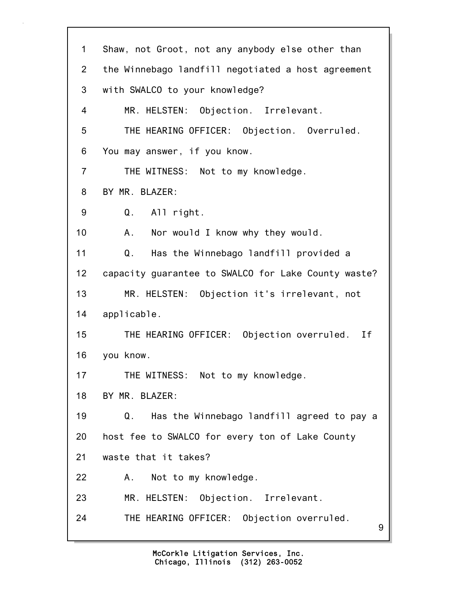9 1 Shaw, not Groot, not any anybody else other than 2 the Winnebago landfill negotiated a host agreement 3 with SWALCO to your knowledge? 4 MR. HELSTEN: Objection. Irrelevant. 5 THE HEARING OFFICER: Objection. Overruled. 6 You may answer, if you know. 7 THE WITNESS: Not to my knowledge. 8 BY MR. BLAZER: 9 Q. All right. 10 A. Nor would I know why they would. 11 Q. Has the Winnebago landfill provided a 12 capacity guarantee to SWALCO for Lake County waste? 13 MR. HELSTEN: Objection it's irrelevant, not 14 applicable. 15 THE HEARING OFFICER: Objection overruled. If 16 you know. 17 THE WITNESS: Not to my knowledge. 18 BY MR. BLAZER: 19 Q. Has the Winnebago landfill agreed to pay a 20 host fee to SWALCO for every ton of Lake County 21 waste that it takes? 22 A. Not to my knowledge. 23 MR. HELSTEN: Objection. Irrelevant. 24 THE HEARING OFFICER: Objection overruled.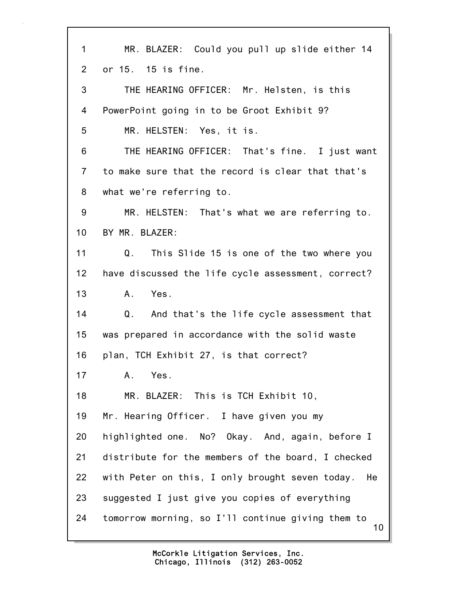10 1 MR. BLAZER: Could you pull up slide either 14 2 or 15. 15 is fine. 3 THE HEARING OFFICER: Mr. Helsten, is this 4 PowerPoint going in to be Groot Exhibit 9? 5 MR. HELSTEN: Yes, it is. 6 THE HEARING OFFICER: That's fine. I just want 7 to make sure that the record is clear that that's 8 what we're referring to. 9 MR. HELSTEN: That's what we are referring to. 10 BY MR. BLAZER: 11 Q. This Slide 15 is one of the two where you 12 have discussed the life cycle assessment, correct? 13 A. Yes. 14 Q. And that's the life cycle assessment that 15 was prepared in accordance with the solid waste 16 plan, TCH Exhibit 27, is that correct? 17 A. Yes. 18 MR. BLAZER: This is TCH Exhibit 10, 19 Mr. Hearing Officer. I have given you my 20 highlighted one. No? Okay. And, again, before I 21 distribute for the members of the board, I checked 22 with Peter on this, I only brought seven today. He 23 suggested I just give you copies of everything 24 tomorrow morning, so I'll continue giving them to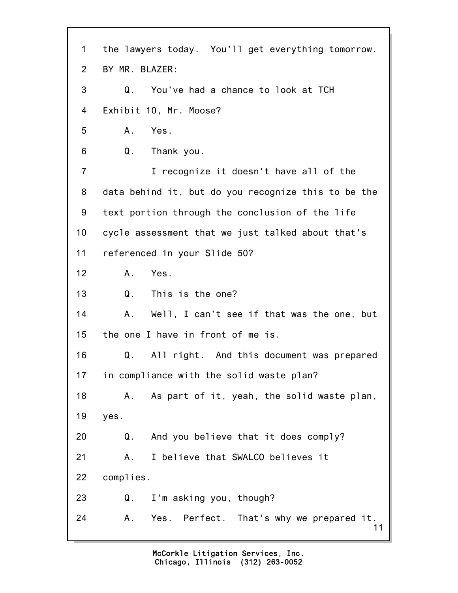11 1 the lawyers today. You'll get everything tomorrow. 2 BY MR. BLAZER: 3 Q. You've had a chance to look at TCH 4 Exhibit 10, Mr. Moose? 5 A. Yes. 6 Q. Thank you. 7 I recognize it doesn't have all of the 8 data behind it, but do you recognize this to be the 9 text portion through the conclusion of the life 10 cycle assessment that we just talked about that's 11 referenced in your Slide 50? 12 A. Yes. 13 Q. This is the one? 14 A. Well, I can't see if that was the one, but 15 the one I have in front of me is. 16 Q. All right. And this document was prepared 17 in compliance with the solid waste plan? 18 A. As part of it, yeah, the solid waste plan, 19 yes. 20 Q. And you believe that it does comply? 21 A. I believe that SWALCO believes it 22 complies. 23 Q. I'm asking you, though? 24 A. Yes. Perfect. That's why we prepared it.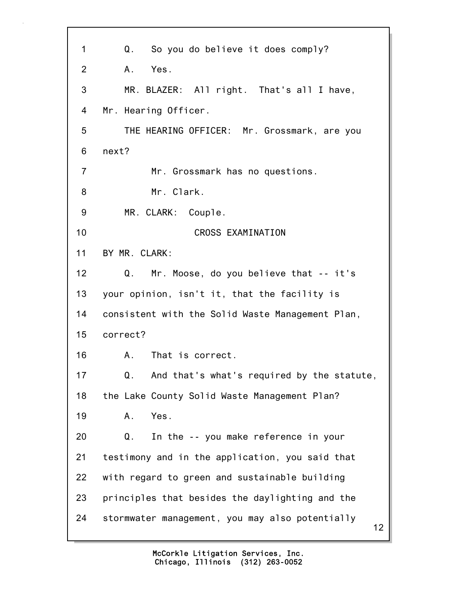12 1 Q. So you do believe it does comply? 2 A. Yes. 3 MR. BLAZER: All right. That's all I have, 4 Mr. Hearing Officer. 5 THE HEARING OFFICER: Mr. Grossmark, are you 6 next? 7 Mr. Grossmark has no questions. 8 Mr. Clark. 9 MR. CLARK: Couple. 10 CROSS EXAMINATION 11 BY MR. CLARK: 12 Q. Mr. Moose, do you believe that -- it's 13 your opinion, isn't it, that the facility is 14 consistent with the Solid Waste Management Plan, 15 correct? 16 A. That is correct. 17 Q. And that's what's required by the statute, 18 the Lake County Solid Waste Management Plan? 19 A. Yes. 20 Q. In the -- you make reference in your 21 testimony and in the application, you said that 22 with regard to green and sustainable building 23 principles that besides the daylighting and the 24 stormwater management, you may also potentially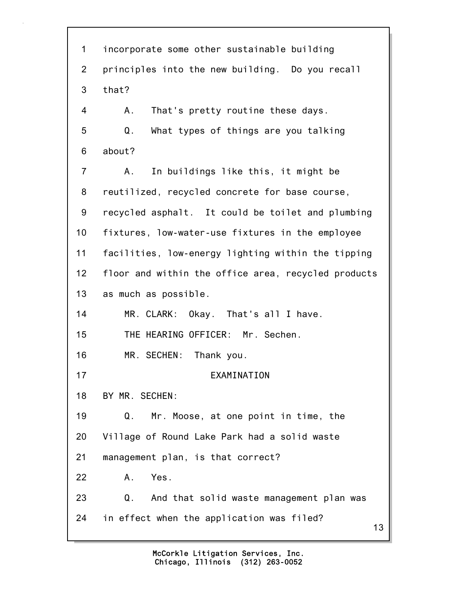13 1 incorporate some other sustainable building 2 principles into the new building. Do you recall 3 that? 4 A. That's pretty routine these days. 5 Q. What types of things are you talking 6 about? 7 A. In buildings like this, it might be 8 reutilized, recycled concrete for base course, 9 recycled asphalt. It could be toilet and plumbing 10 fixtures, low-water-use fixtures in the employee 11 facilities, low-energy lighting within the tipping 12 floor and within the office area, recycled products 13 as much as possible. 14 MR. CLARK: Okay. That's all I have. 15 THE HEARING OFFICER: Mr. Sechen. 16 MR. SECHEN: Thank you. 17 EXAMINATION 18 BY MR. SECHEN: 19 Q. Mr. Moose, at one point in time, the 20 Village of Round Lake Park had a solid waste 21 management plan, is that correct? 22 A. Yes. 23 Q. And that solid waste management plan was 24 in effect when the application was filed?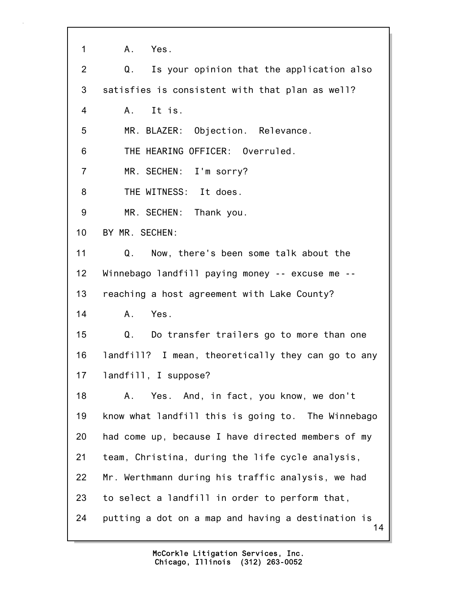1 A. Yes.

| 2                | Is your opinion that the application also<br>Q.          |
|------------------|----------------------------------------------------------|
| 3                | satisfies is consistent with that plan as well?          |
| 4                | A. It is.                                                |
| 5                | MR. BLAZER: Objection. Relevance.                        |
| 6                | THE HEARING OFFICER: Overruled.                          |
| $\overline{7}$   | MR. SECHEN: I'm sorry?                                   |
| 8                | THE WITNESS: It does.                                    |
| $\boldsymbol{9}$ | MR. SECHEN: Thank you.                                   |
| 10               | BY MR. SECHEN:                                           |
| 11               | Now, there's been some talk about the<br>Q.              |
| 12               | Winnebago landfill paying money -- excuse me --          |
| 13               | reaching a host agreement with Lake County?              |
| 14               | Yes.<br>Α.                                               |
| 15               | Q.<br>Do transfer trailers go to more than one           |
| 16               | landfill? I mean, theoretically they can go to any       |
| 17               | landfill, I suppose?                                     |
| 18               | Yes. And, in fact, you know, we don't<br>A.              |
| 19               | know what landfill this is going to. The Winnebago       |
| 20               | had come up, because I have directed members of my       |
| 21               | team, Christina, during the life cycle analysis,         |
| 22               | Mr. Werthmann during his traffic analysis, we had        |
| 23               | to select a landfill in order to perform that,           |
| 24               | putting a dot on a map and having a destination is<br>14 |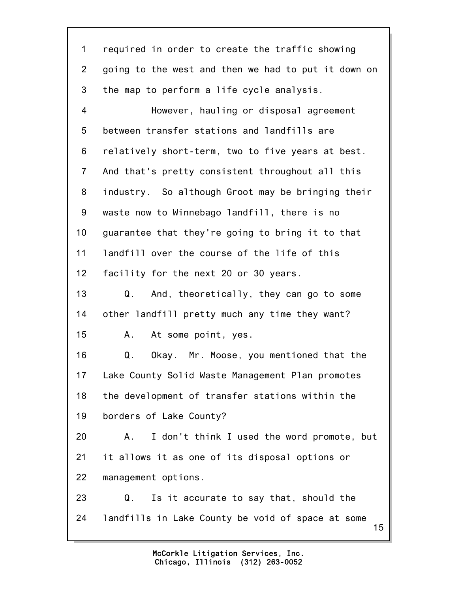| $\mathbf 1$    | required in order to create the traffic showing         |
|----------------|---------------------------------------------------------|
| $\overline{2}$ | going to the west and then we had to put it down on     |
| 3              | the map to perform a life cycle analysis.               |
| 4              | However, hauling or disposal agreement                  |
| 5              | between transfer stations and landfills are             |
| 6              | relatively short-term, two to five years at best.       |
| $\overline{7}$ | And that's pretty consistent throughout all this        |
| 8              | industry. So although Groot may be bringing their       |
| 9              | waste now to Winnebago landfill, there is no            |
| 10             | guarantee that they're going to bring it to that        |
| 11             | landfill over the course of the life of this            |
| 12             | facility for the next 20 or 30 years.                   |
| 13             | And, theoretically, they can go to some<br>Q.           |
| 14             | other landfill pretty much any time they want?          |
| 15             | At some point, yes.<br>А.                               |
| 16             | Q.<br>Okay. Mr. Moose, you mentioned that the           |
| 17             | Lake County Solid Waste Management Plan promotes        |
| 18             | the development of transfer stations within the         |
| 19             | borders of Lake County?                                 |
| 20             | I don't think I used the word promote, but<br>Α.        |
| 21             | it allows it as one of its disposal options or          |
| 22             | management options.                                     |
| 23             | Is it accurate to say that, should the<br>Q.            |
| 24             | landfills in Lake County be void of space at some<br>15 |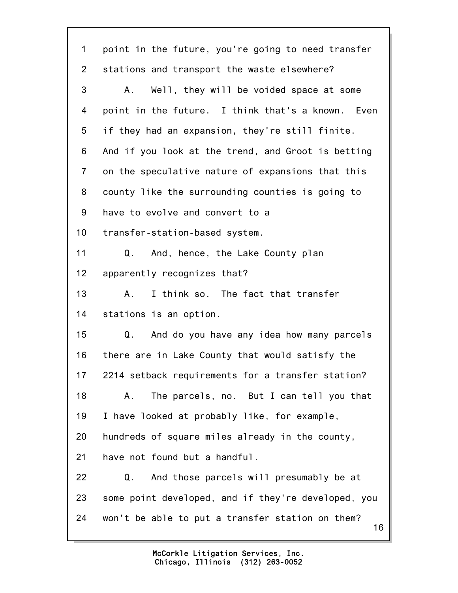| 1              | point in the future, you're going to need transfer     |
|----------------|--------------------------------------------------------|
| $\overline{2}$ | stations and transport the waste elsewhere?            |
| 3              | Well, they will be voided space at some<br>A.,         |
| 4              | point in the future. I think that's a known. Even      |
| 5              | if they had an expansion, they're still finite.        |
| 6              | And if you look at the trend, and Groot is betting     |
| $\overline{7}$ | on the speculative nature of expansions that this      |
| 8              | county like the surrounding counties is going to       |
| 9              | have to evolve and convert to a                        |
| 10             | transfer-station-based system.                         |
| 11             | And, hence, the Lake County plan<br>Q.                 |
| 12             | apparently recognizes that?                            |
| 13             | I think so. The fact that transfer<br>А.               |
| 14             | stations is an option.                                 |
| 15             | And do you have any idea how many parcels<br>Q.        |
| 16             | there are in Lake County that would satisfy the        |
| 17             | 2214 setback requirements for a transfer station?      |
| 18             | The parcels, no. But I can tell you that<br>Α.         |
| 19             | I have looked at probably like, for example,           |
| 20             | hundreds of square miles already in the county,        |
| 21             | have not found but a handful.                          |
| 22             | And those parcels will presumably be at<br>Q.          |
| 23             | some point developed, and if they're developed, you    |
| 24             | won't be able to put a transfer station on them?<br>16 |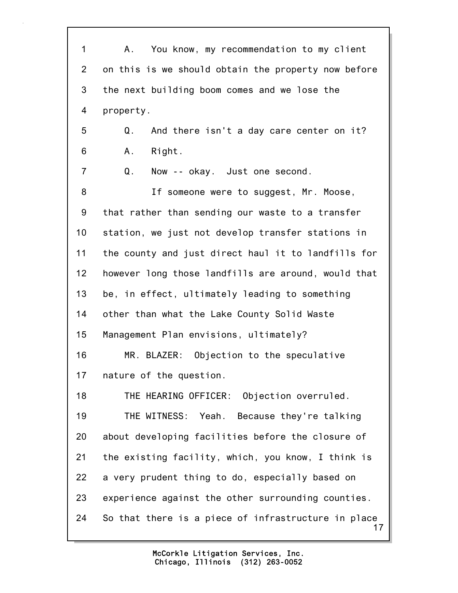17 1 A. You know, my recommendation to my client 2 on this is we should obtain the property now before 3 the next building boom comes and we lose the 4 property. 5 Q. And there isn't a day care center on it? 6 A. Right. 7 Q. Now -- okay. Just one second. 8 If someone were to suggest, Mr. Moose, 9 that rather than sending our waste to a transfer 10 station, we just not develop transfer stations in 11 the county and just direct haul it to landfills for 12 however long those landfills are around, would that 13 be, in effect, ultimately leading to something 14 other than what the Lake County Solid Waste 15 Management Plan envisions, ultimately? 16 MR. BLAZER: Objection to the speculative 17 nature of the question. 18 THE HEARING OFFICER: Objection overruled. 19 THE WITNESS: Yeah. Because they're talking 20 about developing facilities before the closure of 21 the existing facility, which, you know, I think is 22 a very prudent thing to do, especially based on 23 experience against the other surrounding counties. 24 So that there is a piece of infrastructure in place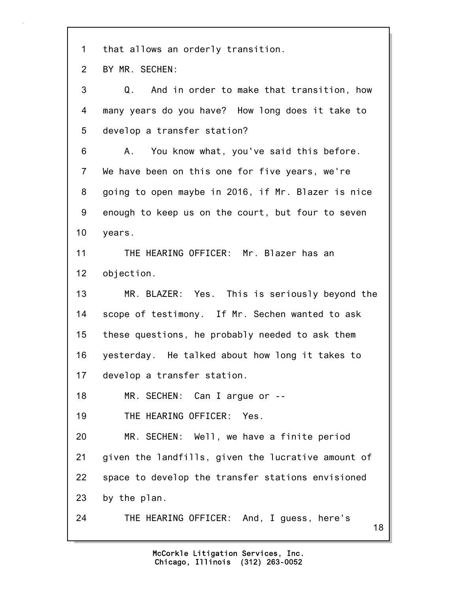1 that allows an orderly transition.

2 BY MR. SECHEN:

3 Q. And in order to make that transition, how 4 many years do you have? How long does it take to 5 develop a transfer station? 6 A. You know what, you've said this before. 7 We have been on this one for five years, we're 8 going to open maybe in 2016, if Mr. Blazer is nice 9 enough to keep us on the court, but four to seven 10 years. 11 THE HEARING OFFICER: Mr. Blazer has an 12 objection. 13 MR. BLAZER: Yes. This is seriously beyond the 14 scope of testimony. If Mr. Sechen wanted to ask 15 these questions, he probably needed to ask them 16 yesterday. He talked about how long it takes to 17 develop a transfer station. 18 MR. SECHEN: Can I argue or -- 19 THE HEARING OFFICER: Yes. 20 MR. SECHEN: Well, we have a finite period 21 given the landfills, given the lucrative amount of 22 space to develop the transfer stations envisioned 23 by the plan.

24 THE HEARING OFFICER: And, I guess, here's

18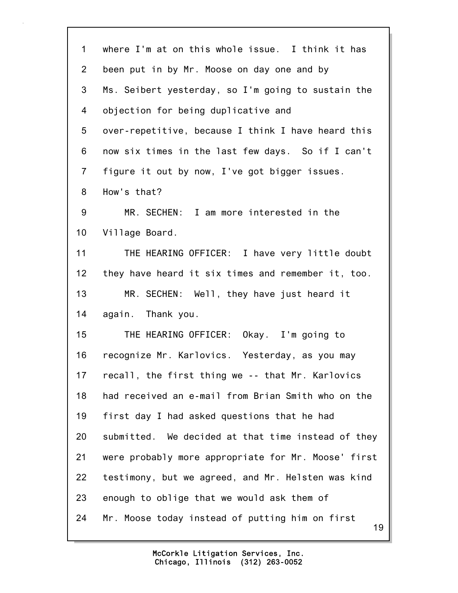| $\mathbf{1}$   | where I'm at on this whole issue. I think it has      |
|----------------|-------------------------------------------------------|
| $\overline{2}$ | been put in by Mr. Moose on day one and by            |
| 3              | Ms. Seibert yesterday, so I'm going to sustain the    |
| 4              | objection for being duplicative and                   |
| 5              | over-repetitive, because I think I have heard this    |
| 6              | now six times in the last few days. So if I can't     |
| $\overline{7}$ | figure it out by now, I've got bigger issues.         |
| 8              | How's that?                                           |
| 9              | MR. SECHEN: I am more interested in the               |
| 10             | Village Board.                                        |
| 11             | THE HEARING OFFICER: I have very little doubt         |
| 12             | they have heard it six times and remember it, too.    |
| 13             | MR. SECHEN: Well, they have just heard it             |
| 14             | again. Thank you.                                     |
| 15             | THE HEARING OFFICER: Okay. I'm going to               |
| 16             | recognize Mr. Karlovics. Yesterday, as you may        |
| 17             | recall, the first thing we -- that Mr. Karlovics      |
| 18             | had received an e-mail from Brian Smith who on the    |
| 19             | first day I had asked questions that he had           |
| 20             | submitted. We decided at that time instead of they    |
| 21             | were probably more appropriate for Mr. Moose' first   |
| 22             | testimony, but we agreed, and Mr. Helsten was kind    |
| 23             | enough to oblige that we would ask them of            |
| 24             | Mr. Moose today instead of putting him on first<br>19 |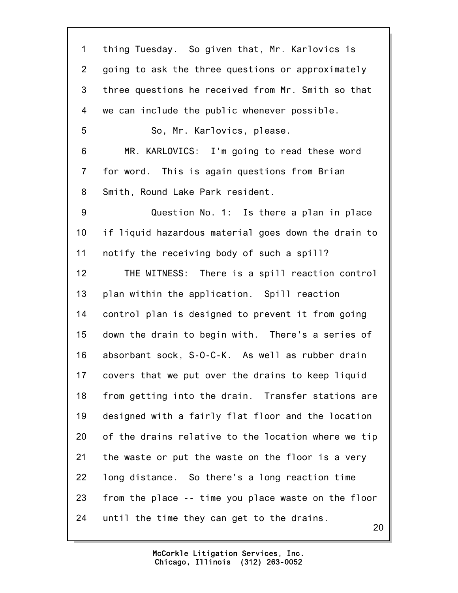20 1 thing Tuesday. So given that, Mr. Karlovics is 2 going to ask the three questions or approximately 3 three questions he received from Mr. Smith so that 4 we can include the public whenever possible. 5 So, Mr. Karlovics, please. 6 MR. KARLOVICS: I'm going to read these word 7 for word. This is again questions from Brian 8 Smith, Round Lake Park resident. 9 Question No. 1: Is there a plan in place 10 if liquid hazardous material goes down the drain to 11 notify the receiving body of such a spill? 12 THE WITNESS: There is a spill reaction control 13 plan within the application. Spill reaction 14 control plan is designed to prevent it from going 15 down the drain to begin with. There's a series of 16 absorbant sock, S-O-C-K. As well as rubber drain 17 covers that we put over the drains to keep liquid 18 from getting into the drain. Transfer stations are 19 designed with a fairly flat floor and the location 20 of the drains relative to the location where we tip 21 the waste or put the waste on the floor is a very 22 long distance. So there's a long reaction time 23 from the place -- time you place waste on the floor 24 until the time they can get to the drains.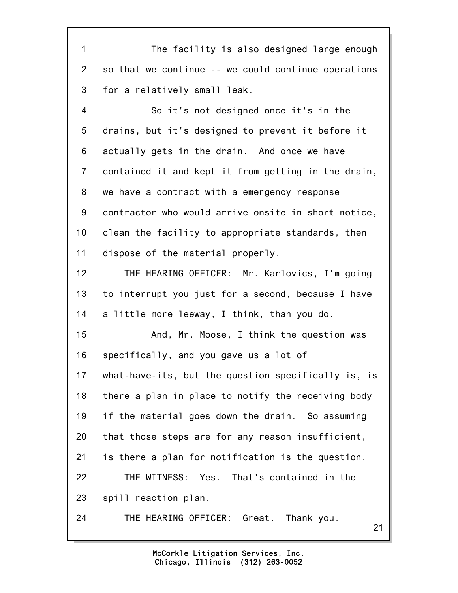1 The facility is also designed large enough 2 so that we continue -- we could continue operations 3 for a relatively small leak.

4 So it's not designed once it's in the 5 drains, but it's designed to prevent it before it 6 actually gets in the drain. And once we have 7 contained it and kept it from getting in the drain, 8 we have a contract with a emergency response 9 contractor who would arrive onsite in short notice, 10 clean the facility to appropriate standards, then 11 dispose of the material properly.

12 THE HEARING OFFICER: Mr. Karlovics, I'm going 13 to interrupt you just for a second, because I have 14 a little more leeway, I think, than you do.

15 And, Mr. Moose, I think the question was 16 specifically, and you gave us a lot of 17 what-have-its, but the question specifically is, is 18 there a plan in place to notify the receiving body 19 if the material goes down the drain. So assuming 20 that those steps are for any reason insufficient, 21 is there a plan for notification is the question. 22 THE WITNESS: Yes. That's contained in the 23 spill reaction plan.

24 THE HEARING OFFICER: Great. Thank you.

21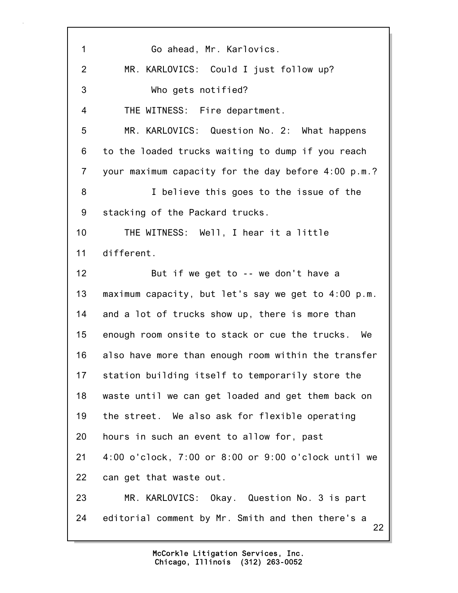22 1 Go ahead, Mr. Karlovics. 2 MR. KARLOVICS: Could I just follow up? 3 Who gets notified? 4 THE WITNESS: Fire department. 5 MR. KARLOVICS: Question No. 2: What happens 6 to the loaded trucks waiting to dump if you reach 7 your maximum capacity for the day before 4:00 p.m.? 8 I believe this goes to the issue of the 9 stacking of the Packard trucks. 10 THE WITNESS: Well, I hear it a little 11 different. 12 But if we get to -- we don't have a 13 maximum capacity, but let's say we get to 4:00 p.m. 14 and a lot of trucks show up, there is more than 15 enough room onsite to stack or cue the trucks. We 16 also have more than enough room within the transfer 17 station building itself to temporarily store the 18 waste until we can get loaded and get them back on 19 the street. We also ask for flexible operating 20 hours in such an event to allow for, past 21 4:00 o'clock, 7:00 or 8:00 or 9:00 o'clock until we 22 can get that waste out. 23 MR. KARLOVICS: Okay. Question No. 3 is part 24 editorial comment by Mr. Smith and then there's a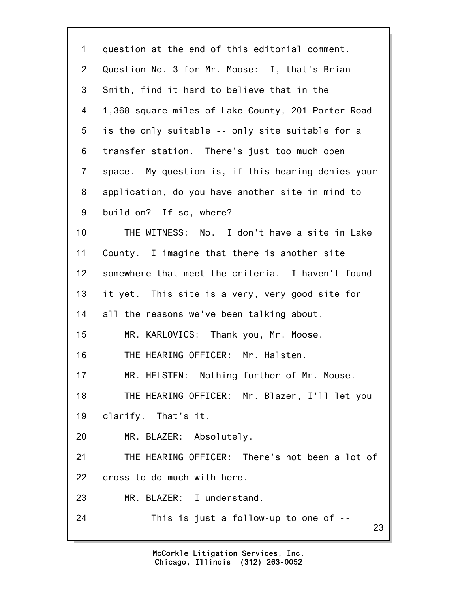| $\mathbf 1$    | question at the end of this editorial comment.     |
|----------------|----------------------------------------------------|
| $\overline{2}$ | Question No. 3 for Mr. Moose: I, that's Brian      |
| 3              | Smith, find it hard to believe that in the         |
| 4              | 1,368 square miles of Lake County, 201 Porter Road |
| 5              | is the only suitable -- only site suitable for a   |
| 6              | transfer station. There's just too much open       |
| $\overline{7}$ | space. My question is, if this hearing denies your |
| 8              | application, do you have another site in mind to   |
| 9              | build on? If so, where?                            |
| 10             | THE WITNESS: No. I don't have a site in Lake       |
| 11             | County. I imagine that there is another site       |
| 12             | somewhere that meet the criteria. I haven't found  |
| 13             | it yet. This site is a very, very good site for    |
| 14             | all the reasons we've been talking about.          |
| 15             | MR. KARLOVICS: Thank you, Mr. Moose.               |
| 16             | THE HEARING OFFICER: Mr. Halsten.                  |
| 17             | MR. HELSTEN: Nothing further of Mr. Moose.         |
| 18             | THE HEARING OFFICER: Mr. Blazer, I'll let you      |
| 19             | clarify. That's it.                                |
| 20             | MR. BLAZER: Absolutely.                            |
| 21             | THE HEARING OFFICER: There's not been a lot of     |
| 22             | cross to do much with here.                        |
| 23             | MR. BLAZER: I understand.                          |
| 24             | This is just a follow-up to one of --<br>23        |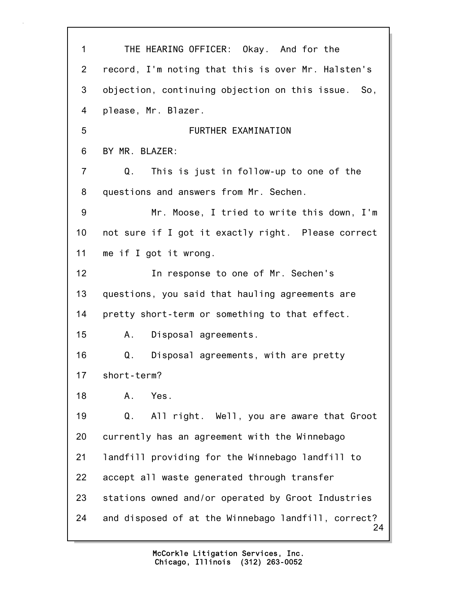| 1              | THE HEARING OFFICER: Okay. And for the                    |
|----------------|-----------------------------------------------------------|
| $\overline{2}$ | record, I'm noting that this is over Mr. Halsten's        |
| 3              | objection, continuing objection on this issue.<br>So,     |
| 4              | please, Mr. Blazer.                                       |
| 5              | FURTHER EXAMINATION                                       |
| 6              | BY MR. BLAZER:                                            |
| $\overline{7}$ | Q.<br>This is just in follow-up to one of the             |
| 8              | questions and answers from Mr. Sechen.                    |
| 9              | Mr. Moose, I tried to write this down, I'm                |
| 10             | not sure if I got it exactly right. Please correct        |
| 11             | me if I got it wrong.                                     |
| 12             | In response to one of Mr. Sechen's                        |
| 13             | questions, you said that hauling agreements are           |
| 14             | pretty short-term or something to that effect.            |
| 15             | Disposal agreements.<br>Α.                                |
| 16             | Q.<br>Disposal agreements, with are pretty                |
| 17             | short-term?                                               |
| 18             | Yes.<br>A.                                                |
| 19             | All right. Well, you are aware that Groot<br>Q.           |
| 20             | currently has an agreement with the Winnebago             |
| 21             | landfill providing for the Winnebago landfill to          |
| 22             | accept all waste generated through transfer               |
| 23             | stations owned and/or operated by Groot Industries        |
| 24             | and disposed of at the Winnebago landfill, correct?<br>24 |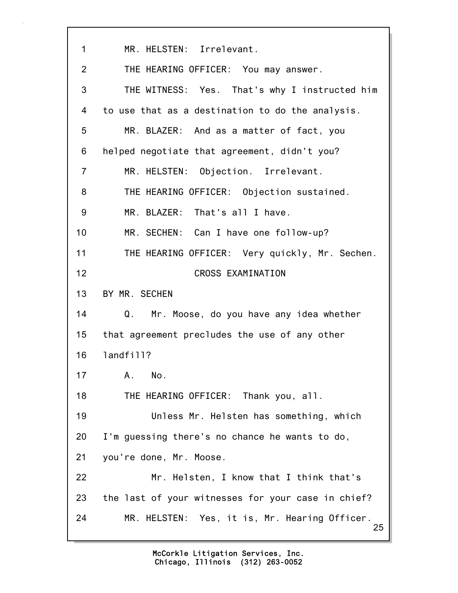25 1 MR. HELSTEN: Irrelevant. 2 THE HEARING OFFICER: You may answer. 3 THE WITNESS: Yes. That's why I instructed him 4 to use that as a destination to do the analysis. 5 MR. BLAZER: And as a matter of fact, you 6 helped negotiate that agreement, didn't you? 7 MR. HELSTEN: Objection. Irrelevant. 8 THE HEARING OFFICER: Objection sustained. 9 MR. BLAZER: That's all I have. 10 MR. SECHEN: Can I have one follow-up? 11 THE HEARING OFFICER: Very quickly, Mr. Sechen. 12 CROSS EXAMINATION 13 BY MR. SECHEN 14 Q. Mr. Moose, do you have any idea whether 15 that agreement precludes the use of any other 16 landfill? 17 A. No. 18 THE HEARING OFFICER: Thank you, all. 19 Unless Mr. Helsten has something, which 20 I'm guessing there's no chance he wants to do, 21 you're done, Mr. Moose. 22 Mr. Helsten, I know that I think that's 23 the last of your witnesses for your case in chief? 24 MR. HELSTEN: Yes, it is, Mr. Hearing Officer.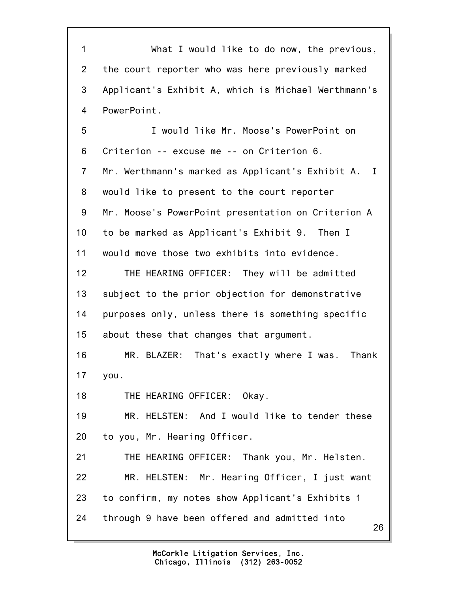26 1 What I would like to do now, the previous, 2 the court reporter who was here previously marked 3 Applicant's Exhibit A, which is Michael Werthmann's 4 PowerPoint. 5 I would like Mr. Moose's PowerPoint on 6 Criterion -- excuse me -- on Criterion 6. 7 Mr. Werthmann's marked as Applicant's Exhibit A. I 8 would like to present to the court reporter 9 Mr. Moose's PowerPoint presentation on Criterion A 10 to be marked as Applicant's Exhibit 9. Then I 11 would move those two exhibits into evidence. 12 THE HEARING OFFICER: They will be admitted 13 subject to the prior objection for demonstrative 14 purposes only, unless there is something specific 15 about these that changes that argument. 16 MR. BLAZER: That's exactly where I was. Thank 17 you. 18 THE HEARING OFFICER: Okay. 19 MR. HELSTEN: And I would like to tender these 20 to you, Mr. Hearing Officer. 21 THE HEARING OFFICER: Thank you, Mr. Helsten. 22 MR. HELSTEN: Mr. Hearing Officer, I just want 23 to confirm, my notes show Applicant's Exhibits 1 24 through 9 have been offered and admitted into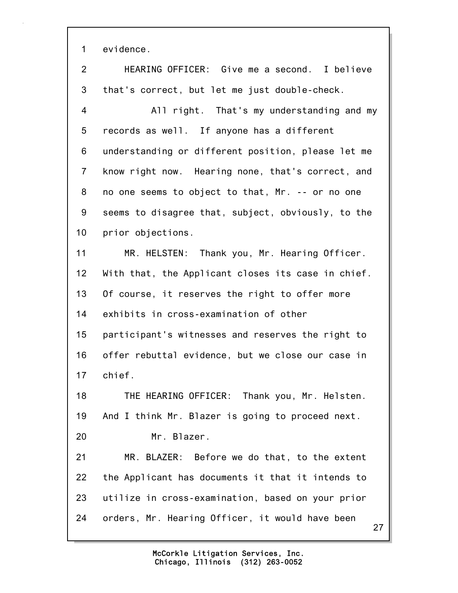1 evidence.

2 HEARING OFFICER: Give me a second. I believe 3 that's correct, but let me just double-check. 4 All right. That's my understanding and my 5 records as well. If anyone has a different 6 understanding or different position, please let me 7 know right now. Hearing none, that's correct, and 8 no one seems to object to that, Mr. -- or no one 9 seems to disagree that, subject, obviously, to the 10 prior objections. 11 MR. HELSTEN: Thank you, Mr. Hearing Officer. 12 With that, the Applicant closes its case in chief. 13 Of course, it reserves the right to offer more 14 exhibits in cross-examination of other 15 participant's witnesses and reserves the right to 16 offer rebuttal evidence, but we close our case in 17 chief. 18 THE HEARING OFFICER: Thank you, Mr. Helsten. 19 And I think Mr. Blazer is going to proceed next. 20 Mr. Blazer. 21 MR. BLAZER: Before we do that, to the extent 22 the Applicant has documents it that it intends to 23 utilize in cross-examination, based on your prior 24 orders, Mr. Hearing Officer, it would have been

27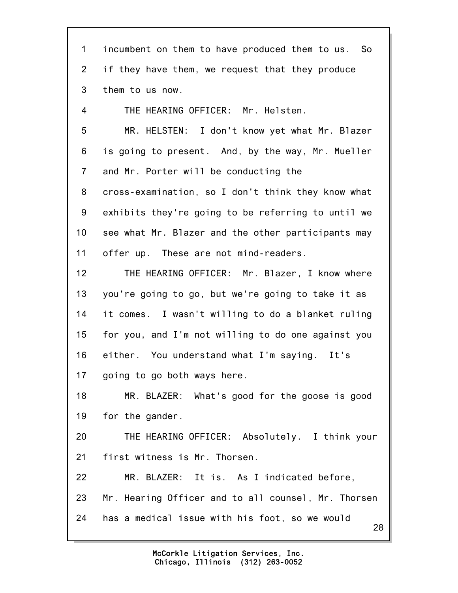| $\mathbf 1$    | incumbent on them to have produced them to us. So    |
|----------------|------------------------------------------------------|
| $\overline{2}$ | if they have them, we request that they produce      |
| 3              | them to us now.                                      |
| 4              | THE HEARING OFFICER: Mr. Helsten.                    |
| 5              | MR. HELSTEN: I don't know yet what Mr. Blazer        |
| 6              | is going to present. And, by the way, Mr. Mueller    |
| $\overline{7}$ | and Mr. Porter will be conducting the                |
| 8              | cross-examination, so I don't think they know what   |
| 9              | exhibits they're going to be referring to until we   |
| 10             | see what Mr. Blazer and the other participants may   |
| 11             | offer up. These are not mind-readers.                |
| 12             | THE HEARING OFFICER: Mr. Blazer, I know where        |
| 13             | you're going to go, but we're going to take it as    |
| 14             | it comes. I wasn't willing to do a blanket ruling    |
| 15             | for you, and I'm not willing to do one against you   |
| 16             | either. You understand what I'm saying. It's         |
| 17             | going to go both ways here.                          |
| 18             | MR. BLAZER: What's good for the goose is good        |
| 19             | for the gander.                                      |
| 20             | THE HEARING OFFICER: Absolutely. I think your        |
| 21             | first witness is Mr. Thorsen.                        |
| 22             | MR. BLAZER: It is. As I indicated before,            |
| 23             | Mr. Hearing Officer and to all counsel, Mr. Thorsen  |
| 24             | has a medical issue with his foot, so we would<br>28 |
|                |                                                      |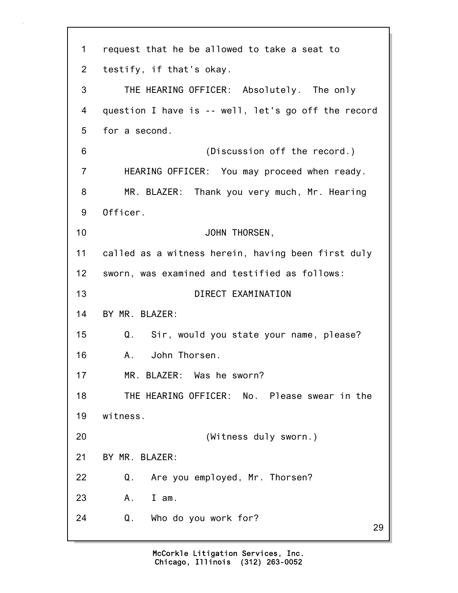29 1 request that he be allowed to take a seat to 2 testify, if that's okay. 3 THE HEARING OFFICER: Absolutely. The only 4 question I have is -- well, let's go off the record 5 for a second. 6 (Discussion off the record.) 7 HEARING OFFICER: You may proceed when ready. 8 MR. BLAZER: Thank you very much, Mr. Hearing 9 Officer. 10 JOHN THORSEN, 11 called as a witness herein, having been first duly 12 sworn, was examined and testified as follows: 13 DIRECT EXAMINATION 14 BY MR. BLAZER: 15 Q. Sir, would you state your name, please? 16 A. John Thorsen. 17 MR. BLAZER: Was he sworn? 18 THE HEARING OFFICER: No. Please swear in the 19 witness. 20 (Witness duly sworn.) 21 BY MR. BLAZER: 22 Q. Are you employed, Mr. Thorsen? 23 A. I am. 24 Q. Who do you work for?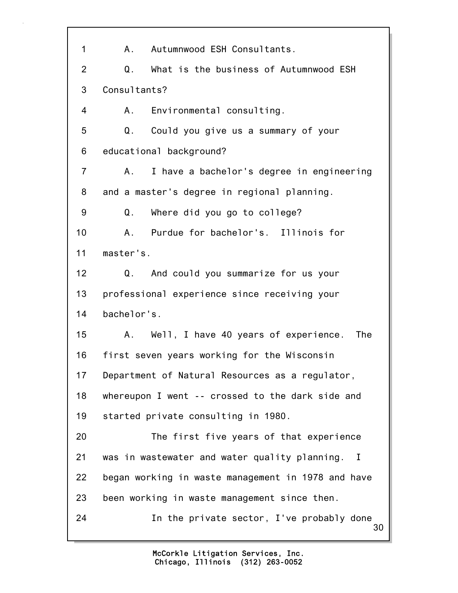30 1 A. Autumnwood ESH Consultants. 2 Q. What is the business of Autumnwood ESH 3 Consultants? 4 A. Environmental consulting. 5 Q. Could you give us a summary of your 6 educational background? 7 A. I have a bachelor's degree in engineering 8 and a master's degree in regional planning. 9 Q. Where did you go to college? 10 A. Purdue for bachelor's. Illinois for 11 master's. 12 Q. And could you summarize for us your 13 professional experience since receiving your 14 bachelor's. 15 A. Well, I have 40 years of experience. The 16 first seven years working for the Wisconsin 17 Department of Natural Resources as a regulator, 18 whereupon I went -- crossed to the dark side and 19 started private consulting in 1980. 20 The first five years of that experience 21 was in wastewater and water quality planning. I 22 began working in waste management in 1978 and have 23 been working in waste management since then. 24 In the private sector, I've probably done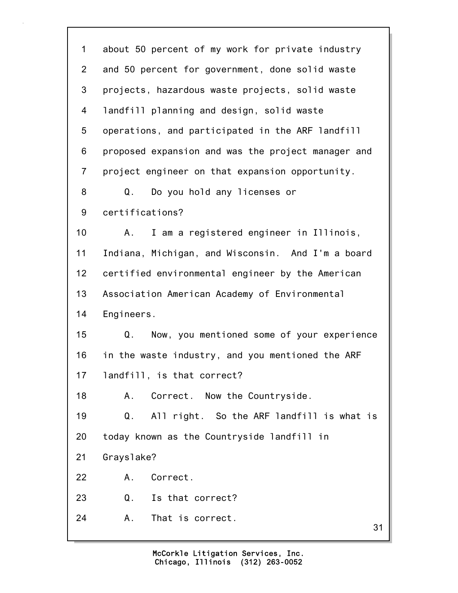| 1               | about 50 percent of my work for private industry   |
|-----------------|----------------------------------------------------|
| 2               | and 50 percent for government, done solid waste    |
| 3               | projects, hazardous waste projects, solid waste    |
| 4               | landfill planning and design, solid waste          |
| 5               | operations, and participated in the ARF landfill   |
| 6               | proposed expansion and was the project manager and |
| $\overline{7}$  | project engineer on that expansion opportunity.    |
| 8               | Do you hold any licenses or<br>Q.                  |
| 9               | certifications?                                    |
| 10 <sub>1</sub> | I am a registered engineer in Illinois,<br>Α.      |
| 11              | Indiana, Michigan, and Wisconsin. And I'm a board  |
| 12              | certified environmental engineer by the American   |
| 13              | Association American Academy of Environmental      |
| 14              | Engineers.                                         |
| 15              | Now, you mentioned some of your experience<br>Q.   |
| 16              | in the waste industry, and you mentioned the ARF   |
| 17              | landfill, is that correct?                         |
| 18              | Α.<br>Correct. Now the Countryside.                |
| 19              | All right. So the ARF landfill is what is<br>Q.    |
| 20              | today known as the Countryside landfill in         |
| 21              | Grayslake?                                         |
| 22              | Correct.<br>Α.                                     |
| 23              | Is that correct?<br>Q.                             |
| 24              | That is correct.<br>Α.<br>31                       |
|                 |                                                    |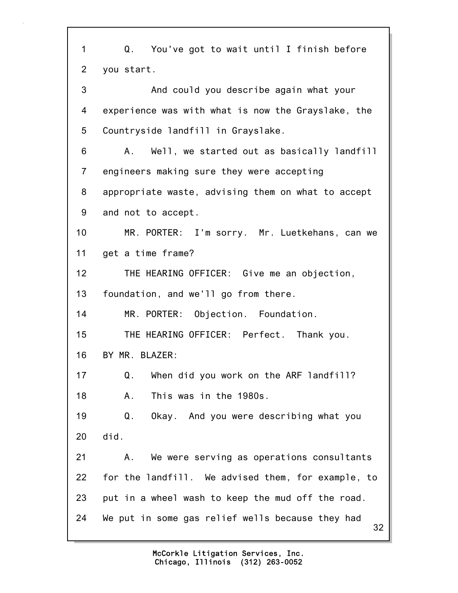32 1 Q. You've got to wait until I finish before 2 you start. 3 And could you describe again what your 4 experience was with what is now the Grayslake, the 5 Countryside landfill in Grayslake. 6 A. Well, we started out as basically landfill 7 engineers making sure they were accepting 8 appropriate waste, advising them on what to accept 9 and not to accept. 10 MR. PORTER: I'm sorry. Mr. Luetkehans, can we 11 get a time frame? 12 THE HEARING OFFICER: Give me an objection, 13 foundation, and we'll go from there. 14 MR. PORTER: Objection. Foundation. 15 THE HEARING OFFICER: Perfect. Thank you. 16 BY MR. BLAZER: 17 Q. When did you work on the ARF landfill? 18 A. This was in the 1980s. 19 Q. Okay. And you were describing what you 20 did. 21 A. We were serving as operations consultants 22 for the landfill. We advised them, for example, to 23 put in a wheel wash to keep the mud off the road. 24 We put in some gas relief wells because they had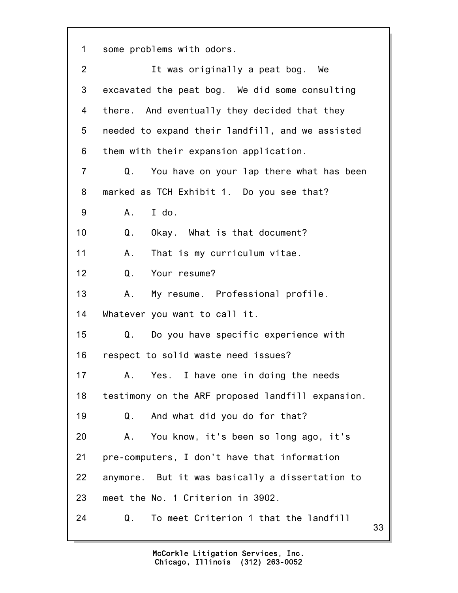1 some problems with odors.

| $\overline{2}$ | It was originally a peat bog. We                  |
|----------------|---------------------------------------------------|
| 3              | excavated the peat bog. We did some consulting    |
| 4              | there. And eventually they decided that they      |
| 5              | needed to expand their landfill, and we assisted  |
| 6              | them with their expansion application.            |
| $\overline{7}$ | You have on your lap there what has been<br>Q.    |
| 8              | marked as TCH Exhibit 1. Do you see that?         |
| 9              | I do.<br>A.                                       |
| 10             | Q.<br>Okay. What is that document?                |
| 11             | That is my curriculum vitae.<br>Α.                |
| 12             | Your resume?<br>Q.                                |
| 13             | My resume. Professional profile.<br>А.            |
| 14             | Whatever you want to call it.                     |
| 15             | Do you have specific experience with<br>Q.        |
| 16             | respect to solid waste need issues?               |
| 17             | A. Yes. I have one in doing the needs             |
| 18             | testimony on the ARF proposed landfill expansion. |
| 19             | And what did you do for that?<br>Q.               |
| 20             | You know, it's been so long ago, it's<br>Α.       |
| 21             | pre-computers, I don't have that information      |
| 22             | anymore. But it was basically a dissertation to   |
| 23             | meet the No. 1 Criterion in 3902.                 |
| 24             | To meet Criterion 1 that the landfill<br>Q.<br>33 |
|                |                                                   |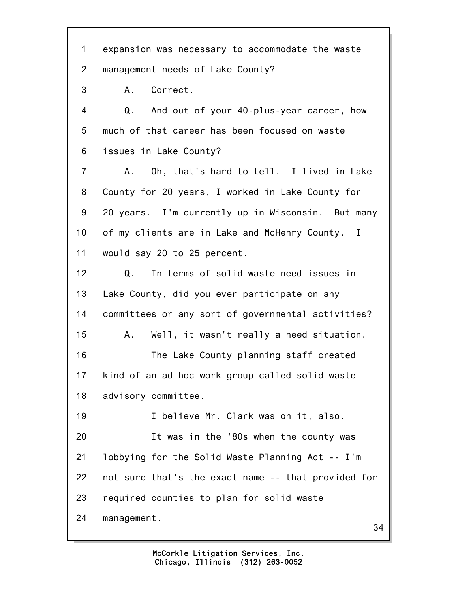34 1 expansion was necessary to accommodate the waste 2 management needs of Lake County? 3 A. Correct. 4 Q. And out of your 40-plus-year career, how 5 much of that career has been focused on waste 6 issues in Lake County? 7 A. Oh, that's hard to tell. I lived in Lake 8 County for 20 years, I worked in Lake County for 9 20 years. I'm currently up in Wisconsin. But many 10 of my clients are in Lake and McHenry County. I 11 would say 20 to 25 percent. 12 Q. In terms of solid waste need issues in 13 Lake County, did you ever participate on any 14 committees or any sort of governmental activities? 15 A. Well, it wasn't really a need situation. 16 The Lake County planning staff created 17 kind of an ad hoc work group called solid waste 18 advisory committee. 19 I believe Mr. Clark was on it, also. 20 It was in the '80s when the county was 21 lobbying for the Solid Waste Planning Act -- I'm 22 not sure that's the exact name -- that provided for 23 required counties to plan for solid waste 24 management.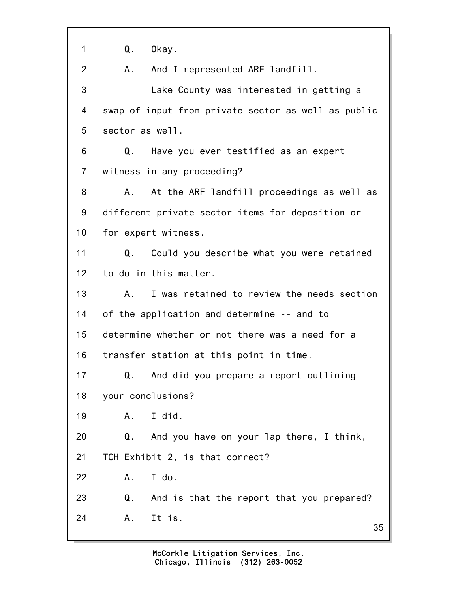35 1 Q. Okay. 2 A. And I represented ARF landfill. 3 Lake County was interested in getting a 4 swap of input from private sector as well as public 5 sector as well. 6 Q. Have you ever testified as an expert 7 witness in any proceeding? 8 A. At the ARF landfill proceedings as well as 9 different private sector items for deposition or 10 for expert witness. 11 Q. Could you describe what you were retained 12 to do in this matter. 13 A. I was retained to review the needs section 14 of the application and determine -- and to 15 determine whether or not there was a need for a 16 transfer station at this point in time. 17 Q. And did you prepare a report outlining 18 your conclusions? 19 A. I did. 20 Q. And you have on your lap there, I think, 21 TCH Exhibit 2, is that correct? 22 A. I do. 23 Q. And is that the report that you prepared? 24 A. It is.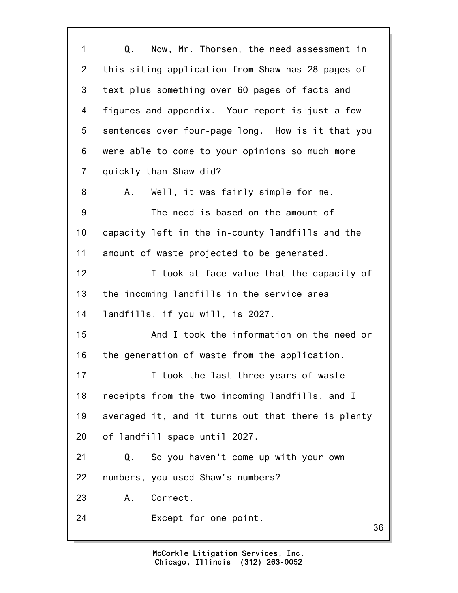36 1 Q. Now, Mr. Thorsen, the need assessment in 2 this siting application from Shaw has 28 pages of 3 text plus something over 60 pages of facts and 4 figures and appendix. Your report is just a few 5 sentences over four-page long. How is it that you 6 were able to come to your opinions so much more 7 quickly than Shaw did? 8 A. Well, it was fairly simple for me. 9 The need is based on the amount of 10 capacity left in the in-county landfills and the 11 amount of waste projected to be generated. 12 **I** took at face value that the capacity of 13 the incoming landfills in the service area 14 landfills, if you will, is 2027. 15 And I took the information on the need or 16 the generation of waste from the application. 17 **I** took the last three years of waste 18 receipts from the two incoming landfills, and I 19 averaged it, and it turns out that there is plenty 20 of landfill space until 2027. 21 Q. So you haven't come up with your own 22 numbers, you used Shaw's numbers? 23 A. Correct. 24 Except for one point.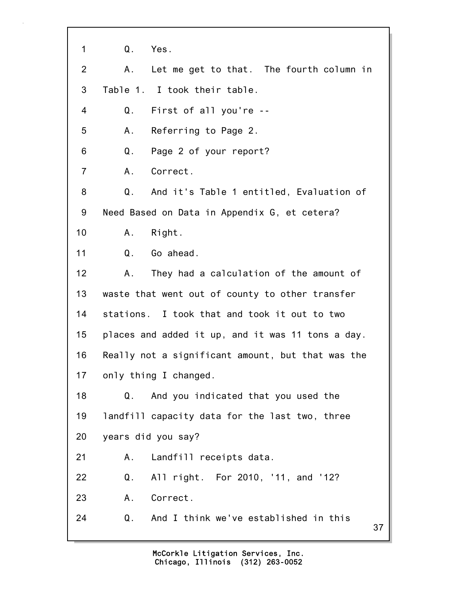37 1 Q. Yes. 2 A. Let me get to that. The fourth column in 3 Table 1. I took their table. 4 Q. First of all you're -- 5 A. Referring to Page 2. 6 Q. Page 2 of your report? 7 A. Correct. 8 Q. And it's Table 1 entitled, Evaluation of 9 Need Based on Data in Appendix G, et cetera? 10 A. Right. 11 Q. Go ahead. 12 A. They had a calculation of the amount of 13 waste that went out of county to other transfer 14 stations. I took that and took it out to two 15 places and added it up, and it was 11 tons a day. 16 Really not a significant amount, but that was the 17 only thing I changed. 18 Q. And you indicated that you used the 19 landfill capacity data for the last two, three 20 years did you say? 21 A. Landfill receipts data. 22 Q. All right. For 2010, '11, and '12? 23 A. Correct. 24 Q. And I think we've established in this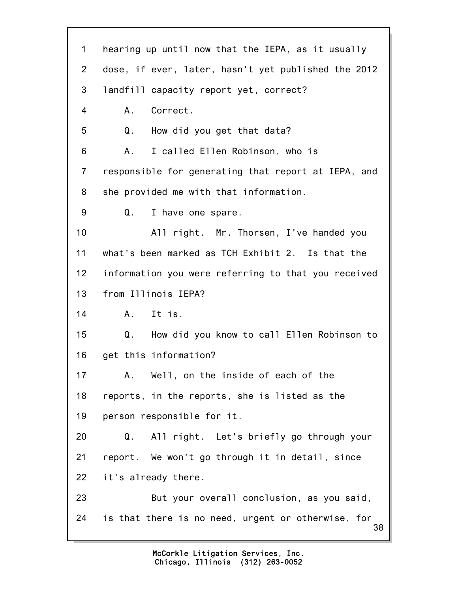| $\mathbf 1$     | hearing up until now that the IEPA, as it usually         |
|-----------------|-----------------------------------------------------------|
| $\overline{2}$  | dose, if ever, later, hasn't yet published the 2012       |
| 3               | landfill capacity report yet, correct?                    |
| 4               | Correct.<br>A.                                            |
| 5               | Q.<br>How did you get that data?                          |
| 6               | I called Ellen Robinson, who is<br>А.                     |
| $\overline{7}$  | responsible for generating that report at IEPA, and       |
| 8               | she provided me with that information.                    |
| 9               | I have one spare.<br>Q.                                   |
| 10              | All right. Mr. Thorsen, I've handed you                   |
| 11              | what's been marked as TCH Exhibit 2. Is that the          |
| 12 <sub>2</sub> | information you were referring to that you received       |
| 13              | from Illinois IEPA?                                       |
| 14              | A. It is.                                                 |
| 15              | $Q_{\rm L}$<br>How did you know to call Ellen Robinson to |
| 16              | get this information?                                     |
| 17              | Well, on the inside of each of the<br>А.                  |
| 18              | reports, in the reports, she is listed as the             |
| 19              | person responsible for it.                                |
| 20              | All right. Let's briefly go through your<br>Q.            |
| 21              | report. We won't go through it in detail, since           |
| 22              | it's already there.                                       |
| 23              | But your overall conclusion, as you said,                 |
| 24              | is that there is no need, urgent or otherwise, for<br>38  |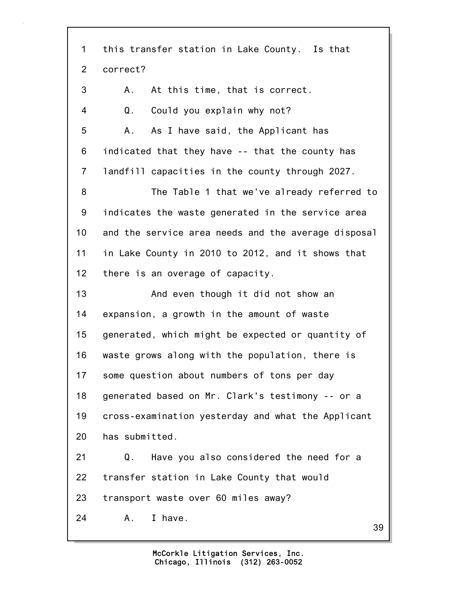39 1 this transfer station in Lake County. Is that 2 correct? 3 A. At this time, that is correct. 4 Q. Could you explain why not? 5 A. As I have said, the Applicant has 6 indicated that they have -- that the county has 7 landfill capacities in the county through 2027. 8 The Table 1 that we've already referred to 9 indicates the waste generated in the service area 10 and the service area needs and the average disposal 11 in Lake County in 2010 to 2012, and it shows that 12 there is an overage of capacity. 13 And even though it did not show an 14 expansion, a growth in the amount of waste 15 generated, which might be expected or quantity of 16 waste grows along with the population, there is 17 some question about numbers of tons per day 18 generated based on Mr. Clark's testimony -- or a 19 cross-examination yesterday and what the Applicant 20 has submitted. 21 Q. Have you also considered the need for a 22 transfer station in Lake County that would 23 transport waste over 60 miles away? 24 A. I have.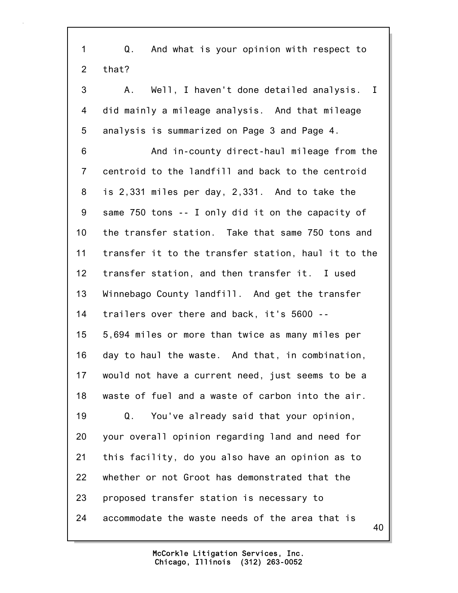40 1 Q. And what is your opinion with respect to 2 that? 3 A. Well, I haven't done detailed analysis. I 4 did mainly a mileage analysis. And that mileage 5 analysis is summarized on Page 3 and Page 4. 6 And in-county direct-haul mileage from the 7 centroid to the landfill and back to the centroid 8 is 2,331 miles per day, 2,331. And to take the 9 same 750 tons -- I only did it on the capacity of 10 the transfer station. Take that same 750 tons and 11 transfer it to the transfer station, haul it to the 12 transfer station, and then transfer it. I used 13 Winnebago County landfill. And get the transfer 14 trailers over there and back, it's 5600 -- 15 5,694 miles or more than twice as many miles per 16 day to haul the waste. And that, in combination, 17 would not have a current need, just seems to be a 18 waste of fuel and a waste of carbon into the air. 19 Q. You've already said that your opinion, 20 your overall opinion regarding land and need for 21 this facility, do you also have an opinion as to 22 whether or not Groot has demonstrated that the 23 proposed transfer station is necessary to 24 accommodate the waste needs of the area that is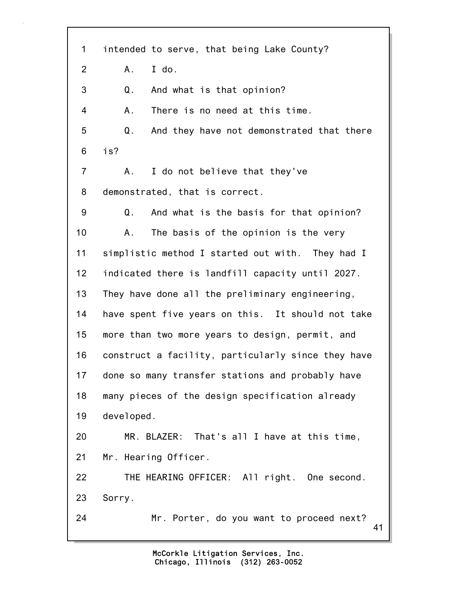41 1 intended to serve, that being Lake County? 2 A. I do. 3 Q. And what is that opinion? 4 A. There is no need at this time. 5 Q. And they have not demonstrated that there 6 is? 7 A. I do not believe that they've 8 demonstrated, that is correct. 9 Q. And what is the basis for that opinion? 10 A. The basis of the opinion is the very 11 simplistic method I started out with. They had I 12 indicated there is landfill capacity until 2027. 13 They have done all the preliminary engineering, 14 have spent five years on this. It should not take 15 more than two more years to design, permit, and 16 construct a facility, particularly since they have 17 done so many transfer stations and probably have 18 many pieces of the design specification already 19 developed. 20 MR. BLAZER: That's all I have at this time, 21 Mr. Hearing Officer. 22 THE HEARING OFFICER: All right. One second. 23 Sorry. 24 Mr. Porter, do you want to proceed next?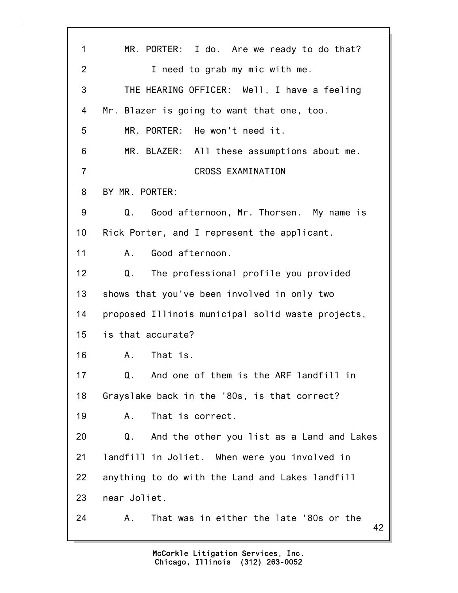42 1 MR. PORTER: I do. Are we ready to do that? 2 I need to grab my mic with me. 3 THE HEARING OFFICER: Well, I have a feeling 4 Mr. Blazer is going to want that one, too. 5 MR. PORTER: He won't need it. 6 MR. BLAZER: All these assumptions about me. 7 CROSS EXAMINATION 8 BY MR. PORTER: 9 Q. Good afternoon, Mr. Thorsen. My name is 10 Rick Porter, and I represent the applicant. 11 A. Good afternoon. 12 Q. The professional profile you provided 13 shows that you've been involved in only two 14 proposed Illinois municipal solid waste projects, 15 is that accurate? 16 A. That is. 17 Q. And one of them is the ARF landfill in 18 Grayslake back in the '80s, is that correct? 19 A. That is correct. 20 Q. And the other you list as a Land and Lakes 21 landfill in Joliet. When were you involved in 22 anything to do with the Land and Lakes landfill 23 near Joliet. 24 A. That was in either the late '80s or the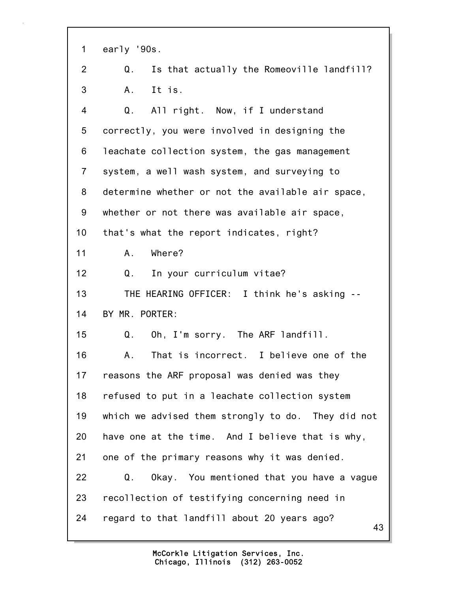1 early '90s.

2 Q. Is that actually the Romeoville landfill? 3 A. It is.

43 4 Q. All right. Now, if I understand 5 correctly, you were involved in designing the 6 leachate collection system, the gas management 7 system, a well wash system, and surveying to 8 determine whether or not the available air space, 9 whether or not there was available air space, 10 that's what the report indicates, right? 11 A. Where? 12 Q. In your curriculum vitae? 13 THE HEARING OFFICER: I think he's asking -- 14 BY MR. PORTER: 15 Q. Oh, I'm sorry. The ARF landfill. 16 A. That is incorrect. I believe one of the 17 reasons the ARF proposal was denied was they 18 refused to put in a leachate collection system 19 which we advised them strongly to do. They did not 20 have one at the time. And I believe that is why, 21 one of the primary reasons why it was denied. 22 Q. Okay. You mentioned that you have a vague 23 recollection of testifying concerning need in 24 regard to that landfill about 20 years ago?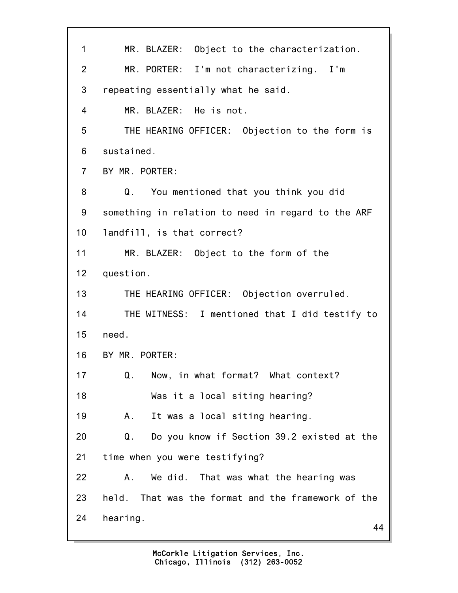| 1              | MR. BLAZER: Object to the characterization.                  |
|----------------|--------------------------------------------------------------|
| $\overline{2}$ | MR. PORTER: I'm not characterizing. I'm                      |
| 3              | repeating essentially what he said.                          |
| 4              | MR. BLAZER: He is not.                                       |
| 5              | THE HEARING OFFICER: Objection to the form is                |
| 6              | sustained.                                                   |
| $\overline{7}$ | BY MR. PORTER:                                               |
| 8              | Q. You mentioned that you think you did                      |
| 9              | something in relation to need in regard to the ARF           |
| 10             | landfill, is that correct?                                   |
| 11             | MR. BLAZER: Object to the form of the                        |
| 12             | question.                                                    |
| 13             | THE HEARING OFFICER: Objection overruled.                    |
| 14             | THE WITNESS: I mentioned that I did testify to               |
| 15             | need.                                                        |
| 16             | BY MR. PORTER:                                               |
| 17             | Now, in what format? What context?<br>Q.                     |
| 18             | Was it a local siting hearing?                               |
| 19             | It was a local siting hearing.<br>Α.                         |
| 20             | Q <sub>1</sub><br>Do you know if Section 39.2 existed at the |
| 21             | time when you were testifying?                               |
| 22             | We did. That was what the hearing was<br>Α.                  |
| 23             | That was the format and the framework of the<br>held.        |
| 24             | hearing.<br>44                                               |
|                |                                                              |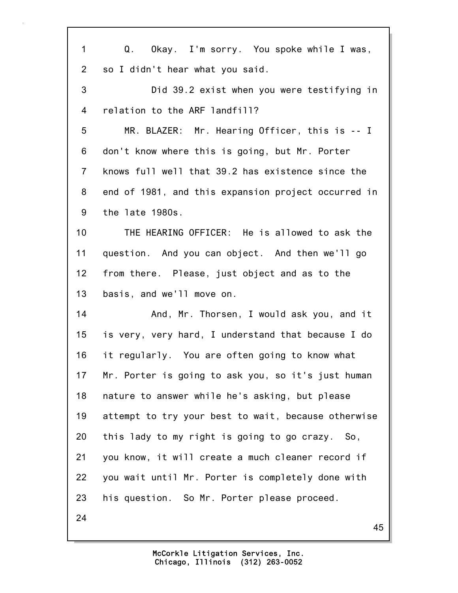| 1              | Q. Okay. I'm sorry. You spoke while I was,          |
|----------------|-----------------------------------------------------|
| $\overline{2}$ | so I didn't hear what you said.                     |
| 3              | Did 39.2 exist when you were testifying in          |
| 4              | relation to the ARF landfill?                       |
| 5              | MR. BLAZER: Mr. Hearing Officer, this is -- I       |
| 6              | don't know where this is going, but Mr. Porter      |
| $\overline{7}$ | knows full well that 39.2 has existence since the   |
| 8              | end of 1981, and this expansion project occurred in |
| 9              | the late 1980s.                                     |
| 10             | THE HEARING OFFICER: He is allowed to ask the       |
| 11             | question. And you can object. And then we'll go     |
| 12             | from there. Please, just object and as to the       |
| 13             | basis, and we'll move on.                           |
| 14             | And, Mr. Thorsen, I would ask you, and it           |
| 15             | is very, very hard, I understand that because I do  |
| 16             | it regularly. You are often going to know what      |
| 17             | Mr. Porter is going to ask you, so it's just human  |
| 18             | nature to answer while he's asking, but please      |
| 19             | attempt to try your best to wait, because otherwise |
| 20             | this lady to my right is going to go crazy. So,     |
| 21             | you know, it will create a much cleaner record if   |
| 22             | you wait until Mr. Porter is completely done with   |
| 23             | his question. So Mr. Porter please proceed.         |
| 24             | 45                                                  |
|                |                                                     |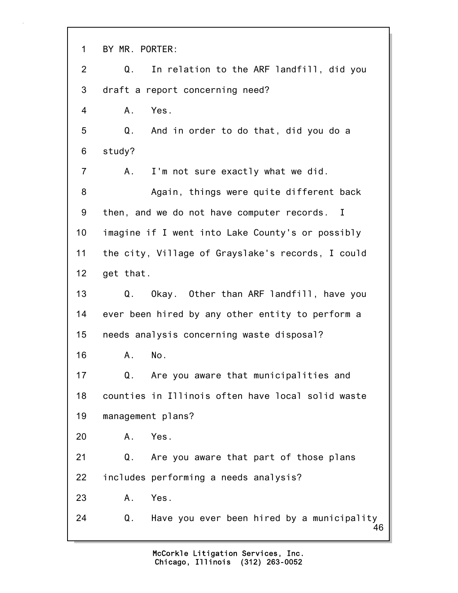46 1 BY MR. PORTER: 2 Q. In relation to the ARF landfill, did you 3 draft a report concerning need? 4 A. Yes. 5 Q. And in order to do that, did you do a 6 study? 7 A. I'm not sure exactly what we did. 8 Again, things were quite different back 9 then, and we do not have computer records. I 10 imagine if I went into Lake County's or possibly 11 the city, Village of Grayslake's records, I could 12 get that. 13 Q. Okay. Other than ARF landfill, have you 14 ever been hired by any other entity to perform a 15 needs analysis concerning waste disposal? 16 A. No. 17 Q. Are you aware that municipalities and 18 counties in Illinois often have local solid waste 19 management plans? 20 A. Yes. 21 Q. Are you aware that part of those plans 22 includes performing a needs analysis? 23 A. Yes. 24 Q. Have you ever been hired by a municipality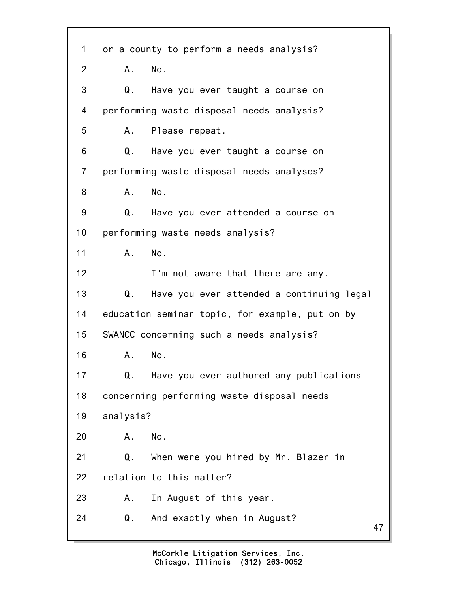47 1 or a county to perform a needs analysis? 2 A. No. 3 Q. Have you ever taught a course on 4 performing waste disposal needs analysis? 5 A. Please repeat. 6 Q. Have you ever taught a course on 7 performing waste disposal needs analyses? 8 A. No. 9 Q. Have you ever attended a course on 10 performing waste needs analysis? 11 A. No. 12 **I'm not aware that there are any.** 13 Q. Have you ever attended a continuing legal 14 education seminar topic, for example, put on by 15 SWANCC concerning such a needs analysis? 16 A. No. 17 Q. Have you ever authored any publications 18 concerning performing waste disposal needs 19 analysis? 20 A. No. 21 Q. When were you hired by Mr. Blazer in 22 relation to this matter? 23 A. In August of this year. 24 Q. And exactly when in August?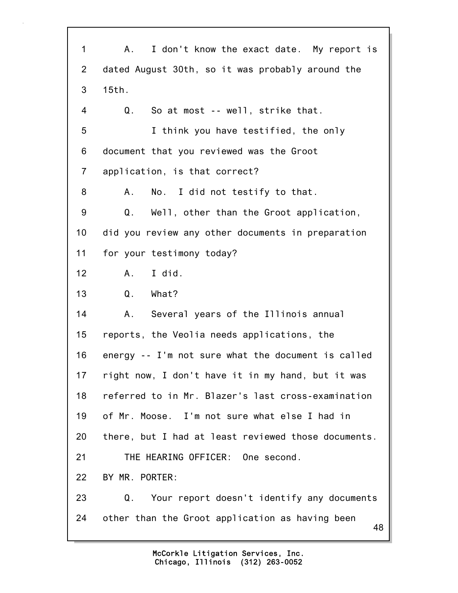48 1 A. I don't know the exact date. My report is 2 dated August 30th, so it was probably around the 3 15th. 4 Q. So at most -- well, strike that. 5 I think you have testified, the only 6 document that you reviewed was the Groot 7 application, is that correct? 8 A. No. I did not testify to that. 9 Q. Well, other than the Groot application, 10 did you review any other documents in preparation 11 for your testimony today? 12 A. I did. 13 Q. What? 14 A. Several years of the Illinois annual 15 reports, the Veolia needs applications, the 16 energy -- I'm not sure what the document is called 17 right now, I don't have it in my hand, but it was 18 referred to in Mr. Blazer's last cross-examination 19 of Mr. Moose. I'm not sure what else I had in 20 there, but I had at least reviewed those documents. 21 THE HEARING OFFICER: One second. 22 BY MR. PORTER: 23 Q. Your report doesn't identify any documents 24 other than the Groot application as having been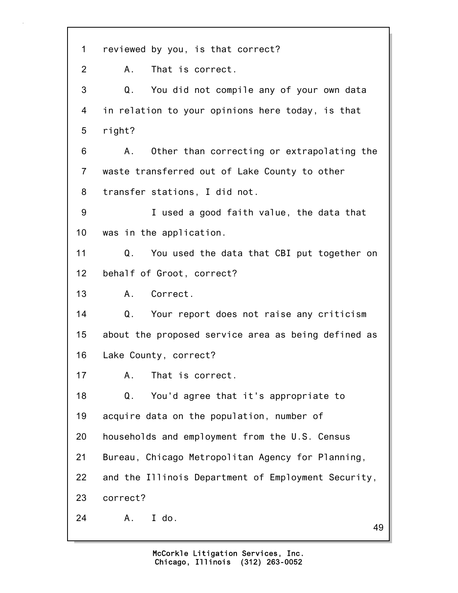49 1 reviewed by you, is that correct? 2 A. That is correct. 3 Q. You did not compile any of your own data 4 in relation to your opinions here today, is that 5 right? 6 A. Other than correcting or extrapolating the 7 waste transferred out of Lake County to other 8 transfer stations, I did not. 9 I used a good faith value, the data that 10 was in the application. 11 Q. You used the data that CBI put together on 12 behalf of Groot, correct? 13 A. Correct. 14 Q. Your report does not raise any criticism 15 about the proposed service area as being defined as 16 Lake County, correct? 17 A. That is correct. 18 Q. You'd agree that it's appropriate to 19 acquire data on the population, number of 20 households and employment from the U.S. Census 21 Bureau, Chicago Metropolitan Agency for Planning, 22 and the Illinois Department of Employment Security, 23 correct? 24 A. I do.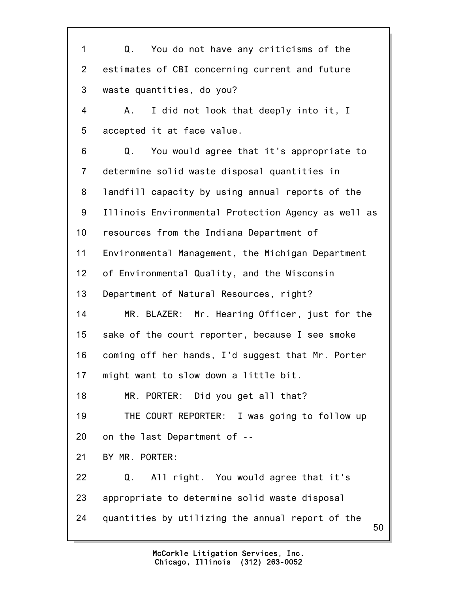50 1 Q. You do not have any criticisms of the 2 estimates of CBI concerning current and future 3 waste quantities, do you? 4 A. I did not look that deeply into it, I 5 accepted it at face value. 6 Q. You would agree that it's appropriate to 7 determine solid waste disposal quantities in 8 landfill capacity by using annual reports of the 9 Illinois Environmental Protection Agency as well as 10 resources from the Indiana Department of 11 Environmental Management, the Michigan Department 12 of Environmental Quality, and the Wisconsin 13 Department of Natural Resources, right? 14 MR. BLAZER: Mr. Hearing Officer, just for the 15 sake of the court reporter, because I see smoke 16 coming off her hands, I'd suggest that Mr. Porter 17 might want to slow down a little bit. 18 MR. PORTER: Did you get all that? 19 THE COURT REPORTER: I was going to follow up 20 on the last Department of -- 21 BY MR. PORTER: 22 Q. All right. You would agree that it's 23 appropriate to determine solid waste disposal 24 quantities by utilizing the annual report of the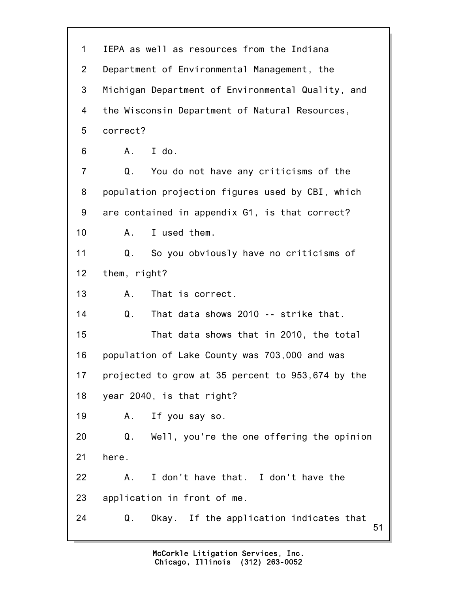| $\mathbf 1$     | IEPA as well as resources from the Indiana          |
|-----------------|-----------------------------------------------------|
| $\overline{2}$  | Department of Environmental Management, the         |
| 3               | Michigan Department of Environmental Quality, and   |
| 4               | the Wisconsin Department of Natural Resources,      |
| 5               | correct?                                            |
| 6               | I do.<br>A.                                         |
| 7               | You do not have any criticisms of the<br>Q.         |
| 8               | population projection figures used by CBI, which    |
| 9               | are contained in appendix G1, is that correct?      |
| 10 <sup>1</sup> | I used them.<br>A.,                                 |
| 11              | So you obviously have no criticisms of<br>Q.        |
| 12              | them, right?                                        |
| 13              | That is correct.<br>A.,                             |
| 14              | That data shows 2010 -- strike that.<br>Q.          |
| 15              | That data shows that in 2010, the total             |
| 16              | population of Lake County was 703,000 and was       |
| 17              | projected to grow at 35 percent to 953,674 by the   |
| 18              | year 2040, is that right?                           |
| 19              | If you say so.<br>Α.                                |
| 20              | Q.<br>Well, you're the one offering the opinion     |
| 21              | here.                                               |
| 22              | I don't have that. I don't have the<br>Α.           |
| 23              | application in front of me.                         |
| 24              | Q.<br>Okay. If the application indicates that<br>51 |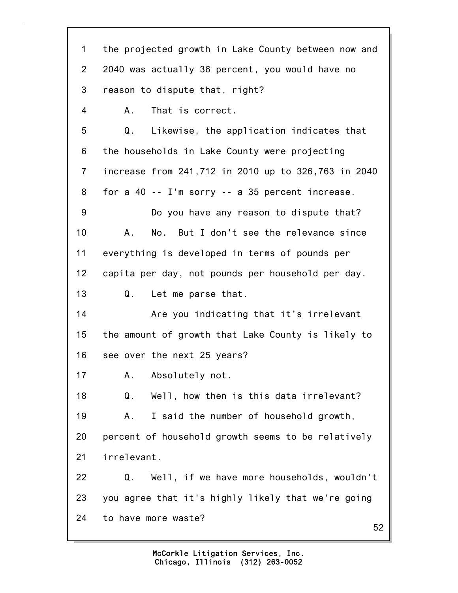52 1 the projected growth in Lake County between now and 2 2040 was actually 36 percent, you would have no 3 reason to dispute that, right? 4 A. That is correct. 5 Q. Likewise, the application indicates that 6 the households in Lake County were projecting 7 increase from 241,712 in 2010 up to 326,763 in 2040 8 for a 40 -- I'm sorry -- a 35 percent increase. 9 Do you have any reason to dispute that? 10 A. No. But I don't see the relevance since 11 everything is developed in terms of pounds per 12 capita per day, not pounds per household per day. 13 Q. Let me parse that. 14 Are you indicating that it's irrelevant 15 the amount of growth that Lake County is likely to 16 see over the next 25 years? 17 A. Absolutely not. 18 Q. Well, how then is this data irrelevant? 19 A. I said the number of household growth, 20 percent of household growth seems to be relatively 21 irrelevant. 22 Q. Well, if we have more households, wouldn't 23 you agree that it's highly likely that we're going 24 to have more waste?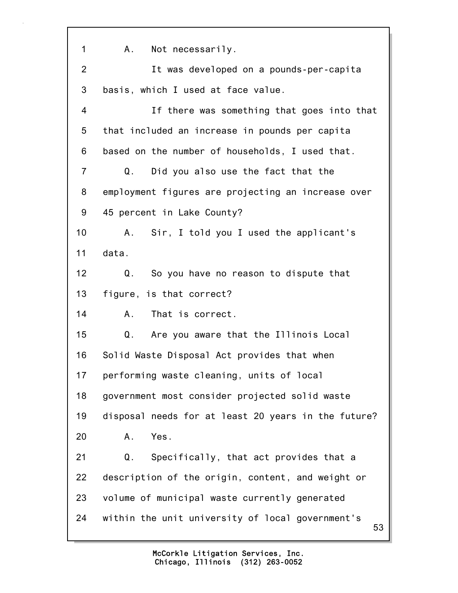53 1 A. Not necessarily. 2 It was developed on a pounds-per-capita 3 basis, which I used at face value. 4 If there was something that goes into that 5 that included an increase in pounds per capita 6 based on the number of households, I used that. 7 Q. Did you also use the fact that the 8 employment figures are projecting an increase over 9 45 percent in Lake County? 10 A. Sir, I told you I used the applicant's 11 data. 12 Q. So you have no reason to dispute that 13 figure, is that correct? 14 A. That is correct. 15 Q. Are you aware that the Illinois Local 16 Solid Waste Disposal Act provides that when 17 performing waste cleaning, units of local 18 government most consider projected solid waste 19 disposal needs for at least 20 years in the future? 20 A. Yes. 21 Q. Specifically, that act provides that a 22 description of the origin, content, and weight or 23 volume of municipal waste currently generated 24 within the unit university of local government's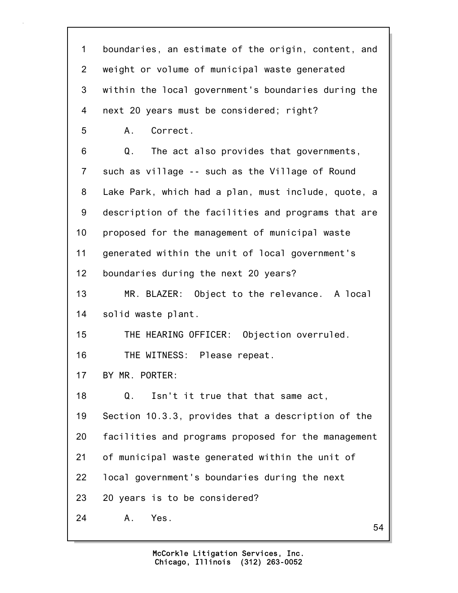54 1 boundaries, an estimate of the origin, content, and 2 weight or volume of municipal waste generated 3 within the local government's boundaries during the 4 next 20 years must be considered; right? 5 A. Correct. 6 Q. The act also provides that governments, 7 such as village -- such as the Village of Round 8 Lake Park, which had a plan, must include, quote, a 9 description of the facilities and programs that are 10 proposed for the management of municipal waste 11 generated within the unit of local government's 12 boundaries during the next 20 years? 13 MR. BLAZER: Object to the relevance. A local 14 solid waste plant. 15 THE HEARING OFFICER: Objection overruled. 16 THE WITNESS: Please repeat. 17 BY MR. PORTER: 18 Q. Isn't it true that that same act, 19 Section 10.3.3, provides that a description of the 20 facilities and programs proposed for the management 21 of municipal waste generated within the unit of 22 local government's boundaries during the next 23 20 years is to be considered? 24 A. Yes.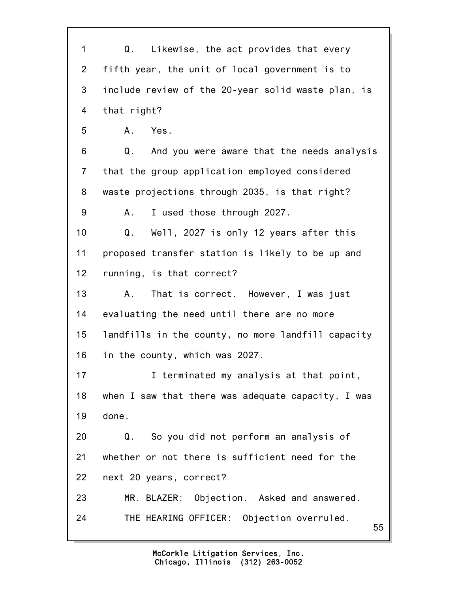| 1<br>Q. Likewise, the act provides that every<br>$\overline{2}$<br>fifth year, the unit of local government is to<br>3<br>include review of the 20-year solid waste plan, is<br>that right?<br>4<br>5<br>A. Yes.<br>6<br>And you were aware that the needs analysis<br>Q.<br>that the group application employed considered<br>$\overline{7}$<br>8<br>waste projections through 2035, is that right?<br>I used those through 2027.<br>9<br>A.<br>Well, 2027 is only 12 years after this<br>10<br>Q.<br>11<br>proposed transfer station is likely to be up and<br>running, is that correct?<br>12 |    |
|--------------------------------------------------------------------------------------------------------------------------------------------------------------------------------------------------------------------------------------------------------------------------------------------------------------------------------------------------------------------------------------------------------------------------------------------------------------------------------------------------------------------------------------------------------------------------------------------------|----|
|                                                                                                                                                                                                                                                                                                                                                                                                                                                                                                                                                                                                  |    |
|                                                                                                                                                                                                                                                                                                                                                                                                                                                                                                                                                                                                  |    |
|                                                                                                                                                                                                                                                                                                                                                                                                                                                                                                                                                                                                  |    |
|                                                                                                                                                                                                                                                                                                                                                                                                                                                                                                                                                                                                  |    |
|                                                                                                                                                                                                                                                                                                                                                                                                                                                                                                                                                                                                  |    |
|                                                                                                                                                                                                                                                                                                                                                                                                                                                                                                                                                                                                  |    |
|                                                                                                                                                                                                                                                                                                                                                                                                                                                                                                                                                                                                  |    |
|                                                                                                                                                                                                                                                                                                                                                                                                                                                                                                                                                                                                  |    |
|                                                                                                                                                                                                                                                                                                                                                                                                                                                                                                                                                                                                  |    |
|                                                                                                                                                                                                                                                                                                                                                                                                                                                                                                                                                                                                  |    |
|                                                                                                                                                                                                                                                                                                                                                                                                                                                                                                                                                                                                  |    |
|                                                                                                                                                                                                                                                                                                                                                                                                                                                                                                                                                                                                  |    |
| 13<br>That is correct. However, I was just<br>A.,                                                                                                                                                                                                                                                                                                                                                                                                                                                                                                                                                |    |
| evaluating the need until there are no more<br>14                                                                                                                                                                                                                                                                                                                                                                                                                                                                                                                                                |    |
| 15<br>landfills in the county, no more landfill capacity                                                                                                                                                                                                                                                                                                                                                                                                                                                                                                                                         |    |
| 16<br>in the county, which was 2027.                                                                                                                                                                                                                                                                                                                                                                                                                                                                                                                                                             |    |
| I terminated my analysis at that point,<br>17                                                                                                                                                                                                                                                                                                                                                                                                                                                                                                                                                    |    |
| 18<br>when I saw that there was adequate capacity, I was                                                                                                                                                                                                                                                                                                                                                                                                                                                                                                                                         |    |
| done.<br>19                                                                                                                                                                                                                                                                                                                                                                                                                                                                                                                                                                                      |    |
| So you did not perform an analysis of<br>20<br>Q.                                                                                                                                                                                                                                                                                                                                                                                                                                                                                                                                                |    |
| whether or not there is sufficient need for the<br>21                                                                                                                                                                                                                                                                                                                                                                                                                                                                                                                                            |    |
| 22<br>next 20 years, correct?                                                                                                                                                                                                                                                                                                                                                                                                                                                                                                                                                                    |    |
| MR. BLAZER: Objection. Asked and answered.<br>23                                                                                                                                                                                                                                                                                                                                                                                                                                                                                                                                                 |    |
| 24<br>THE HEARING OFFICER: Objection overruled.                                                                                                                                                                                                                                                                                                                                                                                                                                                                                                                                                  | 55 |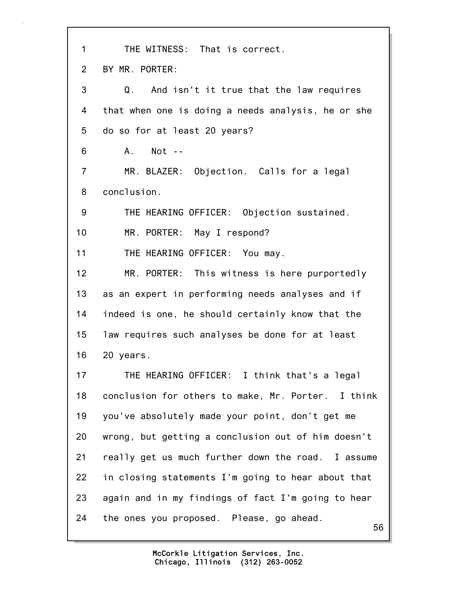56 1 THE WITNESS: That is correct. 2 BY MR. PORTER: 3 Q. And isn't it true that the law requires 4 that when one is doing a needs analysis, he or she 5 do so for at least 20 years? 6 A. Not -- 7 MR. BLAZER: Objection. Calls for a legal 8 conclusion. 9 THE HEARING OFFICER: Objection sustained. 10 MR. PORTER: May I respond? 11 THE HEARING OFFICER: You may. 12 MR. PORTER: This witness is here purportedly 13 as an expert in performing needs analyses and if 14 indeed is one, he should certainly know that the 15 law requires such analyses be done for at least 16 20 years. 17 THE HEARING OFFICER: I think that's a legal 18 conclusion for others to make, Mr. Porter. I think 19 you've absolutely made your point, don't get me 20 wrong, but getting a conclusion out of him doesn't 21 really get us much further down the road. I assume 22 in closing statements I'm going to hear about that 23 again and in my findings of fact I'm going to hear 24 the ones you proposed. Please, go ahead.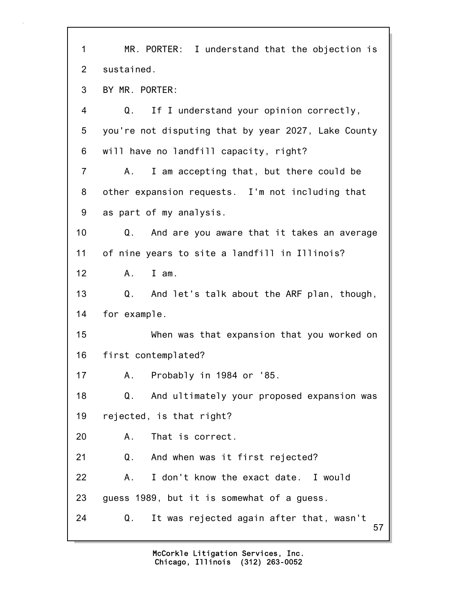| $\mathbf{1}$   | MR. PORTER: I understand that the objection is       |
|----------------|------------------------------------------------------|
| 2              | sustained.                                           |
| 3              | BY MR. PORTER:                                       |
| 4              | Q.<br>If I understand your opinion correctly,        |
| 5              | you're not disputing that by year 2027, Lake County  |
| 6              | will have no landfill capacity, right?               |
| $\overline{7}$ | I am accepting that, but there could be<br>A.        |
| 8              | other expansion requests. I'm not including that     |
| 9              | as part of my analysis.                              |
| 10             | Q. And are you aware that it takes an average        |
| 11             | of nine years to site a landfill in Illinois?        |
| 12             | A. I am.                                             |
| 13             | Q.<br>And let's talk about the ARF plan, though,     |
| 14             | for example.                                         |
| 15             | When was that expansion that you worked on           |
| 16             | first contemplated?                                  |
| 17             | Probably in 1984 or '85.<br>А.                       |
| 18             | And ultimately your proposed expansion was<br>Q.     |
| 19             | rejected, is that right?                             |
| 20             | That is correct.<br>А.                               |
| 21             | Q.<br>And when was it first rejected?                |
| 22             | I don't know the exact date. I would<br>А.           |
| 23             | guess 1989, but it is somewhat of a guess.           |
| 24             | Q.<br>It was rejected again after that, wasn't<br>57 |

1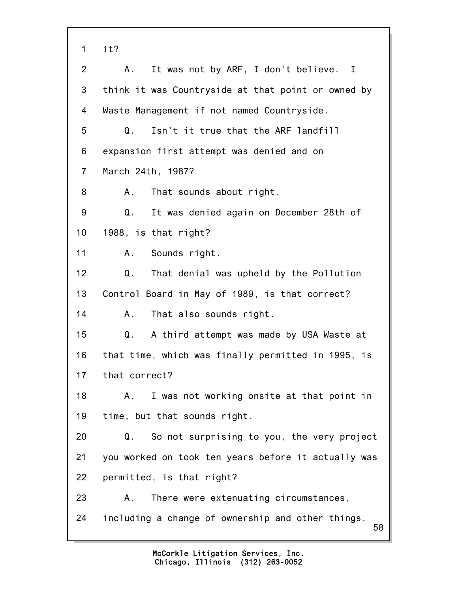58 1 it? 2 A. It was not by ARF, I don't believe. I 3 think it was Countryside at that point or owned by 4 Waste Management if not named Countryside. 5 Q. Isn't it true that the ARF landfill 6 expansion first attempt was denied and on 7 March 24th, 1987? 8 A. That sounds about right. 9 Q. It was denied again on December 28th of 10 1988, is that right? 11 A. Sounds right. 12 Q. That denial was upheld by the Pollution 13 Control Board in May of 1989, is that correct? 14 A. That also sounds right. 15 Q. A third attempt was made by USA Waste at 16 that time, which was finally permitted in 1995, is 17 that correct? 18 A. I was not working onsite at that point in 19 time, but that sounds right. 20 Q. So not surprising to you, the very project 21 you worked on took ten years before it actually was 22 permitted, is that right? 23 A. There were extenuating circumstances, 24 including a change of ownership and other things.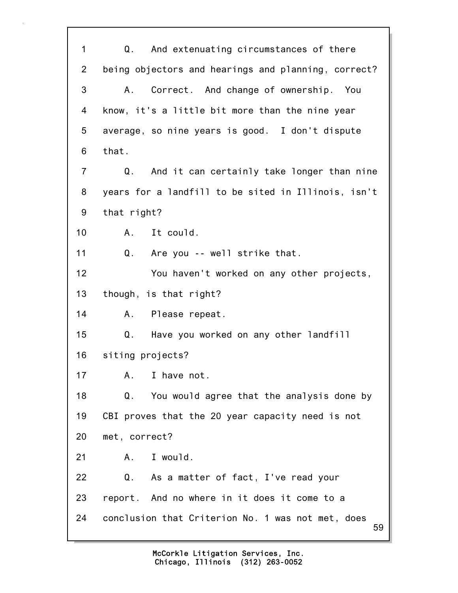59 1 Q. And extenuating circumstances of there 2 being objectors and hearings and planning, correct? 3 A. Correct. And change of ownership. You 4 know, it's a little bit more than the nine year 5 average, so nine years is good. I don't dispute 6 that. 7 Q. And it can certainly take longer than nine 8 years for a landfill to be sited in Illinois, isn't 9 that right? 10 A. It could. 11 Q. Are you -- well strike that. 12 You haven't worked on any other projects, 13 though, is that right? 14 A. Please repeat. 15 Q. Have you worked on any other landfill 16 siting projects? 17 A. I have not. 18 Q. You would agree that the analysis done by 19 CBI proves that the 20 year capacity need is not 20 met, correct? 21 A. I would. 22 Q. As a matter of fact, I've read your 23 report. And no where in it does it come to a 24 conclusion that Criterion No. 1 was not met, does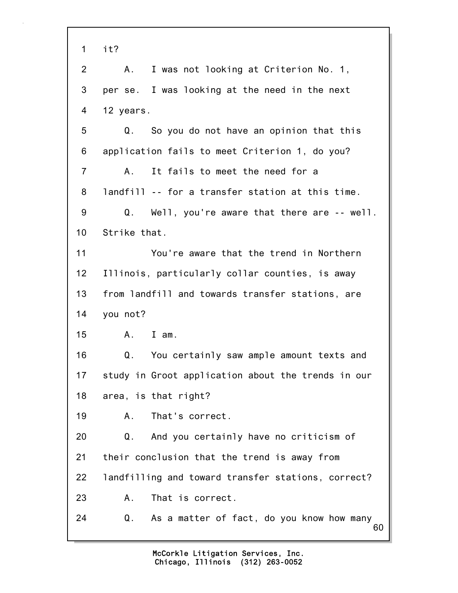| $\mathbf 1$    | it?                                                |
|----------------|----------------------------------------------------|
| $\overline{2}$ | I was not looking at Criterion No. 1,<br>Α.        |
| 3              | per se. I was looking at the need in the next      |
| 4              | 12 years.                                          |
| 5              | So you do not have an opinion that this<br>Q.      |
| 6              | application fails to meet Criterion 1, do you?     |
| $\overline{7}$ | It fails to meet the need for a<br>Α.              |
| 8              | landfill -- for a transfer station at this time.   |
| 9              | Q.<br>Well, you're aware that there are -- well.   |
| 10             | Strike that.                                       |
| 11             | You're aware that the trend in Northern            |
| 12             | Illinois, particularly collar counties, is away    |
| 13             | from landfill and towards transfer stations, are   |
| 14             | you not?                                           |
| 15             |                                                    |
|                | $I$ am.<br>A.,                                     |
| 16             | You certainly saw ample amount texts and<br>Q.     |
| 17             | study in Groot application about the trends in our |
| 18             | area, is that right?                               |
| 19             | That's correct.<br>Α.                              |
| 20             | And you certainly have no criticism of<br>Q.       |
| 21             | their conclusion that the trend is away from       |
| 22             | landfilling and toward transfer stations, correct? |
| 23             | That is correct.<br>Α.                             |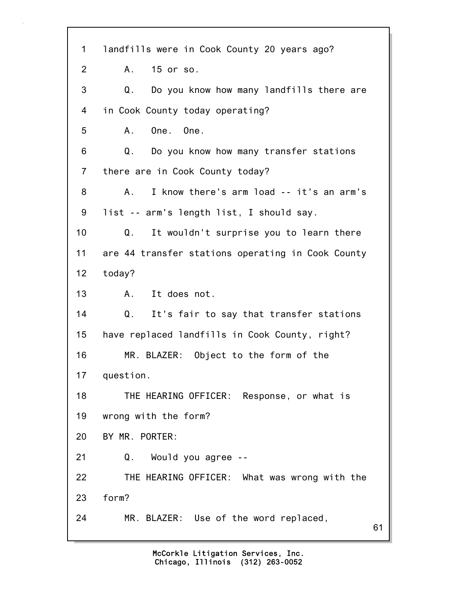61 1 landfills were in Cook County 20 years ago? 2 A. 15 or so. 3 Q. Do you know how many landfills there are 4 in Cook County today operating? 5 A. One. One. 6 Q. Do you know how many transfer stations 7 there are in Cook County today? 8 A. I know there's arm load -- it's an arm's 9 list -- arm's length list, I should say. 10 Q. It wouldn't surprise you to learn there 11 are 44 transfer stations operating in Cook County 12 today? 13 A. It does not. 14 Q. It's fair to say that transfer stations 15 have replaced landfills in Cook County, right? 16 MR. BLAZER: Object to the form of the 17 question. 18 THE HEARING OFFICER: Response, or what is 19 wrong with the form? 20 BY MR. PORTER: 21 Q. Would you agree -- 22 THE HEARING OFFICER: What was wrong with the 23 form? 24 MR. BLAZER: Use of the word replaced,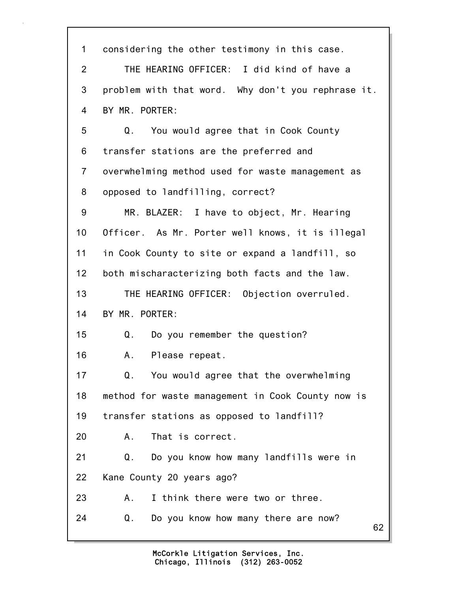62 1 considering the other testimony in this case. 2 THE HEARING OFFICER: I did kind of have a 3 problem with that word. Why don't you rephrase it. 4 BY MR. PORTER: 5 Q. You would agree that in Cook County 6 transfer stations are the preferred and 7 overwhelming method used for waste management as 8 opposed to landfilling, correct? 9 MR. BLAZER: I have to object, Mr. Hearing 10 Officer. As Mr. Porter well knows, it is illegal 11 in Cook County to site or expand a landfill, so 12 both mischaracterizing both facts and the law. 13 THE HEARING OFFICER: Objection overruled. 14 BY MR. PORTER: 15 Q. Do you remember the question? 16 A. Please repeat. 17 Q. You would agree that the overwhelming 18 method for waste management in Cook County now is 19 transfer stations as opposed to landfill? 20 A. That is correct. 21 Q. Do you know how many landfills were in 22 Kane County 20 years ago? 23 A. I think there were two or three. 24 Q. Do you know how many there are now?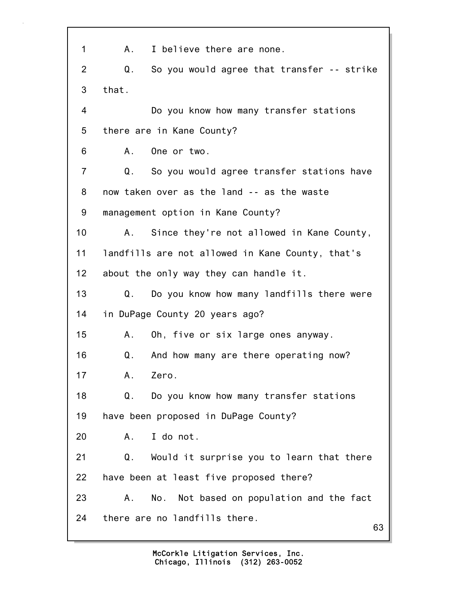| 1               | I believe there are none.<br>А.                  |
|-----------------|--------------------------------------------------|
| 2               | So you would agree that transfer -- strike<br>Q. |
| 3               | that.                                            |
| 4               | Do you know how many transfer stations           |
| 5               | there are in Kane County?                        |
| 6               | One or two.<br>A.,                               |
| $\overline{7}$  | Q. So you would agree transfer stations have     |
| 8               | now taken over as the land -- as the waste       |
| 9               | management option in Kane County?                |
| 10              | Since they're not allowed in Kane County,<br>А.  |
| 11              | landfills are not allowed in Kane County, that's |
| 12 <sub>2</sub> | about the only way they can handle it.           |
| 13              | Do you know how many landfills there were<br>Q.  |
| 14              | in DuPage County 20 years ago?                   |
| 15              | Oh, five or six large ones anyway.<br>A.         |
| 16              | And how many are there operating now?<br>Q.      |
| 17              | Zero.<br>А.                                      |
| 18              | Do you know how many transfer stations<br>Q.     |
| 19              | have been proposed in DuPage County?             |
| 20              | I do not.<br>А.                                  |
| 21              | Would it surprise you to learn that there<br>Q.  |
| 22              | have been at least five proposed there?          |
| 23              | No. Not based on population and the fact<br>А.   |
| 24              | there are no landfills there.<br>63              |
|                 |                                                  |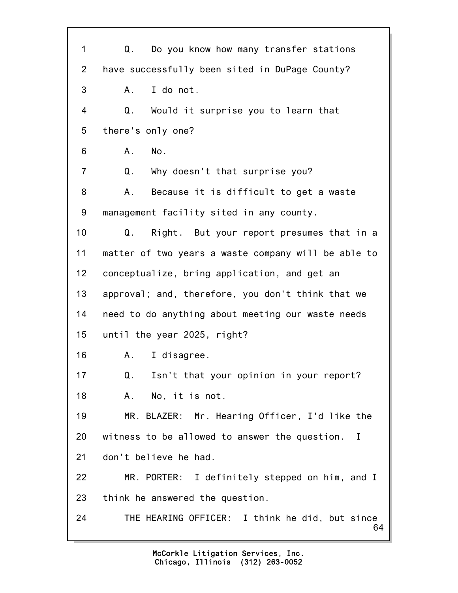64 1 Q. Do you know how many transfer stations 2 have successfully been sited in DuPage County? 3 A. I do not. 4 Q. Would it surprise you to learn that 5 there's only one? 6 A. No. 7 Q. Why doesn't that surprise you? 8 A. Because it is difficult to get a waste 9 management facility sited in any county. 10 Q. Right. But your report presumes that in a 11 matter of two years a waste company will be able to 12 conceptualize, bring application, and get an 13 approval; and, therefore, you don't think that we 14 need to do anything about meeting our waste needs 15 until the year 2025, right? 16 A. I disagree. 17 Q. Isn't that your opinion in your report? 18 A. No, it is not. 19 MR. BLAZER: Mr. Hearing Officer, I'd like the 20 witness to be allowed to answer the question. I 21 don't believe he had. 22 MR. PORTER: I definitely stepped on him, and I 23 think he answered the question. 24 THE HEARING OFFICER: I think he did, but since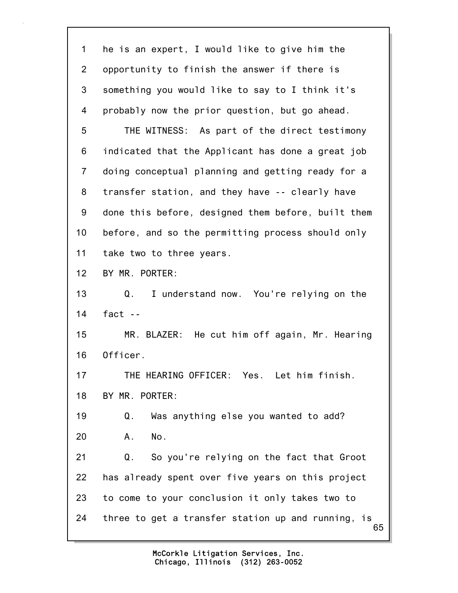65 1 he is an expert, I would like to give him the 2 opportunity to finish the answer if there is 3 something you would like to say to I think it's 4 probably now the prior question, but go ahead. 5 THE WITNESS: As part of the direct testimony 6 indicated that the Applicant has done a great job 7 doing conceptual planning and getting ready for a 8 transfer station, and they have -- clearly have 9 done this before, designed them before, built them 10 before, and so the permitting process should only 11 take two to three years. 12 BY MR. PORTER: 13 Q. I understand now. You're relying on the 14 fact -- 15 MR. BLAZER: He cut him off again, Mr. Hearing 16 Officer. 17 THE HEARING OFFICER: Yes. Let him finish. 18 BY MR. PORTER: 19 Q. Was anything else you wanted to add? 20 A. No. 21 Q. So you're relying on the fact that Groot 22 has already spent over five years on this project 23 to come to your conclusion it only takes two to 24 three to get a transfer station up and running, is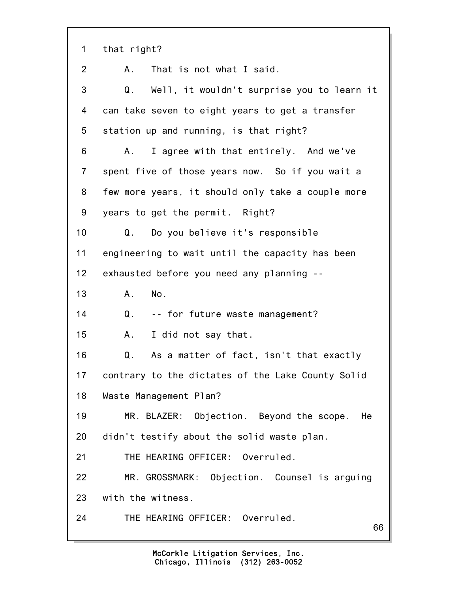| 1               | that right?                                              |
|-----------------|----------------------------------------------------------|
| 2               | That is not what I said.<br>А.                           |
| 3               | Well, it wouldn't surprise you to learn it<br>Q.         |
| 4               | can take seven to eight years to get a transfer          |
| 5               | station up and running, is that right?                   |
| 6               | I agree with that entirely. And we've<br>A.              |
| $\overline{7}$  | spent five of those years now. So if you wait a          |
| 8               | few more years, it should only take a couple more        |
| 9               | years to get the permit. Right?                          |
| 10 <sub>1</sub> | Do you believe it's responsible<br>Q.                    |
| 11              | engineering to wait until the capacity has been          |
| 12              | exhausted before you need any planning --                |
| 13              | No.<br>A.                                                |
| 14              | -- for future waste management?<br>Q.                    |
| 15              | I did not say that.<br>Α.                                |
| 16              | $\mathsf Q$ .<br>As a matter of fact, isn't that exactly |
| 17              | contrary to the dictates of the Lake County Solid        |
| 18              | Waste Management Plan?                                   |
| 19              | MR. BLAZER: Objection. Beyond the scope.<br>He           |
| 20              | didn't testify about the solid waste plan.               |
| 21              | THE HEARING OFFICER: Overruled.                          |
| 22              | MR. GROSSMARK: Objection. Counsel is arguing             |
| 23              | with the witness.                                        |
| 24              | THE HEARING OFFICER: Overruled.<br>66                    |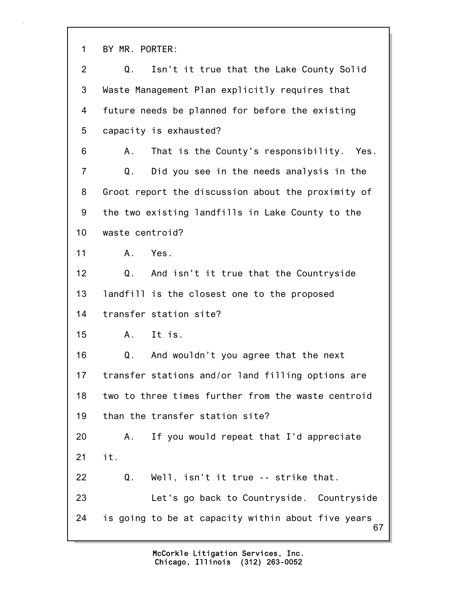1 BY MR. PORTER:

| $\overline{2}$  | Isn't it true that the Lake County Solid<br>Q.           |
|-----------------|----------------------------------------------------------|
| 3               | Waste Management Plan explicitly requires that           |
| 4               | future needs be planned for before the existing          |
| 5               | capacity is exhausted?                                   |
| 6               | That is the County's responsibility. Yes.<br>А.          |
| $\overline{7}$  | Q.<br>Did you see in the needs analysis in the           |
| 8               | Groot report the discussion about the proximity of       |
| 9               | the two existing landfills in Lake County to the         |
| 10 <sub>1</sub> | waste centroid?                                          |
| 11              | Yes.<br>Α.                                               |
| 12              | Q.<br>And isn't it true that the Countryside             |
| 13              | landfill is the closest one to the proposed              |
| 14              | transfer station site?                                   |
| 15              | It is.<br>A.,                                            |
| 16              | And wouldn't you agree that the next<br>Q.               |
| 17              | transfer stations and/or land filling options are        |
| 18              | two to three times further from the waste centroid       |
| 19              | than the transfer station site?                          |
| 20              | If you would repeat that I'd appreciate<br>A.            |
| 21              | it.                                                      |
| 22              | Well, isn't it true -- strike that.<br>Q.                |
| 23              | Let's go back to Countryside. Countryside                |
| 24              | is going to be at capacity within about five years<br>67 |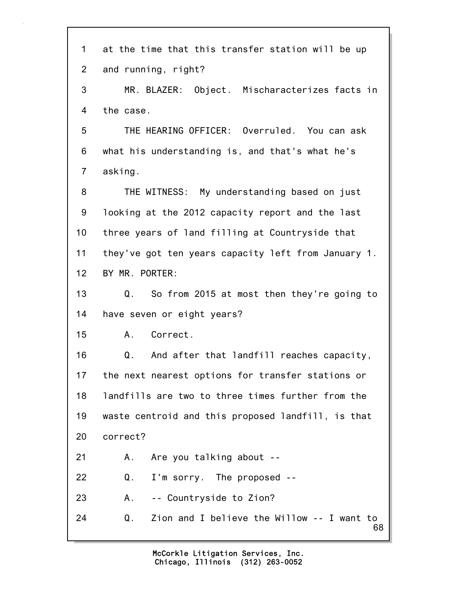| 1              | at the time that this transfer station will be up      |
|----------------|--------------------------------------------------------|
| $\mathbf{2}$   | and running, right?                                    |
| 3              | MR. BLAZER: Object. Mischaracterizes facts in          |
| 4              | the case.                                              |
| 5              | THE HEARING OFFICER: Overruled. You can ask            |
| 6              | what his understanding is, and that's what he's        |
| $\overline{7}$ | asking.                                                |
| 8              | THE WITNESS: My understanding based on just            |
| 9              | looking at the 2012 capacity report and the last       |
| 10             | three years of land filling at Countryside that        |
| 11             | they've got ten years capacity left from January 1.    |
| 12             | BY MR. PORTER:                                         |
| 13             | So from 2015 at most then they're going to<br>Q.       |
| 14             | have seven or eight years?                             |
| 15             | A. Correct.                                            |
| 16             | Q.<br>And after that landfill reaches capacity,        |
| 17             | the next nearest options for transfer stations or      |
| 18             | landfills are two to three times further from the      |
| 19             | waste centroid and this proposed landfill, is that     |
| 20             | correct?                                               |
| 21             | Are you talking about --<br>Α.                         |
| 22             | Q.<br>I'm sorry. The proposed --                       |
| 23             | -- Countryside to Zion?<br>A.,                         |
| 24             | Zion and I believe the Willow -- I want to<br>Q.<br>68 |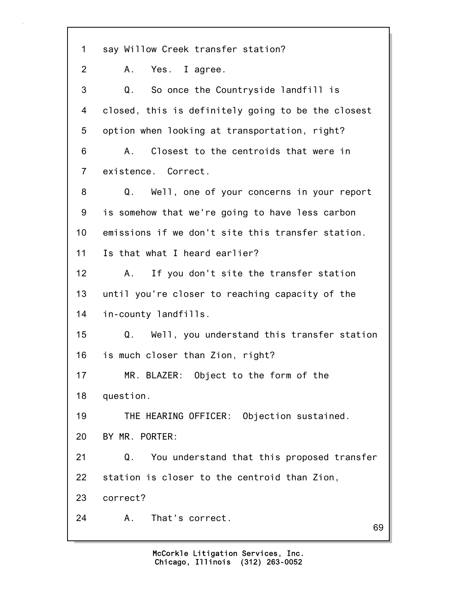69 1 say Willow Creek transfer station? 2 A. Yes. I agree. 3 Q. So once the Countryside landfill is 4 closed, this is definitely going to be the closest 5 option when looking at transportation, right? 6 A. Closest to the centroids that were in 7 existence. Correct. 8 Q. Well, one of your concerns in your report 9 is somehow that we're going to have less carbon 10 emissions if we don't site this transfer station. 11 Is that what I heard earlier? 12 A. If you don't site the transfer station 13 until you're closer to reaching capacity of the 14 in-county landfills. 15 Q. Well, you understand this transfer station 16 is much closer than Zion, right? 17 MR. BLAZER: Object to the form of the 18 question. 19 THE HEARING OFFICER: Objection sustained. 20 BY MR. PORTER: 21 Q. You understand that this proposed transfer 22 station is closer to the centroid than Zion, 23 correct? 24 A. That's correct.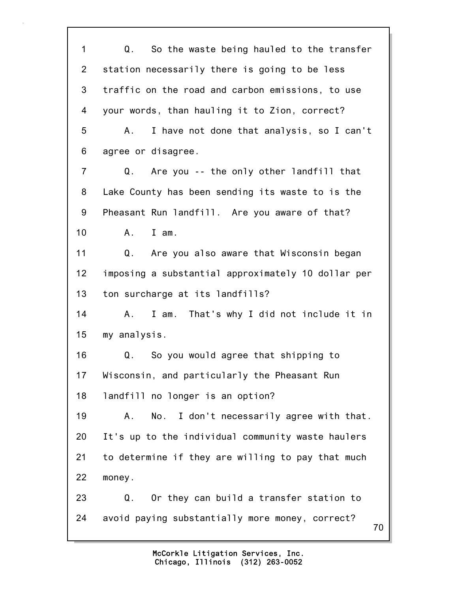70 1 Q. So the waste being hauled to the transfer 2 station necessarily there is going to be less 3 traffic on the road and carbon emissions, to use 4 your words, than hauling it to Zion, correct? 5 A. I have not done that analysis, so I can't 6 agree or disagree. 7 Q. Are you -- the only other landfill that 8 Lake County has been sending its waste to is the 9 Pheasant Run landfill. Are you aware of that? 10 A. I am. 11 Q. Are you also aware that Wisconsin began 12 imposing a substantial approximately 10 dollar per 13 ton surcharge at its landfills? 14 A. I am. That's why I did not include it in 15 my analysis. 16 Q. So you would agree that shipping to 17 Wisconsin, and particularly the Pheasant Run 18 landfill no longer is an option? 19 A. No. I don't necessarily agree with that. 20 It's up to the individual community waste haulers 21 to determine if they are willing to pay that much 22 money. 23 Q. Or they can build a transfer station to 24 avoid paying substantially more money, correct?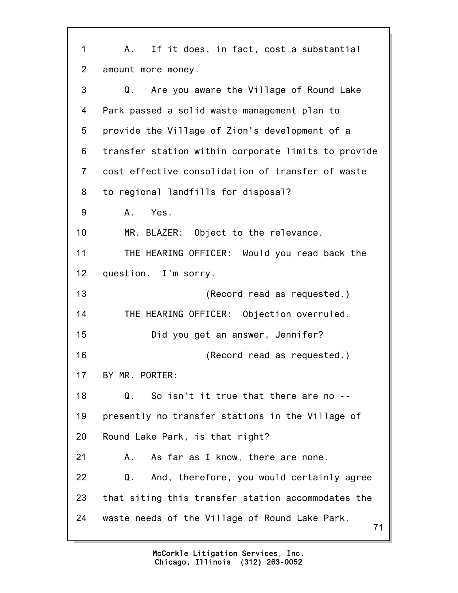71 1 A. If it does, in fact, cost a substantial 2 amount more money. 3 Q. Are you aware the Village of Round Lake 4 Park passed a solid waste management plan to 5 provide the Village of Zion's development of a 6 transfer station within corporate limits to provide 7 cost effective consolidation of transfer of waste 8 to regional landfills for disposal? 9 A. Yes. 10 MR. BLAZER: Object to the relevance. 11 THE HEARING OFFICER: Would you read back the 12 question. I'm sorry. 13 **(Record read as requested.)** 14 THE HEARING OFFICER: Objection overruled. 15 Did you get an answer, Jennifer? 16 (Record read as requested.) 17 BY MR. PORTER: 18 Q. So isn't it true that there are no -- 19 presently no transfer stations in the Village of 20 Round Lake Park, is that right? 21 A. As far as I know, there are none. 22 Q. And, therefore, you would certainly agree 23 that siting this transfer station accommodates the 24 waste needs of the Village of Round Lake Park,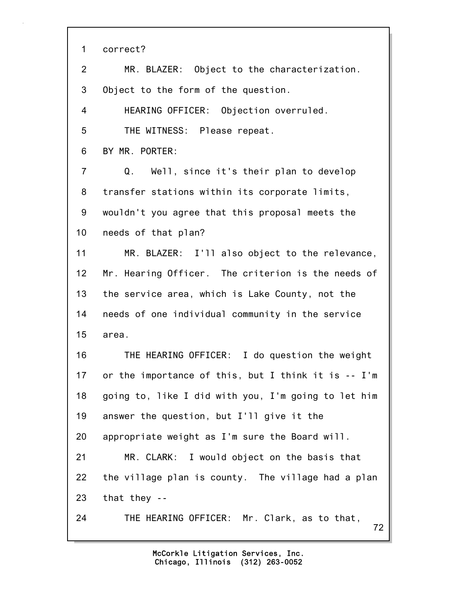1 correct?

72 2 MR. BLAZER: Object to the characterization. 3 Object to the form of the question. 4 HEARING OFFICER: Objection overruled. 5 THE WITNESS: Please repeat. 6 BY MR. PORTER: 7 Q. Well, since it's their plan to develop 8 transfer stations within its corporate limits, 9 wouldn't you agree that this proposal meets the 10 needs of that plan? 11 MR. BLAZER: I'll also object to the relevance, 12 Mr. Hearing Officer. The criterion is the needs of 13 the service area, which is Lake County, not the 14 needs of one individual community in the service 15 area. 16 THE HEARING OFFICER: I do question the weight 17 or the importance of this, but I think it is -- I'm 18 going to, like I did with you, I'm going to let him 19 answer the question, but I'll give it the 20 appropriate weight as I'm sure the Board will. 21 MR. CLARK: I would object on the basis that 22 the village plan is county. The village had a plan 23 that they -- 24 THE HEARING OFFICER: Mr. Clark, as to that,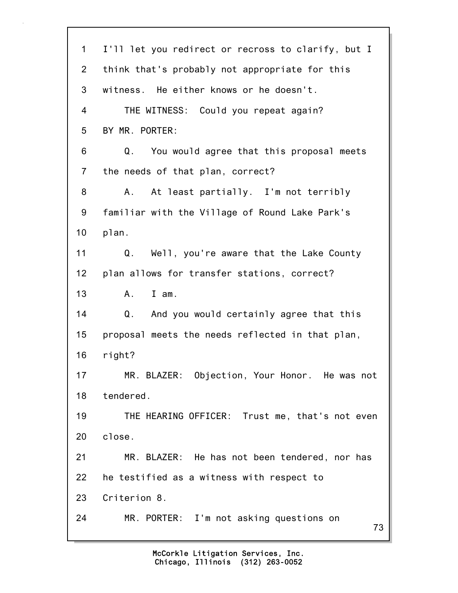| $\mathbf 1$    | I'll let you redirect or recross to clarify, but I |
|----------------|----------------------------------------------------|
| $\overline{2}$ | think that's probably not appropriate for this     |
| 3              | witness. He either knows or he doesn't.            |
| 4              | THE WITNESS: Could you repeat again?               |
| 5              | BY MR. PORTER:                                     |
| 6              | You would agree that this proposal meets<br>Q.     |
| $\overline{7}$ | the needs of that plan, correct?                   |
| 8              | At least partially. I'm not terribly<br>Α.         |
| 9              | familiar with the Village of Round Lake Park's     |
| 10             | plan.                                              |
| 11             | Q.<br>Well, you're aware that the Lake County      |
| 12             | plan allows for transfer stations, correct?        |
| 13             | I am.<br>A.                                        |
| 14             | Q. And you would certainly agree that this         |
| 15             | proposal meets the needs reflected in that plan,   |
| 16             | right?                                             |
| 17             | MR. BLAZER: Objection, Your Honor. He was not      |
| 18             | tendered.                                          |
| 19             | THE HEARING OFFICER: Trust me, that's not even     |
| 20             | close.                                             |
| 21             | MR. BLAZER: He has not been tendered, nor has      |
| 22             | he testified as a witness with respect to          |
| 23             | Criterion 8.                                       |
| 24             | MR. PORTER: I'm not asking questions on<br>73      |
|                |                                                    |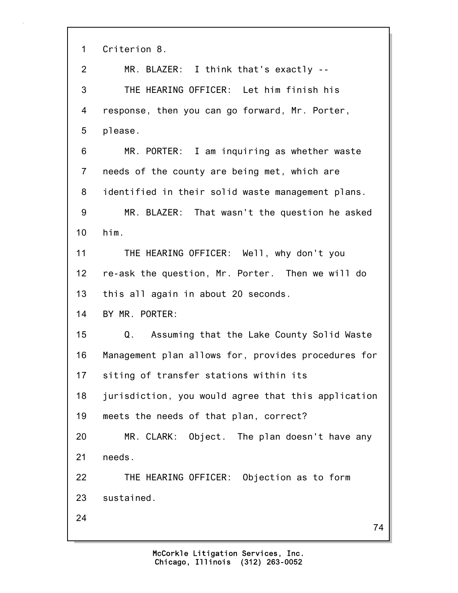| 1              | Criterion 8.                                        |
|----------------|-----------------------------------------------------|
| $\overline{2}$ | MR. BLAZER: I think that's exactly --               |
| 3              | THE HEARING OFFICER: Let him finish his             |
| 4              | response, then you can go forward, Mr. Porter,      |
| 5              | please.                                             |
| 6              | MR. PORTER: I am inquiring as whether waste         |
| $\overline{7}$ | needs of the county are being met, which are        |
| 8              | identified in their solid waste management plans.   |
| 9              | MR. BLAZER: That wasn't the question he asked       |
| 10             | him.                                                |
| 11             | THE HEARING OFFICER: Well, why don't you            |
| 12             | re-ask the question, Mr. Porter. Then we will do    |
| 13             | this all again in about 20 seconds.                 |
| 14             | BY MR. PORTER:                                      |
| 15             | Q. Assuming that the Lake County Solid Waste        |
| 16             | Management plan allows for, provides procedures for |
| 17             | siting of transfer stations within its              |
| 18             | jurisdiction, you would agree that this application |
| 19             | meets the needs of that plan, correct?              |
| 20             | MR. CLARK: Object. The plan doesn't have any        |
| 21             | needs.                                              |
| 22             | THE HEARING OFFICER: Objection as to form           |
| 23             | sustained.                                          |
| 24             | 74                                                  |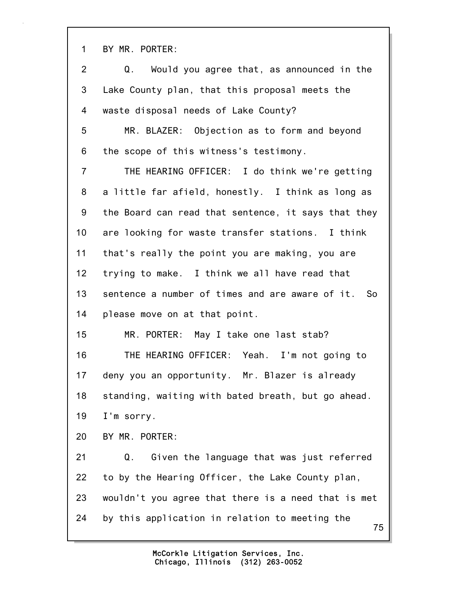1 BY MR. PORTER:

| $\overline{2}$  | Q. Would you agree that, as announced in the         |
|-----------------|------------------------------------------------------|
| 3               | Lake County plan, that this proposal meets the       |
| 4               | waste disposal needs of Lake County?                 |
| 5               | MR. BLAZER: Objection as to form and beyond          |
| 6               | the scope of this witness's testimony.               |
| 7               | THE HEARING OFFICER: I do think we're getting        |
| 8               | a little far afield, honestly. I think as long as    |
| 9               | the Board can read that sentence, it says that they  |
| 10 <sub>1</sub> | are looking for waste transfer stations. I think     |
| 11              | that's really the point you are making, you are      |
| 12              | trying to make. I think we all have read that        |
| 13              | sentence a number of times and are aware of it. So   |
| 14              | please move on at that point.                        |
| 15              | MR. PORTER: May I take one last stab?                |
| 16              | THE HEARING OFFICER: Yeah. I'm not going to          |
| 17              | deny you an opportunity. Mr. Blazer is already       |
| 18              | standing, waiting with bated breath, but go ahead.   |
| 19              | I'm sorry.                                           |
| 20              | BY MR. PORTER:                                       |
| 21              | Given the language that was just referred<br>Q.      |
| 22              | to by the Hearing Officer, the Lake County plan,     |
| 23              | wouldn't you agree that there is a need that is met  |
| 24              | by this application in relation to meeting the<br>75 |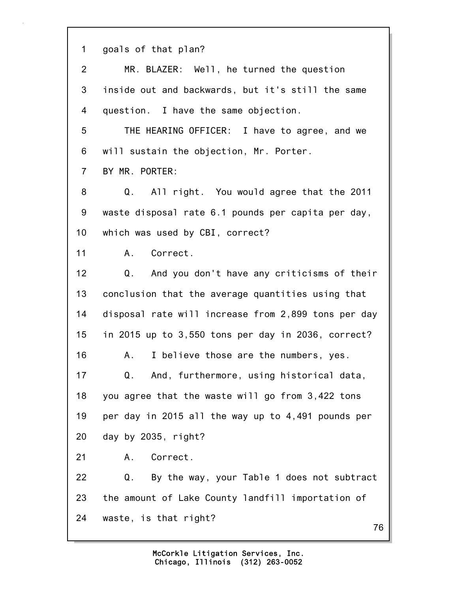1 goals of that plan?

| 2              | MR. BLAZER: Well, he turned the question            |
|----------------|-----------------------------------------------------|
| 3              | inside out and backwards, but it's still the same   |
| 4              | question. I have the same objection.                |
| 5              | THE HEARING OFFICER: I have to agree, and we        |
| 6              | will sustain the objection, Mr. Porter.             |
| $\overline{7}$ | BY MR. PORTER:                                      |
| 8              | Q. All right. You would agree that the 2011         |
| 9              | waste disposal rate 6.1 pounds per capita per day,  |
| 10             | which was used by CBI, correct?                     |
| 11             | A. Correct.                                         |
| 12             | Q. And you don't have any criticisms of their       |
| 13             | conclusion that the average quantities using that   |
| 14             | disposal rate will increase from 2,899 tons per day |
| 15             | in 2015 up to 3,550 tons per day in 2036, correct?  |
| 16             | I believe those are the numbers, yes.<br>Α.         |
| 17             | And, furthermore, using historical data,<br>Q.      |
| 18             | you agree that the waste will go from 3,422 tons    |
| 19             | per day in 2015 all the way up to 4,491 pounds per  |
| 20             | day by 2035, right?                                 |
| 21             | Correct.<br>Α.                                      |
| 22             | By the way, your Table 1 does not subtract<br>Q.    |
| 23             | the amount of Lake County landfill importation of   |
| 24             | waste, is that right?<br>76                         |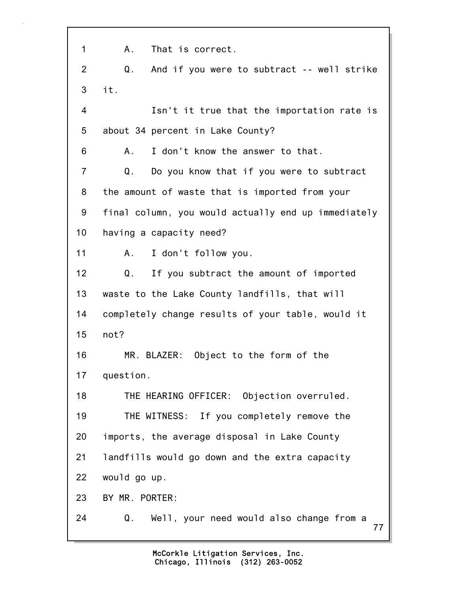77 1 A. That is correct. 2 Q. And if you were to subtract -- well strike 3 it. 4 Isn't it true that the importation rate is 5 about 34 percent in Lake County? 6 A. I don't know the answer to that. 7 Q. Do you know that if you were to subtract 8 the amount of waste that is imported from your 9 final column, you would actually end up immediately 10 having a capacity need? 11 A. I don't follow you. 12 Q. If you subtract the amount of imported 13 waste to the Lake County landfills, that will 14 completely change results of your table, would it 15 not? 16 MR. BLAZER: Object to the form of the 17 question. 18 THE HEARING OFFICER: Objection overruled. 19 THE WITNESS: If you completely remove the 20 imports, the average disposal in Lake County 21 landfills would go down and the extra capacity 22 would go up. 23 BY MR. PORTER: 24 Q. Well, your need would also change from a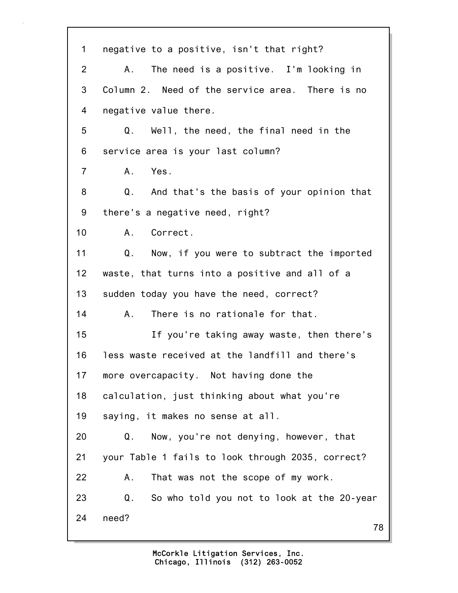| $\mathbf 1$    | negative to a positive, isn't that right?         |
|----------------|---------------------------------------------------|
| $\overline{2}$ | The need is a positive. I'm looking in<br>A.,     |
| 3              | Column 2. Need of the service area. There is no   |
| 4              | negative value there.                             |
| 5              | Q. Well, the need, the final need in the          |
| 6              | service area is your last column?                 |
| $\overline{7}$ | A. Yes.                                           |
| 8              | Q. And that's the basis of your opinion that      |
| 9              | there's a negative need, right?                   |
| 10             | Correct.<br>A.                                    |
| 11             | Q.<br>Now, if you were to subtract the imported   |
| 12             | waste, that turns into a positive and all of a    |
| 13             | sudden today you have the need, correct?          |
| 14             | There is no rationale for that.<br>Α.             |
| 15             | If you're taking away waste, then there's         |
| 16             | less waste received at the landfill and there's   |
| 17             | more overcapacity. Not having done the            |
| 18             | calculation, just thinking about what you're      |
| 19             | saying, it makes no sense at all.                 |
| 20             | Q.<br>Now, you're not denying, however, that      |
| 21             | your Table 1 fails to look through 2035, correct? |
| 22             | That was not the scope of my work.<br>Α.          |
| 23             | Q.<br>So who told you not to look at the 20-year  |
| 24             | need?<br>78                                       |
|                |                                                   |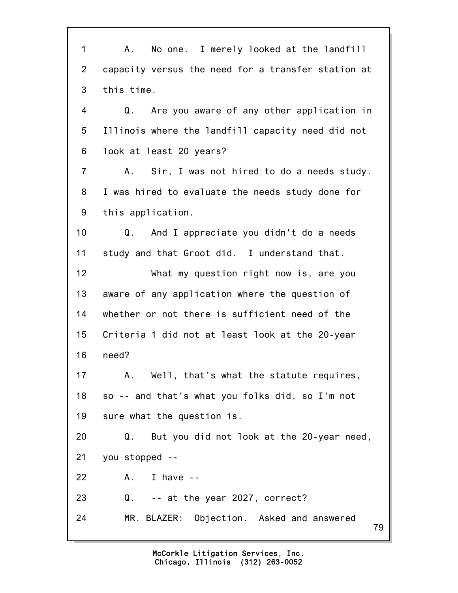79 1 A. No one. I merely looked at the landfill 2 capacity versus the need for a transfer station at 3 this time. 4 Q. Are you aware of any other application in 5 Illinois where the landfill capacity need did not 6 look at least 20 years? 7 A. Sir, I was not hired to do a needs study. 8 I was hired to evaluate the needs study done for 9 this application. 10 Q. And I appreciate you didn't do a needs 11 study and that Groot did. I understand that. 12 What my question right now is, are you 13 aware of any application where the question of 14 whether or not there is sufficient need of the 15 Criteria 1 did not at least look at the 20-year 16 need? 17 A. Well, that's what the statute requires, 18 so -- and that's what you folks did, so I'm not 19 sure what the question is. 20 Q. But you did not look at the 20-year need, 21 you stopped -- 22 A. I have -- 23 Q. -- at the year 2027, correct? 24 MR. BLAZER: Objection. Asked and answered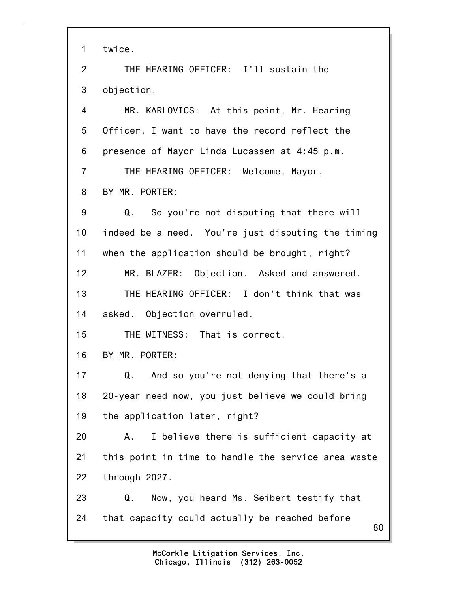1 twice.

2 THE HEARING OFFICER: I'll sustain the 3 objection.

4 MR. KARLOVICS: At this point, Mr. Hearing 5 Officer, I want to have the record reflect the 6 presence of Mayor Linda Lucassen at 4:45 p.m. 7 THE HEARING OFFICER: Welcome, Mayor.

8 BY MR. PORTER:

9 Q. So you're not disputing that there will 10 indeed be a need. You're just disputing the timing 11 when the application should be brought, right? 12 MR. BLAZER: Objection. Asked and answered.

13 THE HEARING OFFICER: I don't think that was 14 asked. Objection overruled.

15 THE WITNESS: That is correct.

16 BY MR. PORTER:

17 Q. And so you're not denying that there's a 18 20-year need now, you just believe we could bring 19 the application later, right?

20 A. I believe there is sufficient capacity at 21 this point in time to handle the service area waste 22 through 2027.

23 Q. Now, you heard Ms. Seibert testify that 24 that capacity could actually be reached before

80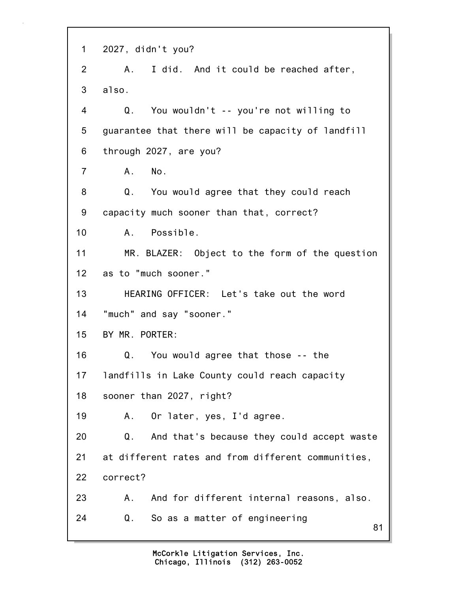81 1 2027, didn't you? 2 A. I did. And it could be reached after, 3 also. 4 Q. You wouldn't -- you're not willing to 5 guarantee that there will be capacity of landfill 6 through 2027, are you? 7 A. No. 8 Q. You would agree that they could reach 9 capacity much sooner than that, correct? 10 A. Possible. 11 MR. BLAZER: Object to the form of the question 12 as to "much sooner." 13 HEARING OFFICER: Let's take out the word 14 "much" and say "sooner." 15 BY MR. PORTER: 16 Q. You would agree that those -- the 17 landfills in Lake County could reach capacity 18 sooner than 2027, right? 19 A. Or later, yes, I'd agree. 20 Q. And that's because they could accept waste 21 at different rates and from different communities, 22 correct? 23 A. And for different internal reasons, also. 24 Q. So as a matter of engineering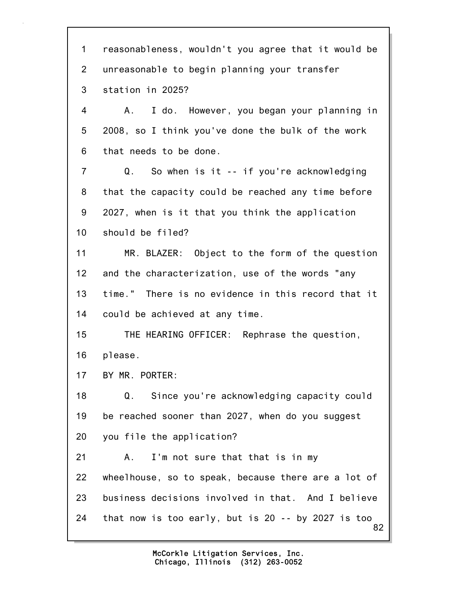82 1 reasonableness, wouldn't you agree that it would be 2 unreasonable to begin planning your transfer 3 station in 2025? 4 A. I do. However, you began your planning in 5 2008, so I think you've done the bulk of the work 6 that needs to be done. 7 Q. So when is it -- if you're acknowledging 8 that the capacity could be reached any time before 9 2027, when is it that you think the application 10 should be filed? 11 MR. BLAZER: Object to the form of the question 12 and the characterization, use of the words "any 13 time." There is no evidence in this record that it 14 could be achieved at any time. 15 THE HEARING OFFICER: Rephrase the question, 16 please. 17 BY MR. PORTER: 18 Q. Since you're acknowledging capacity could 19 be reached sooner than 2027, when do you suggest 20 you file the application? 21 A. I'm not sure that that is in my 22 wheelhouse, so to speak, because there are a lot of 23 business decisions involved in that. And I believe 24 that now is too early, but is 20 -- by 2027 is too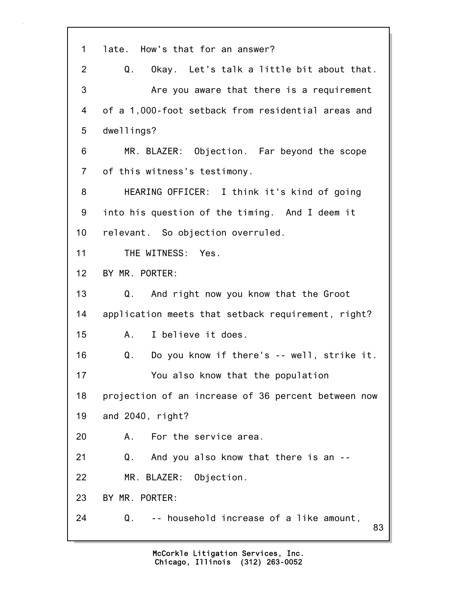| 1              | late. How's that for an answer?                     |
|----------------|-----------------------------------------------------|
| $\overline{2}$ | Okay. Let's talk a little bit about that.<br>Q.     |
| 3              | Are you aware that there is a requirement           |
| 4              | of a 1,000-foot setback from residential areas and  |
| 5              | dwellings?                                          |
| 6              | MR. BLAZER: Objection. Far beyond the scope         |
| $\overline{7}$ | of this witness's testimony.                        |
| 8              | HEARING OFFICER: I think it's kind of going         |
| 9              | into his question of the timing. And I deem it      |
| 10             | relevant. So objection overruled.                   |
| 11             | THE WITNESS: Yes.                                   |
| 12             | BY MR. PORTER:                                      |
| 13             | Q. And right now you know that the Groot            |
| 14             | application meets that setback requirement, right?  |
| 15             | I believe it does.<br>A.,                           |
| 16             | Do you know if there's -- well, strike it.<br>Q.    |
| 17             | You also know that the population                   |
| 18             | projection of an increase of 36 percent between now |
| 19             | and 2040, right?                                    |
| 20             | For the service area.<br>А.                         |
| 21             | Q. And you also know that there is an --            |
| 22             | MR. BLAZER: Objection.                              |
| 23             | BY MR. PORTER:                                      |
| 24             | Q.<br>-- household increase of a like amount,<br>83 |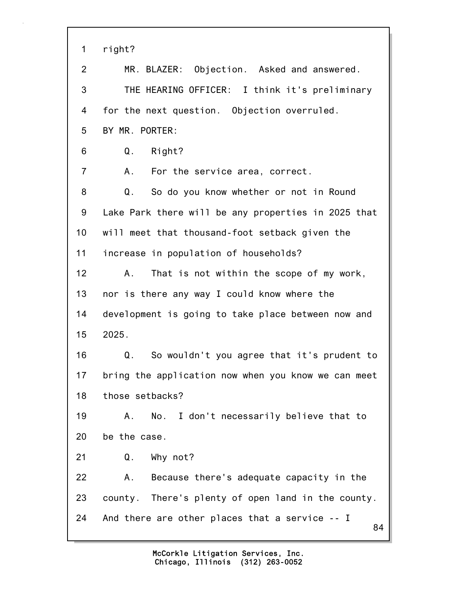| 1              | right?                                               |
|----------------|------------------------------------------------------|
|                |                                                      |
| $\overline{2}$ | MR. BLAZER: Objection. Asked and answered.           |
| 3              | THE HEARING OFFICER: I think it's preliminary        |
| 4              | for the next question. Objection overruled.          |
| 5              | BY MR. PORTER:                                       |
| 6              | Right?<br>Q.                                         |
| 7              | For the service area, correct.<br>А.                 |
| 8              | Q.<br>So do you know whether or not in Round         |
| 9              | Lake Park there will be any properties in 2025 that  |
| 10             | will meet that thousand-foot setback given the       |
| 11             | increase in population of households?                |
| 12             | That is not within the scope of my work,<br>Α.       |
| 13             | nor is there any way I could know where the          |
| 14             | development is going to take place between now and   |
| 15             | 2025.                                                |
| 16             | So wouldn't you agree that it's prudent to<br>Q.     |
| 17             | bring the application now when you know we can meet  |
| 18             | those setbacks?                                      |
| 19             | No. I don't necessarily believe that to<br>Α.        |
| 20             | be the case.                                         |
| 21             | Why not?<br>Q.                                       |
| 22             | Because there's adequate capacity in the<br>Α.       |
| 23             | county. There's plenty of open land in the county.   |
| 24             | And there are other places that a service -- I<br>84 |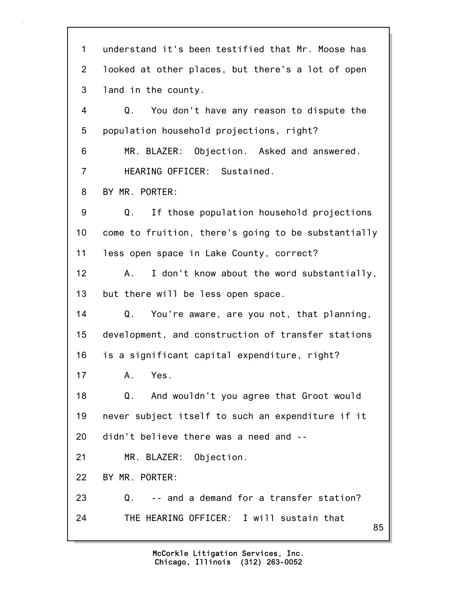85 1 understand it's been testified that Mr. Moose has 2 looked at other places, but there's a lot of open 3 land in the county. 4 Q. You don't have any reason to dispute the 5 population household projections, right? 6 MR. BLAZER: Objection. Asked and answered. 7 HEARING OFFICER: Sustained. 8 BY MR. PORTER: 9 Q. If those population household projections 10 come to fruition, there's going to be substantially 11 less open space in Lake County, correct? 12 A. I don't know about the word substantially, 13 but there will be less open space. 14 Q. You're aware, are you not, that planning, 15 development, and construction of transfer stations 16 is a significant capital expenditure, right? 17 A. Yes. 18 Q. And wouldn't you agree that Groot would 19 never subject itself to such an expenditure if it 20 didn't believe there was a need and -- 21 MR. BLAZER: Objection. 22 BY MR. PORTER: 23 Q. -- and a demand for a transfer station? 24 THE HEARING OFFICER: I will sustain that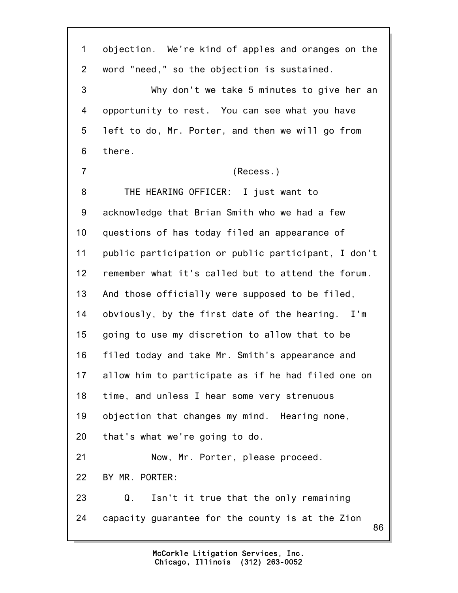86 1 objection. We're kind of apples and oranges on the 2 word "need," so the objection is sustained. 3 Why don't we take 5 minutes to give her an 4 opportunity to rest. You can see what you have 5 left to do, Mr. Porter, and then we will go from 6 there. 7 (Recess.) 8 THE HEARING OFFICER: I just want to 9 acknowledge that Brian Smith who we had a few 10 questions of has today filed an appearance of 11 public participation or public participant, I don't 12 remember what it's called but to attend the forum. 13 And those officially were supposed to be filed, 14 obviously, by the first date of the hearing. I'm 15 going to use my discretion to allow that to be 16 filed today and take Mr. Smith's appearance and 17 allow him to participate as if he had filed one on 18 time, and unless I hear some very strenuous 19 objection that changes my mind. Hearing none, 20 that's what we're going to do. 21 Now, Mr. Porter, please proceed. 22 BY MR. PORTER: 23 Q. Isn't it true that the only remaining 24 capacity guarantee for the county is at the Zion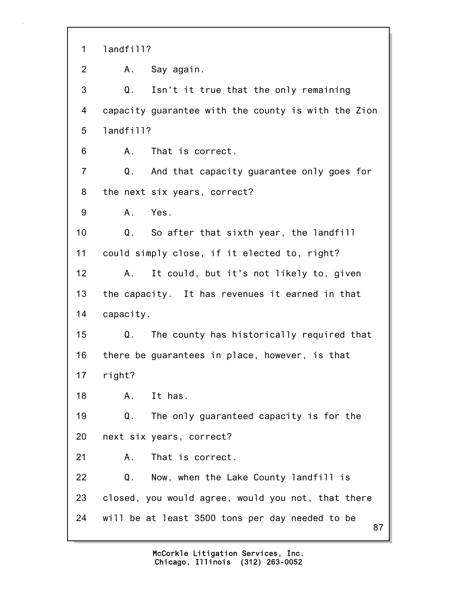87 1 landfill? 2 A. Say again. 3 Q. Isn't it true that the only remaining 4 capacity guarantee with the county is with the Zion 5 landfill? 6 A. That is correct. 7 Q. And that capacity guarantee only goes for 8 the next six years, correct? 9 A. Yes. 10 Q. So after that sixth year, the landfill 11 could simply close, if it elected to, right? 12 A. It could, but it's not likely to, given 13 the capacity. It has revenues it earned in that 14 capacity. 15 Q. The county has historically required that 16 there be guarantees in place, however, is that 17 right? 18 A. It has. 19 Q. The only guaranteed capacity is for the 20 next six years, correct? 21 A. That is correct. 22 Q. Now, when the Lake County landfill is 23 closed, you would agree, would you not, that there 24 will be at least 3500 tons per day needed to be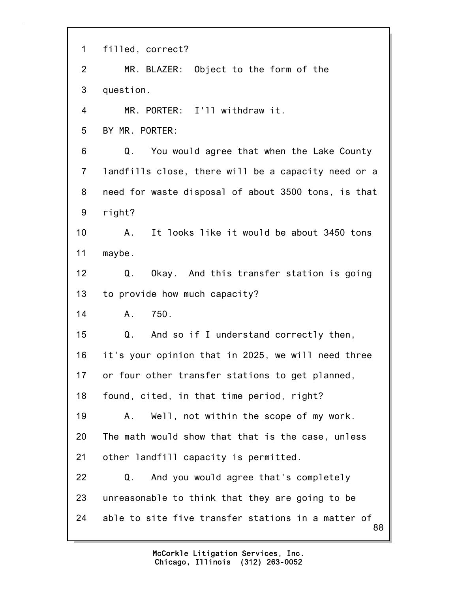| $\mathbf 1$    | filled, correct?                                         |
|----------------|----------------------------------------------------------|
| $\overline{2}$ | MR. BLAZER: Object to the form of the                    |
| 3              | question.                                                |
| 4              | MR. PORTER: I'll withdraw it.                            |
| 5              | BY MR. PORTER:                                           |
| 6              | Q.<br>You would agree that when the Lake County          |
| $\overline{7}$ | landfills close, there will be a capacity need or a      |
| 8              | need for waste disposal of about 3500 tons, is that      |
| 9              | right?                                                   |
| 10             | It looks like it would be about 3450 tons<br>A.          |
| 11             | maybe.                                                   |
| 12             | Q.<br>Okay. And this transfer station is going           |
| 13             | to provide how much capacity?                            |
| 14             | 750.<br>A.                                               |
| 15             | Q.<br>And so if I understand correctly then,             |
| 16             | it's your opinion that in 2025, we will need three       |
| 17             | or four other transfer stations to get planned,          |
| 18             | found, cited, in that time period, right?                |
| 19             | Well, not within the scope of my work.<br>Α.             |
| 20             | The math would show that that is the case, unless        |
| 21             | other landfill capacity is permitted.                    |
| 22             | And you would agree that's completely<br>Q.              |
| 23             | unreasonable to think that they are going to be          |
| 24             | able to site five transfer stations in a matter of<br>88 |

Ē,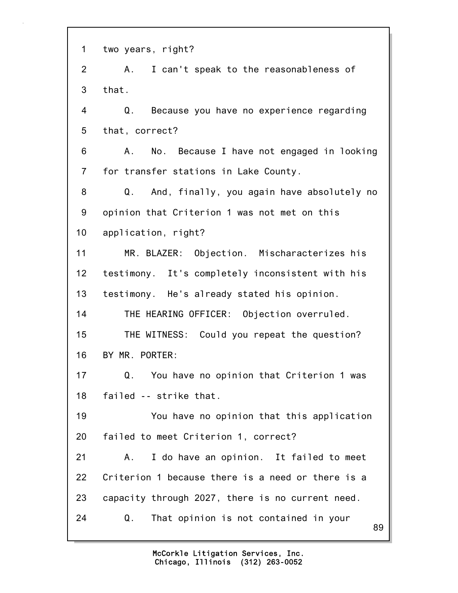89 1 two years, right? 2 A. I can't speak to the reasonableness of 3 that. 4 Q. Because you have no experience regarding 5 that, correct? 6 A. No. Because I have not engaged in looking 7 for transfer stations in Lake County. 8 Q. And, finally, you again have absolutely no 9 opinion that Criterion 1 was not met on this 10 application, right? 11 MR. BLAZER: Objection. Mischaracterizes his 12 testimony. It's completely inconsistent with his 13 testimony. He's already stated his opinion. 14 THE HEARING OFFICER: Objection overruled. 15 THE WITNESS: Could you repeat the question? 16 BY MR. PORTER: 17 Q. You have no opinion that Criterion 1 was 18 failed -- strike that. 19 You have no opinion that this application 20 failed to meet Criterion 1, correct? 21 A. I do have an opinion. It failed to meet 22 Criterion 1 because there is a need or there is a 23 capacity through 2027, there is no current need. 24 Q. That opinion is not contained in your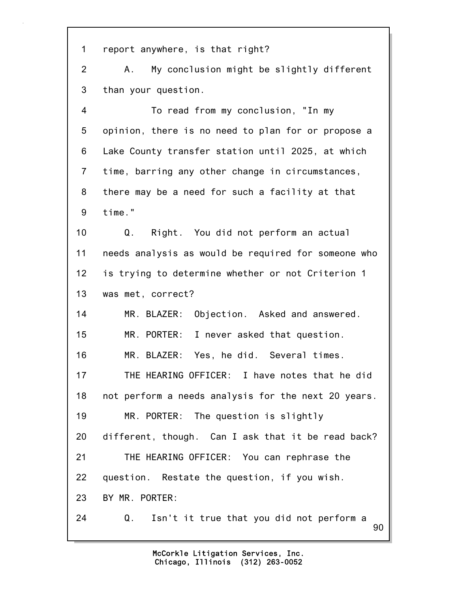1 report anywhere, is that right?

2 A. My conclusion might be slightly different 3 than your question.

4 To read from my conclusion, "In my 5 opinion, there is no need to plan for or propose a 6 Lake County transfer station until 2025, at which 7 time, barring any other change in circumstances, 8 there may be a need for such a facility at that 9 time."

10 Q. Right. You did not perform an actual 11 needs analysis as would be required for someone who 12 is trying to determine whether or not Criterion 1 13 was met, correct?

14 MR. BLAZER: Objection. Asked and answered. 15 MR. PORTER: I never asked that question. 16 MR. BLAZER: Yes, he did. Several times. 17 THE HEARING OFFICER: I have notes that he did 18 not perform a needs analysis for the next 20 years. 19 MR. PORTER: The question is slightly 20 different, though. Can I ask that it be read back? 21 THE HEARING OFFICER: You can rephrase the 22 question. Restate the question, if you wish. 23 BY MR. PORTER: 24 Q. Isn't it true that you did not perform a

> Chicago, Illinois (312) 263-0052 McCorkle Litigation Services, Inc.

90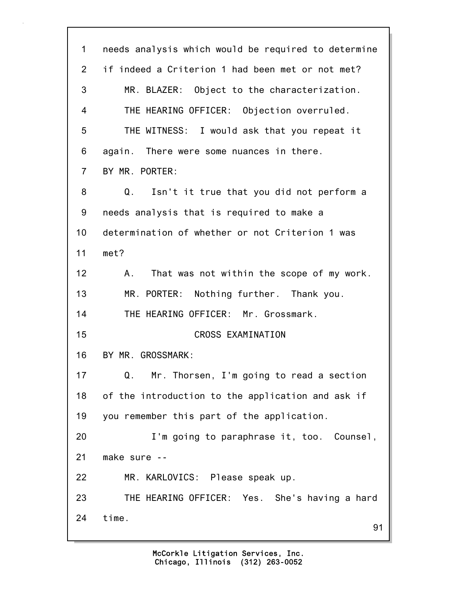91 1 needs analysis which would be required to determine 2 if indeed a Criterion 1 had been met or not met? 3 MR. BLAZER: Object to the characterization. 4 THE HEARING OFFICER: Objection overruled. 5 THE WITNESS: I would ask that you repeat it 6 again. There were some nuances in there. 7 BY MR. PORTER: 8 Q. Isn't it true that you did not perform a 9 needs analysis that is required to make a 10 determination of whether or not Criterion 1 was 11 met? 12 A. That was not within the scope of my work. 13 MR. PORTER: Nothing further. Thank you. 14 THE HEARING OFFICER: Mr. Grossmark. 15 CROSS EXAMINATION 16 BY MR. GROSSMARK: 17 Q. Mr. Thorsen, I'm going to read a section 18 of the introduction to the application and ask if 19 you remember this part of the application. 20 I'm going to paraphrase it, too. Counsel, 21 make sure -- 22 MR. KARLOVICS: Please speak up. 23 THE HEARING OFFICER: Yes. She's having a hard 24 time.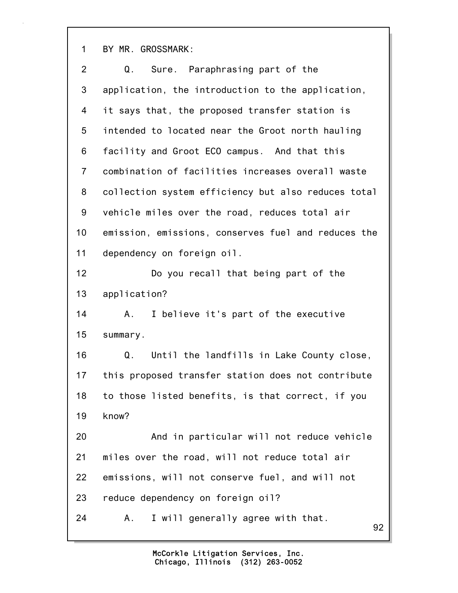1 BY MR. GROSSMARK:

| $\overline{2}$ | Sure. Paraphrasing part of the<br>Q.                |
|----------------|-----------------------------------------------------|
| 3              | application, the introduction to the application,   |
| 4              | it says that, the proposed transfer station is      |
| 5              | intended to located near the Groot north hauling    |
| 6              | facility and Groot ECO campus. And that this        |
| $\overline{7}$ | combination of facilities increases overall waste   |
| 8              | collection system efficiency but also reduces total |
| 9              | vehicle miles over the road, reduces total air      |
| 10             | emission, emissions, conserves fuel and reduces the |
| 11             | dependency on foreign oil.                          |
| 12             | Do you recall that being part of the                |
| 13             | application?                                        |
| 14             | I believe it's part of the executive<br>Α.          |
| 15             | summary.                                            |
| 16             | Until the landfills in Lake County close,<br>Q.     |
| 17             | this proposed transfer station does not contribute  |
| 18             | to those listed benefits, is that correct, if you   |
| 19             | know?                                               |
| 20             | And in particular will not reduce vehicle           |
| 21             | miles over the road, will not reduce total air      |
| 22             | emissions, will not conserve fuel, and will not     |
| 23             | reduce dependency on foreign oil?                   |
| 24             | I will generally agree with that.<br>Α.<br>92       |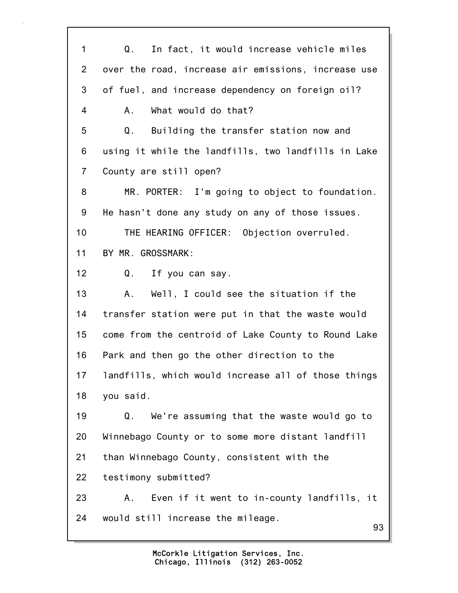93 1 Q. In fact, it would increase vehicle miles 2 over the road, increase air emissions, increase use 3 of fuel, and increase dependency on foreign oil? 4 A. What would do that? 5 Q. Building the transfer station now and 6 using it while the landfills, two landfills in Lake 7 County are still open? 8 MR. PORTER: I'm going to object to foundation. 9 He hasn't done any study on any of those issues. 10 THE HEARING OFFICER: Objection overruled. 11 BY MR. GROSSMARK: 12 Q. If you can say. 13 A. Well, I could see the situation if the 14 transfer station were put in that the waste would 15 come from the centroid of Lake County to Round Lake 16 Park and then go the other direction to the 17 landfills, which would increase all of those things 18 you said. 19 Q. We're assuming that the waste would go to 20 Winnebago County or to some more distant landfill 21 than Winnebago County, consistent with the 22 testimony submitted? 23 A. Even if it went to in-county landfills, it 24 would still increase the mileage.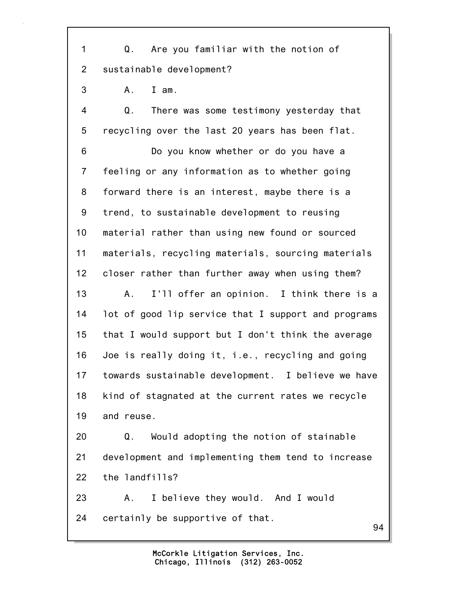1 Q. Are you familiar with the notion of 2 sustainable development?

3 A. I am.

4 Q. There was some testimony yesterday that 5 recycling over the last 20 years has been flat.

6 Do you know whether or do you have a 7 feeling or any information as to whether going 8 forward there is an interest, maybe there is a 9 trend, to sustainable development to reusing 10 material rather than using new found or sourced 11 materials, recycling materials, sourcing materials 12 closer rather than further away when using them? 13 A. I'll offer an opinion. I think there is a 14 lot of good lip service that I support and programs 15 that I would support but I don't think the average 16 Joe is really doing it, i.e., recycling and going 17 towards sustainable development. I believe we have 18 kind of stagnated at the current rates we recycle 19 and reuse. 20 Q. Would adopting the notion of stainable

21 development and implementing them tend to increase 22 the landfills?

23 A. I believe they would. And I would 24 certainly be supportive of that.

94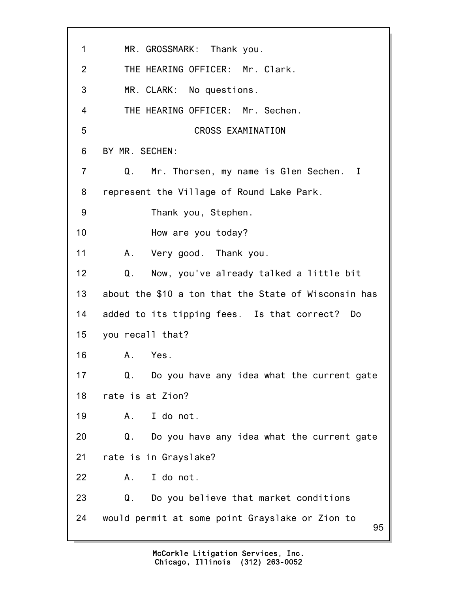| 1               | MR. GROSSMARK: Thank you.                             |
|-----------------|-------------------------------------------------------|
| 2               | THE HEARING OFFICER: Mr. Clark.                       |
| 3               | MR. CLARK: No questions.                              |
| $\overline{4}$  | THE HEARING OFFICER: Mr. Sechen.                      |
| 5               | CROSS EXAMINATION                                     |
| 6               | BY MR. SECHEN:                                        |
| $\overline{7}$  | Mr. Thorsen, my name is Glen Sechen. I<br>Q.          |
| 8               | represent the Village of Round Lake Park.             |
| 9               | Thank you, Stephen.                                   |
| 10              | How are you today?                                    |
| 11              | A. Very good. Thank you.                              |
| 12 <sub>2</sub> | Now, you've already talked a little bit<br>Q.         |
| 13              | about the \$10 a ton that the State of Wisconsin has  |
| 14              | added to its tipping fees. Is that correct? Do        |
| 15 <sub>1</sub> | you recall that?                                      |
| 16              | Yes.<br>A.                                            |
| 17              | Do you have any idea what the current gate<br>Q.      |
| 18              | rate is at Zion?                                      |
| 19              | I do not.<br>А.                                       |
| 20              | Q.<br>Do you have any idea what the current gate      |
| 21              | rate is in Grayslake?                                 |
| 22              | I do not.<br>A.,                                      |
| 23              | Q.<br>Do you believe that market conditions           |
| 24              | would permit at some point Grayslake or Zion to<br>95 |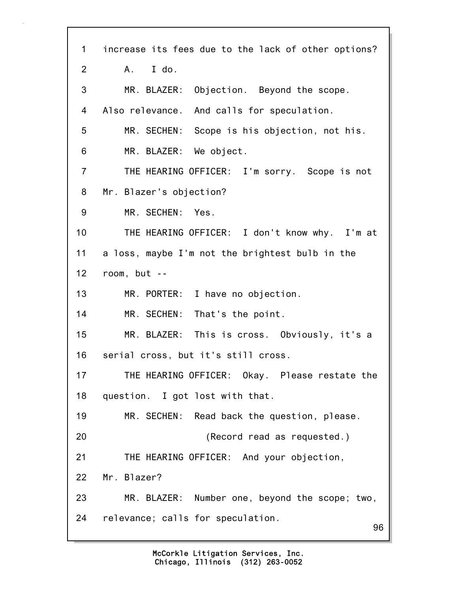96 1 increase its fees due to the lack of other options? 2 A. I do. 3 MR. BLAZER: Objection. Beyond the scope. 4 Also relevance. And calls for speculation. 5 MR. SECHEN: Scope is his objection, not his. 6 MR. BLAZER: We object. 7 THE HEARING OFFICER: I'm sorry. Scope is not 8 Mr. Blazer's objection? 9 MR. SECHEN: Yes. 10 THE HEARING OFFICER: I don't know why. I'm at 11 a loss, maybe I'm not the brightest bulb in the 12 room, but -- 13 MR. PORTER: I have no objection. 14 MR. SECHEN: That's the point. 15 MR. BLAZER: This is cross. Obviously, it's a 16 serial cross, but it's still cross. 17 THE HEARING OFFICER: Okay. Please restate the 18 question. I got lost with that. 19 MR. SECHEN: Read back the question, please. 20 (Record read as requested.) 21 THE HEARING OFFICER: And your objection, 22 Mr. Blazer? 23 MR. BLAZER: Number one, beyond the scope; two, 24 relevance; calls for speculation.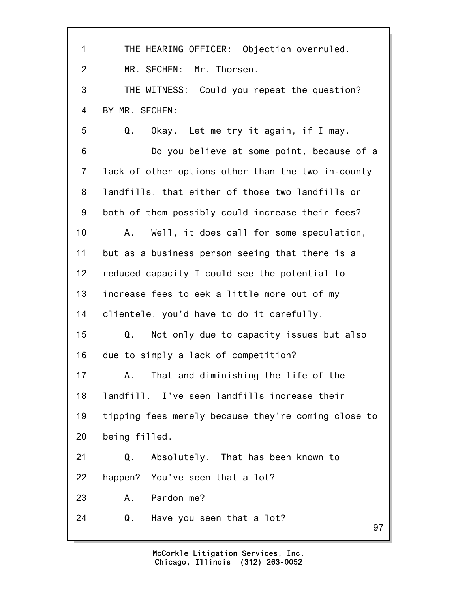97 1 THE HEARING OFFICER: Objection overruled. 2 MR. SECHEN: Mr. Thorsen. 3 THE WITNESS: Could you repeat the question? 4 BY MR. SECHEN: 5 Q. Okay. Let me try it again, if I may. 6 Do you believe at some point, because of a 7 lack of other options other than the two in-county 8 landfills, that either of those two landfills or 9 both of them possibly could increase their fees? 10 A. Well, it does call for some speculation, 11 but as a business person seeing that there is a 12 reduced capacity I could see the potential to 13 increase fees to eek a little more out of my 14 clientele, you'd have to do it carefully. 15 Q. Not only due to capacity issues but also 16 due to simply a lack of competition? 17 A. That and diminishing the life of the 18 landfill. I've seen landfills increase their 19 tipping fees merely because they're coming close to 20 being filled. 21 Q. Absolutely. That has been known to 22 happen? You've seen that a lot? 23 A. Pardon me? 24 Q. Have you seen that a lot?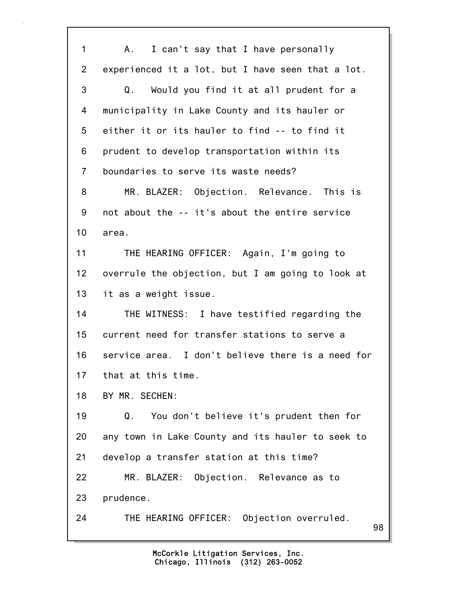98 1 A. I can't say that I have personally 2 experienced it a lot, but I have seen that a lot. 3 Q. Would you find it at all prudent for a 4 municipality in Lake County and its hauler or 5 either it or its hauler to find -- to find it 6 prudent to develop transportation within its 7 boundaries to serve its waste needs? 8 MR. BLAZER: Objection. Relevance. This is 9 not about the -- it's about the entire service 10 area. 11 THE HEARING OFFICER: Again, I'm going to 12 overrule the objection, but I am going to look at 13 it as a weight issue. 14 THE WITNESS: I have testified regarding the 15 current need for transfer stations to serve a 16 service area. I don't believe there is a need for 17 that at this time. 18 BY MR. SECHEN: 19 Q. You don't believe it's prudent then for 20 any town in Lake County and its hauler to seek to 21 develop a transfer station at this time? 22 MR. BLAZER: Objection. Relevance as to 23 prudence. 24 THE HEARING OFFICER: Objection overruled.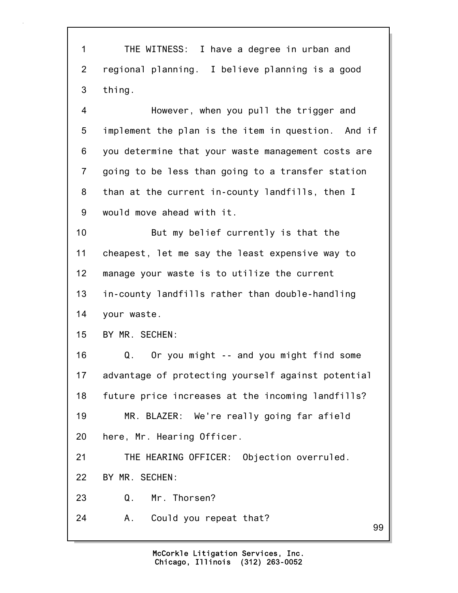1 THE WITNESS: I have a degree in urban and 2 regional planning. I believe planning is a good 3 thing. 4 However, when you pull the trigger and 5 implement the plan is the item in question. And if 6 you determine that your waste management costs are 7 going to be less than going to a transfer station

8 than at the current in-county landfills, then I 9 would move ahead with it.

10 But my belief currently is that the 11 cheapest, let me say the least expensive way to 12 manage your waste is to utilize the current 13 in-county landfills rather than double-handling 14 your waste.

15 BY MR. SECHEN:

16 Q. Or you might -- and you might find some 17 advantage of protecting yourself against potential 18 future price increases at the incoming landfills? 19 MR. BLAZER: We're really going far afield 20 here, Mr. Hearing Officer.

21 THE HEARING OFFICER: Objection overruled.

22 BY MR. SECHEN:

23 Q. Mr. Thorsen?

24 A. Could you repeat that?

99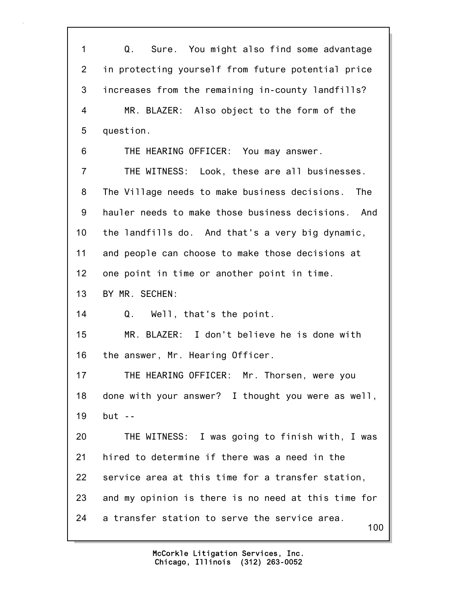100 1 Q. Sure. You might also find some advantage 2 in protecting yourself from future potential price 3 increases from the remaining in-county landfills? 4 MR. BLAZER: Also object to the form of the 5 question. 6 THE HEARING OFFICER: You may answer. 7 THE WITNESS: Look, these are all businesses. 8 The Village needs to make business decisions. The 9 hauler needs to make those business decisions. And 10 the landfills do. And that's a very big dynamic, 11 and people can choose to make those decisions at 12 one point in time or another point in time. 13 BY MR. SECHEN: 14 Q. Well, that's the point. 15 MR. BLAZER: I don't believe he is done with 16 the answer, Mr. Hearing Officer. 17 THE HEARING OFFICER: Mr. Thorsen, were you 18 done with your answer? I thought you were as well, 19 but -- 20 THE WITNESS: I was going to finish with, I was 21 hired to determine if there was a need in the 22 service area at this time for a transfer station, 23 and my opinion is there is no need at this time for 24 a transfer station to serve the service area.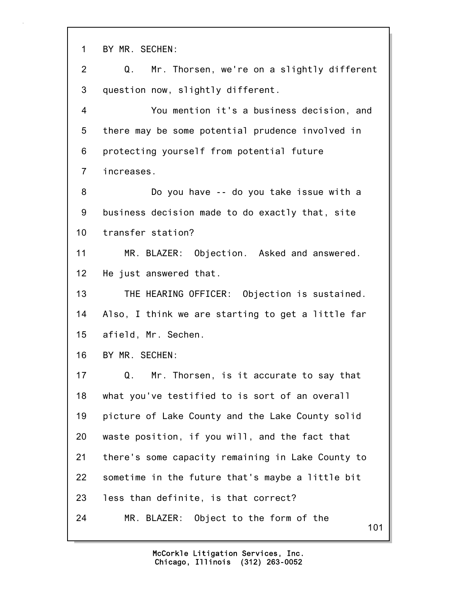101 1 BY MR. SECHEN: 2 Q. Mr. Thorsen, we're on a slightly different 3 question now, slightly different. 4 You mention it's a business decision, and 5 there may be some potential prudence involved in 6 protecting yourself from potential future 7 increases. 8 Do you have -- do you take issue with a 9 business decision made to do exactly that, site 10 transfer station? 11 MR. BLAZER: Objection. Asked and answered. 12 He just answered that. 13 THE HEARING OFFICER: Objection is sustained. 14 Also, I think we are starting to get a little far 15 afield, Mr. Sechen. 16 BY MR. SECHEN: 17 Q. Mr. Thorsen, is it accurate to say that 18 what you've testified to is sort of an overall 19 picture of Lake County and the Lake County solid 20 waste position, if you will, and the fact that 21 there's some capacity remaining in Lake County to 22 sometime in the future that's maybe a little bit 23 less than definite, is that correct? 24 MR. BLAZER: Object to the form of the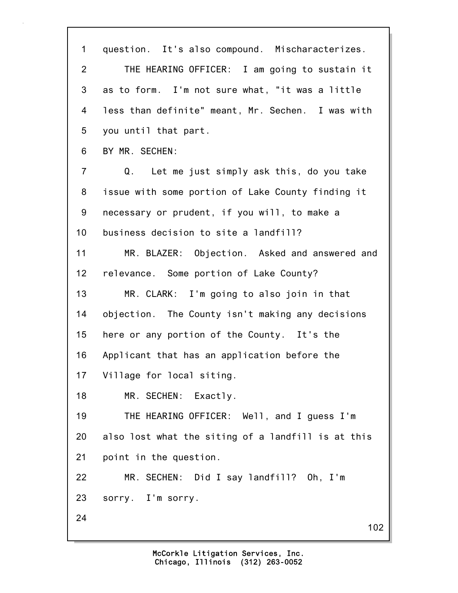102 1 question. It's also compound. Mischaracterizes. 2 THE HEARING OFFICER: I am going to sustain it 3 as to form. I'm not sure what, "it was a little 4 less than definite" meant, Mr. Sechen. I was with 5 you until that part. 6 BY MR. SECHEN: 7 Q. Let me just simply ask this, do you take 8 issue with some portion of Lake County finding it 9 necessary or prudent, if you will, to make a 10 business decision to site a landfill? 11 MR. BLAZER: Objection. Asked and answered and 12 relevance. Some portion of Lake County? 13 MR. CLARK: I'm going to also join in that 14 objection. The County isn't making any decisions 15 here or any portion of the County. It's the 16 Applicant that has an application before the 17 Village for local siting. 18 MR. SECHEN: Exactly. 19 THE HEARING OFFICER: Well, and I guess I'm 20 also lost what the siting of a landfill is at this 21 point in the question. 22 MR. SECHEN: Did I say landfill? Oh, I'm 23 sorry. I'm sorry. 24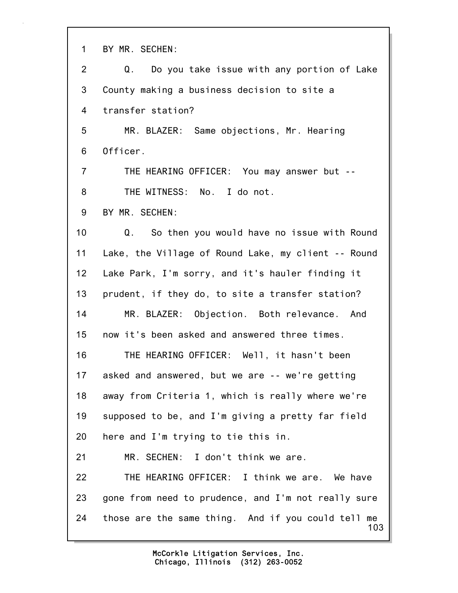1 BY MR. SECHEN:

| $\overline{2}$  | Do you take issue with any portion of Lake<br>Q.             |
|-----------------|--------------------------------------------------------------|
| 3               | County making a business decision to site a                  |
| 4               | transfer station?                                            |
| 5               | MR. BLAZER: Same objections, Mr. Hearing                     |
| 6               | Officer.                                                     |
| $\overline{7}$  | THE HEARING OFFICER: You may answer but --                   |
| 8               | THE WITNESS: No. I do not.                                   |
| 9               | BY MR. SECHEN:                                               |
| 10              | Q.<br>So then you would have no issue with Round             |
| 11              | Lake, the Village of Round Lake, my client -- Round          |
| 12 <sub>2</sub> | Lake Park, I'm sorry, and it's hauler finding it             |
| 13              | prudent, if they do, to site a transfer station?             |
| 14              | MR. BLAZER: Objection. Both relevance. And                   |
| 15              | now it's been asked and answered three times.                |
| 16              | THE HEARING OFFICER: Well, it hasn't been                    |
| 17              | asked and answered, but we are -- we're getting              |
| 18              | away from Criteria 1, which is really where we're            |
| 19              | supposed to be, and I'm giving a pretty far field            |
| 20              | here and I'm trying to tie this in.                          |
| 21              | MR. SECHEN: I don't think we are.                            |
| 22              | THE HEARING OFFICER: I think we are. We have                 |
| 23              | gone from need to prudence, and I'm not really sure          |
| 24              | those are the same thing. And if you could tell<br>me<br>103 |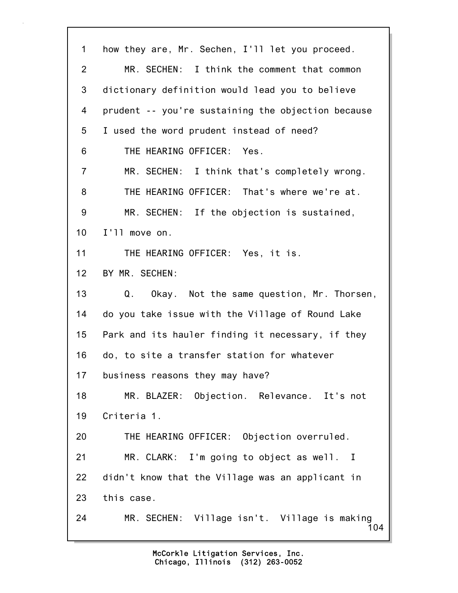104 1 how they are, Mr. Sechen, I'll let you proceed. 2 MR. SECHEN: I think the comment that common 3 dictionary definition would lead you to believe 4 prudent -- you're sustaining the objection because 5 I used the word prudent instead of need? 6 THE HEARING OFFICER: Yes. 7 MR. SECHEN: I think that's completely wrong. 8 THE HEARING OFFICER: That's where we're at. 9 MR. SECHEN: If the objection is sustained, 10 I'll move on. 11 THE HEARING OFFICER: Yes, it is. 12 BY MR. SECHEN: 13 Q. Okay. Not the same question, Mr. Thorsen, 14 do you take issue with the Village of Round Lake 15 Park and its hauler finding it necessary, if they 16 do, to site a transfer station for whatever 17 business reasons they may have? 18 MR. BLAZER: Objection. Relevance. It's not 19 Criteria 1. 20 THE HEARING OFFICER: Objection overruled. 21 MR. CLARK: I'm going to object as well. I 22 didn't know that the Village was an applicant in 23 this case. 24 MR. SECHEN: Village isn't. Village is making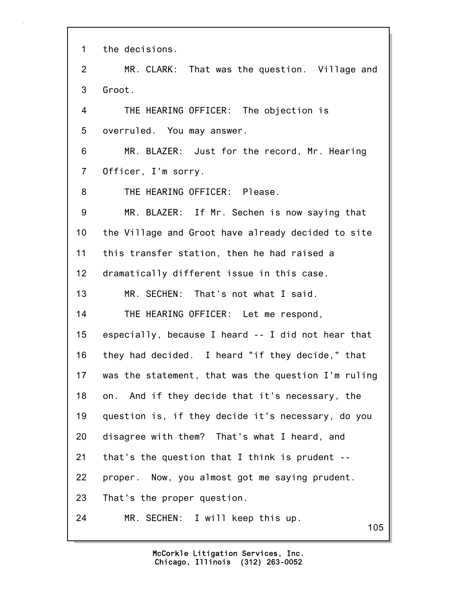105 1 the decisions. 2 MR. CLARK: That was the question. Village and 3 Groot. 4 THE HEARING OFFICER: The objection is 5 overruled. You may answer. 6 MR. BLAZER: Just for the record, Mr. Hearing 7 Officer, I'm sorry. 8 THE HEARING OFFICER: Please. 9 MR. BLAZER: If Mr. Sechen is now saying that 10 the Village and Groot have already decided to site 11 this transfer station, then he had raised a 12 dramatically different issue in this case. 13 MR. SECHEN: That's not what I said. 14 THE HEARING OFFICER: Let me respond, 15 especially, because I heard -- I did not hear that 16 they had decided. I heard "if they decide," that 17 was the statement, that was the question I'm ruling 18 on. And if they decide that it's necessary, the 19 question is, if they decide it's necessary, do you 20 disagree with them? That's what I heard, and 21 that's the question that I think is prudent -- 22 proper. Now, you almost got me saying prudent. 23 That's the proper question. 24 MR. SECHEN: I will keep this up.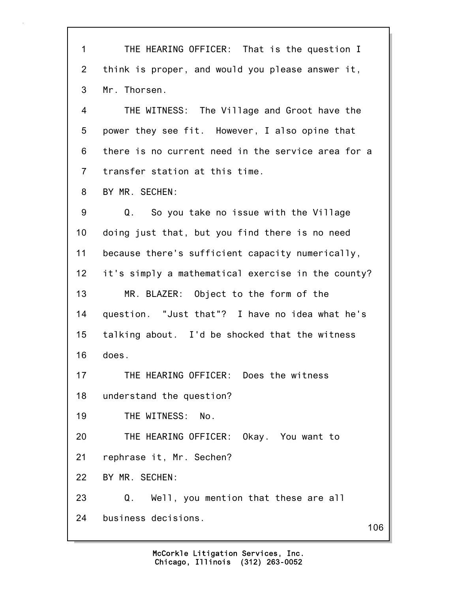106 1 THE HEARING OFFICER: That is the question I 2 think is proper, and would you please answer it, 3 Mr. Thorsen. 4 THE WITNESS: The Village and Groot have the 5 power they see fit. However, I also opine that 6 there is no current need in the service area for a 7 transfer station at this time. 8 BY MR. SECHEN: 9 Q. So you take no issue with the Village 10 doing just that, but you find there is no need 11 because there's sufficient capacity numerically, 12 it's simply a mathematical exercise in the county? 13 MR. BLAZER: Object to the form of the 14 question. "Just that"? I have no idea what he's 15 talking about. I'd be shocked that the witness 16 does. 17 THE HEARING OFFICER: Does the witness 18 understand the question? 19 THE WITNESS: No. 20 THE HEARING OFFICER: Okay. You want to 21 rephrase it, Mr. Sechen? 22 BY MR. SECHEN: 23 Q. Well, you mention that these are all 24 business decisions.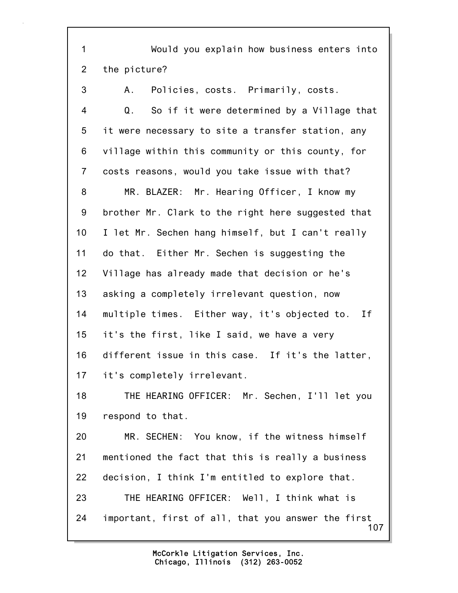107 1 Would you explain how business enters into 2 the picture? 3 A. Policies, costs. Primarily, costs. 4 Q. So if it were determined by a Village that 5 it were necessary to site a transfer station, any 6 village within this community or this county, for 7 costs reasons, would you take issue with that? 8 MR. BLAZER: Mr. Hearing Officer, I know my 9 brother Mr. Clark to the right here suggested that 10 I let Mr. Sechen hang himself, but I can't really 11 do that. Either Mr. Sechen is suggesting the 12 Village has already made that decision or he's 13 asking a completely irrelevant question, now 14 multiple times. Either way, it's objected to. If 15 it's the first, like I said, we have a very 16 different issue in this case. If it's the latter, 17 it's completely irrelevant. 18 THE HEARING OFFICER: Mr. Sechen, I'll let you 19 respond to that. 20 MR. SECHEN: You know, if the witness himself 21 mentioned the fact that this is really a business 22 decision, I think I'm entitled to explore that. 23 THE HEARING OFFICER: Well, I think what is 24 important, first of all, that you answer the first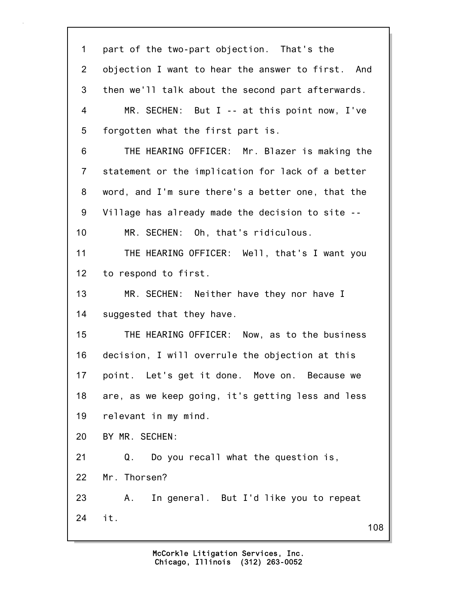| $\mathbf 1$    | part of the two-part objection. That's the        |
|----------------|---------------------------------------------------|
| $\overline{2}$ | objection I want to hear the answer to first. And |
| 3              | then we'll talk about the second part afterwards. |
| 4              | MR. SECHEN: But I -- at this point now, I've      |
| 5              | forgotten what the first part is.                 |
| 6              | THE HEARING OFFICER: Mr. Blazer is making the     |
| $\overline{7}$ | statement or the implication for lack of a better |
| 8              | word, and I'm sure there's a better one, that the |
| 9              | Village has already made the decision to site --  |
| 10             | MR. SECHEN: Oh, that's ridiculous.                |
| 11             | THE HEARING OFFICER: Well, that's I want you      |
| 12             | to respond to first.                              |
| 13             | MR. SECHEN: Neither have they nor have I          |
| 14             | suggested that they have.                         |
| 15             | THE HEARING OFFICER: Now, as to the business      |
| 16             | decision, I will overrule the objection at this   |
| 17             | point. Let's get it done. Move on. Because we     |
| 18             | are, as we keep going, it's getting less and less |
| 19             | relevant in my mind.                              |
| 20             | BY MR. SECHEN:                                    |
| 21             | Do you recall what the question is,<br>Q.         |
| 22             | Mr. Thorsen?                                      |
| 23             | In general. But I'd like you to repeat<br>Α.      |
| 24             | it.<br>108                                        |
|                |                                                   |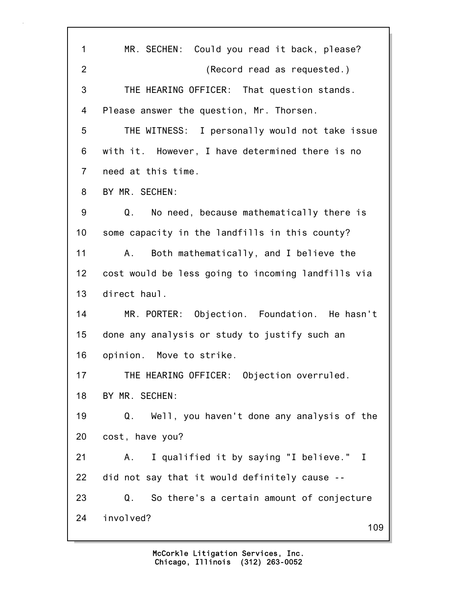| $\mathbf{1}$   | MR. SECHEN: Could you read it back, please?        |
|----------------|----------------------------------------------------|
| $\overline{2}$ | (Record read as requested.)                        |
| 3              | THE HEARING OFFICER: That question stands.         |
| 4              | Please answer the question, Mr. Thorsen.           |
| 5              | THE WITNESS: I personally would not take issue     |
| 6              | with it. However, I have determined there is no    |
| $\overline{7}$ | need at this time.                                 |
| 8              | BY MR. SECHEN:                                     |
| 9              | No need, because mathematically there is<br>Q.     |
| 10             | some capacity in the landfills in this county?     |
| 11             | Both mathematically, and I believe the<br>Α.       |
| 12             | cost would be less going to incoming landfills via |
| 13             | direct haul.                                       |
| 14             | MR. PORTER: Objection. Foundation. He hasn't       |
| 15             | done any analysis or study to justify such an      |
| 16             | opinion. Move to strike.                           |
| 17             | THE HEARING OFFICER: Objection overruled.          |
| 18             | BY MR. SECHEN:                                     |
| 19             | Well, you haven't done any analysis of the<br>Q.   |
| 20             | cost, have you?                                    |
| 21             | I qualified it by saying "I believe." I<br>Α.      |
| 22             | did not say that it would definitely cause --      |
| 23             | So there's a certain amount of conjecture<br>Q.    |
| 24             | involved?<br>109                                   |
|                |                                                    |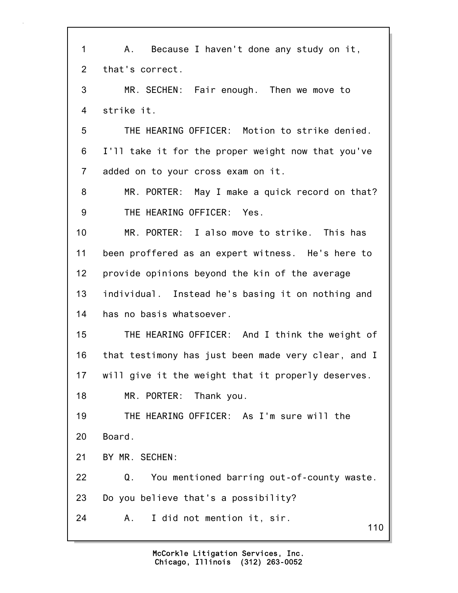110 1 A. Because I haven't done any study on it, 2 that's correct. 3 MR. SECHEN: Fair enough. Then we move to 4 strike it. 5 THE HEARING OFFICER: Motion to strike denied. 6 I'll take it for the proper weight now that you've 7 added on to your cross exam on it. 8 MR. PORTER: May I make a quick record on that? 9 THE HEARING OFFICER: Yes. 10 MR. PORTER: I also move to strike. This has 11 been proffered as an expert witness. He's here to 12 provide opinions beyond the kin of the average 13 individual. Instead he's basing it on nothing and 14 has no basis whatsoever. 15 THE HEARING OFFICER: And I think the weight of 16 that testimony has just been made very clear, and I 17 will give it the weight that it properly deserves. 18 MR. PORTER: Thank you. 19 THE HEARING OFFICER: As I'm sure will the 20 Board. 21 BY MR. SECHEN: 22 Q. You mentioned barring out-of-county waste. 23 Do you believe that's a possibility? 24 A. I did not mention it, sir.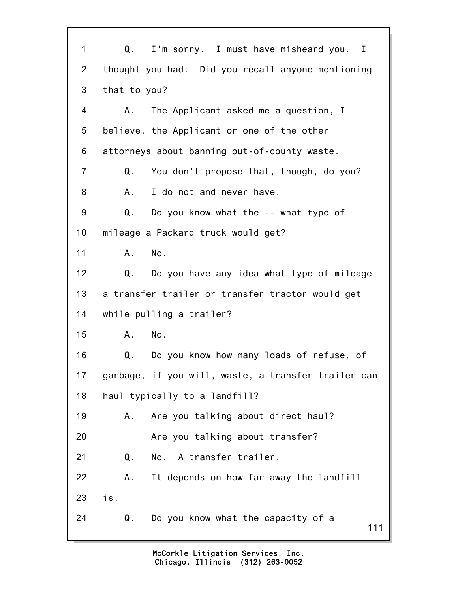111 1 Q. I'm sorry. I must have misheard you. I 2 thought you had. Did you recall anyone mentioning 3 that to you? 4 A. The Applicant asked me a question, I 5 believe, the Applicant or one of the other 6 attorneys about banning out-of-county waste. 7 Q. You don't propose that, though, do you? 8 A. I do not and never have. 9 Q. Do you know what the -- what type of 10 mileage a Packard truck would get? 11 A. No. 12 Q. Do you have any idea what type of mileage 13 a transfer trailer or transfer tractor would get 14 while pulling a trailer? 15 A. No. 16 Q. Do you know how many loads of refuse, of 17 garbage, if you will, waste, a transfer trailer can 18 haul typically to a landfill? 19 A. Are you talking about direct haul? 20 Are you talking about transfer? 21 Q. No. A transfer trailer. 22 A. It depends on how far away the landfill 23 is. 24 Q. Do you know what the capacity of a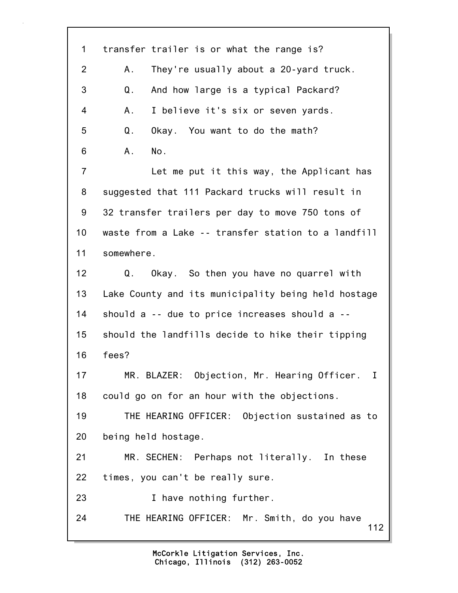112 1 transfer trailer is or what the range is? 2 A. They're usually about a 20-yard truck. 3 Q. And how large is a typical Packard? 4 A. I believe it's six or seven yards. 5 Q. Okay. You want to do the math? 6 A. No. 7 Let me put it this way, the Applicant has 8 suggested that 111 Packard trucks will result in 9 32 transfer trailers per day to move 750 tons of 10 waste from a Lake -- transfer station to a landfill 11 somewhere. 12 Q. Okay. So then you have no quarrel with 13 Lake County and its municipality being held hostage 14 should a -- due to price increases should a -- 15 should the landfills decide to hike their tipping 16 fees? 17 MR. BLAZER: Objection, Mr. Hearing Officer. I 18 could go on for an hour with the objections. 19 THE HEARING OFFICER: Objection sustained as to 20 being held hostage. 21 MR. SECHEN: Perhaps not literally. In these 22 times, you can't be really sure. 23 I have nothing further. 24 THE HEARING OFFICER: Mr. Smith, do you have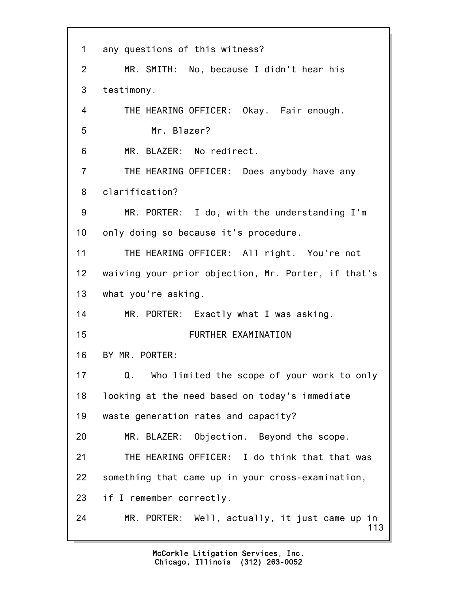| 1               | any questions of this witness?                        |
|-----------------|-------------------------------------------------------|
| 2               | MR. SMITH: No, because I didn't hear his              |
| 3               | testimony.                                            |
| $\overline{4}$  | THE HEARING OFFICER: Okay. Fair enough.               |
| 5               | Mr. Blazer?                                           |
| 6               | MR. BLAZER: No redirect.                              |
| $\overline{7}$  | THE HEARING OFFICER: Does anybody have any            |
| 8               | clarification?                                        |
| 9               | MR. PORTER: I do, with the understanding I'm          |
| 10              | only doing so because it's procedure.                 |
| 11              | THE HEARING OFFICER: All right. You're not            |
| 12 <sub>2</sub> | waiving your prior objection, Mr. Porter, if that's   |
| 13 <sup>7</sup> | what you're asking.                                   |
| 14              | MR. PORTER: Exactly what I was asking.                |
| 15              | FURTHER EXAMINATION                                   |
| 16              | BY MR. PORTER:                                        |
| 17              | Who limited the scope of your work to only<br>Q.      |
| 18              | looking at the need based on today's immediate        |
| 19              | waste generation rates and capacity?                  |
| 20              | MR. BLAZER: Objection. Beyond the scope.              |
| 21              | THE HEARING OFFICER: I do think that that was         |
| 22              | something that came up in your cross-examination,     |
| 23              | if I remember correctly.                              |
| 24              | MR. PORTER: Well, actually, it just came up in<br>113 |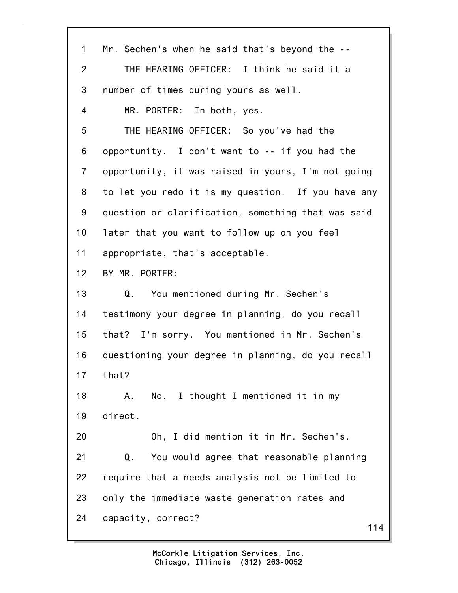| $\mathbf 1$    | Mr. Sechen's when he said that's beyond the --     |
|----------------|----------------------------------------------------|
| 2              | THE HEARING OFFICER: I think he said it a          |
| 3              | number of times during yours as well.              |
| 4              | MR. PORTER: In both, yes.                          |
| 5              | THE HEARING OFFICER: So you've had the             |
| 6              | opportunity. I don't want to -- if you had the     |
| $\overline{7}$ | opportunity, it was raised in yours, I'm not going |
| 8              | to let you redo it is my question. If you have any |
| 9              | question or clarification, something that was said |
| 10             | later that you want to follow up on you feel       |
| 11             | appropriate, that's acceptable.                    |
| 12             | BY MR. PORTER:                                     |
| 13             | You mentioned during Mr. Sechen's<br>Q.            |
| 14             | testimony your degree in planning, do you recall   |
| 15             | that? I'm sorry. You mentioned in Mr. Sechen's     |
| 16             | questioning your degree in planning, do you recall |
| 17             | that?                                              |
| 18             | No. I thought I mentioned it in my<br>Α.           |
| 19             | direct.                                            |
| 20             | Oh, I did mention it in Mr. Sechen's.              |
| 21             | You would agree that reasonable planning<br>Q.     |
| 22             | require that a needs analysis not be limited to    |
| 23             | only the immediate waste generation rates and      |
| 24             | capacity, correct?<br>114                          |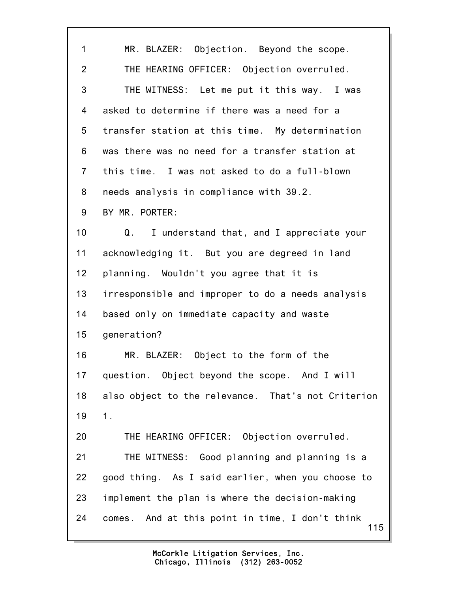115 1 MR. BLAZER: Objection. Beyond the scope. 2 THE HEARING OFFICER: Objection overruled. 3 THE WITNESS: Let me put it this way. I was 4 asked to determine if there was a need for a 5 transfer station at this time. My determination 6 was there was no need for a transfer station at 7 this time. I was not asked to do a full-blown 8 needs analysis in compliance with 39.2. 9 BY MR. PORTER: 10 Q. I understand that, and I appreciate your 11 acknowledging it. But you are degreed in land 12 planning. Wouldn't you agree that it is 13 irresponsible and improper to do a needs analysis 14 based only on immediate capacity and waste 15 generation? 16 MR. BLAZER: Object to the form of the 17 question. Object beyond the scope. And I will 18 also object to the relevance. That's not Criterion 19 1. 20 THE HEARING OFFICER: Objection overruled. 21 THE WITNESS: Good planning and planning is a 22 good thing. As I said earlier, when you choose to 23 implement the plan is where the decision-making 24 comes. And at this point in time, I don't think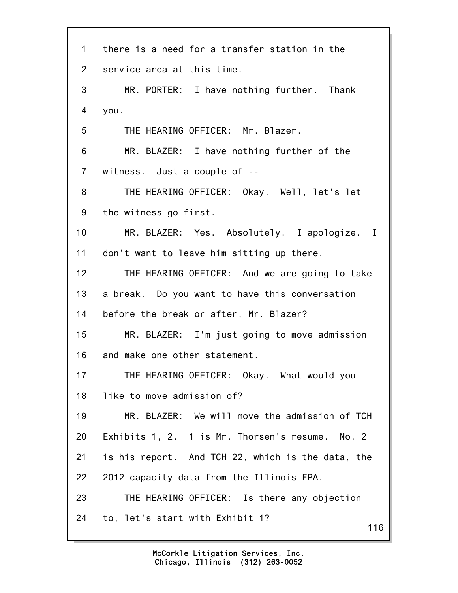| 1               | there is a need for a transfer station in the     |
|-----------------|---------------------------------------------------|
| $\overline{2}$  | service area at this time.                        |
| 3               | MR. PORTER: I have nothing further. Thank         |
| 4               | you.                                              |
| 5               | THE HEARING OFFICER: Mr. Blazer.                  |
| 6               | MR. BLAZER: I have nothing further of the         |
| $\overline{7}$  | witness. Just a couple of --                      |
| 8               | THE HEARING OFFICER: Okay. Well, let's let        |
| 9               | the witness go first.                             |
| 10              | MR. BLAZER: Yes. Absolutely. I apologize. I       |
| 11              | don't want to leave him sitting up there.         |
| 12 <sub>2</sub> | THE HEARING OFFICER: And we are going to take     |
| 13              | a break. Do you want to have this conversation    |
| 14              | before the break or after, Mr. Blazer?            |
| 15              | MR. BLAZER: I'm just going to move admission      |
| 16              | and make one other statement.                     |
| 17              | THE HEARING OFFICER: Okay. What would you         |
| 18              | like to move admission of?                        |
| 19              | MR. BLAZER: We will move the admission of TCH     |
| 20              | Exhibits 1, 2. 1 is Mr. Thorsen's resume. No. 2   |
| 21              | is his report. And TCH 22, which is the data, the |
| 22              | 2012 capacity data from the Illinois EPA.         |
| 23              | THE HEARING OFFICER: Is there any objection       |
| 24              | to, let's start with Exhibit 1?<br>116            |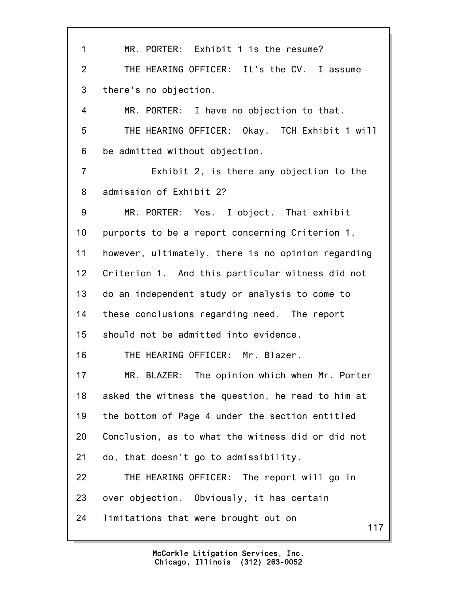117 1 MR. PORTER: Exhibit 1 is the resume? 2 THE HEARING OFFICER: It's the CV. I assume 3 there's no objection. 4 MR. PORTER: I have no objection to that. 5 THE HEARING OFFICER: Okay. TCH Exhibit 1 will 6 be admitted without objection. 7 Exhibit 2, is there any objection to the 8 admission of Exhibit 2? 9 MR. PORTER: Yes. I object. That exhibit 10 purports to be a report concerning Criterion 1, 11 however, ultimately, there is no opinion regarding 12 Criterion 1. And this particular witness did not 13 do an independent study or analysis to come to 14 these conclusions regarding need. The report 15 should not be admitted into evidence. 16 THE HEARING OFFICER: Mr. Blazer. 17 MR. BLAZER: The opinion which when Mr. Porter 18 asked the witness the question, he read to him at 19 the bottom of Page 4 under the section entitled 20 Conclusion, as to what the witness did or did not 21 do, that doesn't go to admissibility. 22 THE HEARING OFFICER: The report will go in 23 over objection. Obviously, it has certain 24 limitations that were brought out on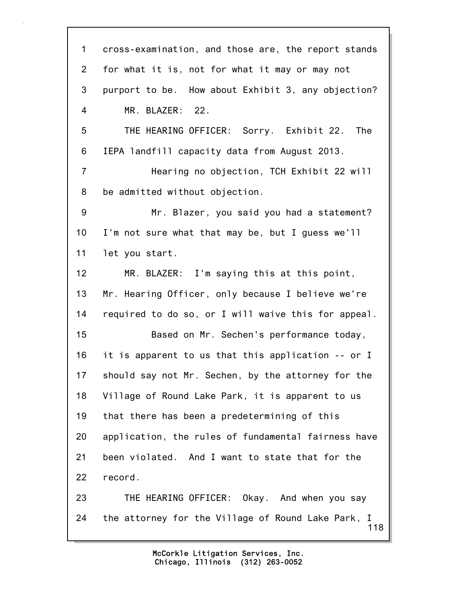118 1 cross-examination, and those are, the report stands 2 for what it is, not for what it may or may not 3 purport to be. How about Exhibit 3, any objection? 4 MR. BLAZER: 22. 5 THE HEARING OFFICER: Sorry. Exhibit 22. The 6 IEPA landfill capacity data from August 2013. 7 Hearing no objection, TCH Exhibit 22 will 8 be admitted without objection. 9 Mr. Blazer, you said you had a statement? 10 I'm not sure what that may be, but I guess we'll 11 let you start. 12 MR. BLAZER: I'm saying this at this point, 13 Mr. Hearing Officer, only because I believe we're 14 required to do so, or I will waive this for appeal. 15 Based on Mr. Sechen's performance today, 16 it is apparent to us that this application -- or I 17 should say not Mr. Sechen, by the attorney for the 18 Village of Round Lake Park, it is apparent to us 19 that there has been a predetermining of this 20 application, the rules of fundamental fairness have 21 been violated. And I want to state that for the 22 record. 23 THE HEARING OFFICER: Okay. And when you say 24 the attorney for the Village of Round Lake Park, I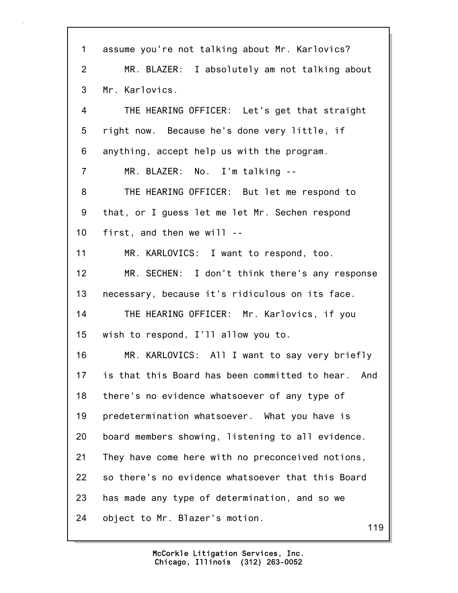| 1               | assume you're not talking about Mr. Karlovics?     |
|-----------------|----------------------------------------------------|
| $\overline{2}$  | MR. BLAZER: I absolutely am not talking about      |
| 3               | Mr. Karlovics.                                     |
| 4               | THE HEARING OFFICER: Let's get that straight       |
| 5               | right now. Because he's done very little, if       |
| 6               | anything, accept help us with the program.         |
| $\overline{7}$  | MR. BLAZER: No. I'm talking --                     |
| 8               | THE HEARING OFFICER: But let me respond to         |
| 9               | that, or I guess let me let Mr. Sechen respond     |
| 10 <sub>1</sub> | first, and then we will --                         |
| 11              | MR. KARLOVICS: I want to respond, too.             |
| 12              | MR. SECHEN: I don't think there's any response     |
| 13              | necessary, because it's ridiculous on its face.    |
| 14              | THE HEARING OFFICER: Mr. Karlovics, if you         |
| 15              | wish to respond, I'll allow you to.                |
| 16              | MR. KARLOVICS: All I want to say very briefly      |
| 17              | is that this Board has been committed to hear. And |
| 18              | there's no evidence whatsoever of any type of      |
| 19              | predetermination whatsoever. What you have is      |
| 20              | board members showing, listening to all evidence.  |
| 21              | They have come here with no preconceived notions,  |
| 22              | so there's no evidence whatsoever that this Board  |
| 23              | has made any type of determination, and so we      |
| 24              | object to Mr. Blazer's motion.<br>119              |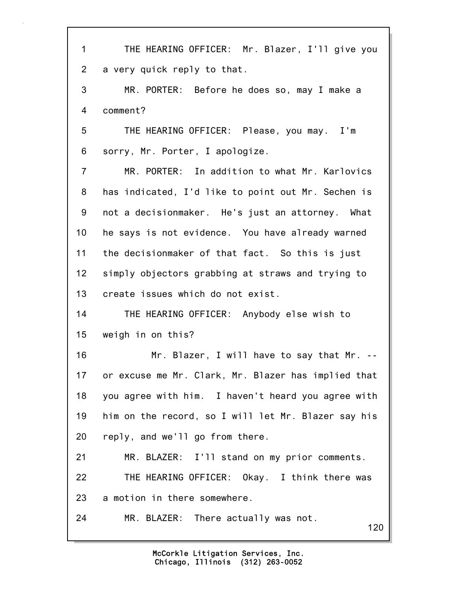120 1 THE HEARING OFFICER: Mr. Blazer, I'll give you 2 a very quick reply to that. 3 MR. PORTER: Before he does so, may I make a 4 comment? 5 THE HEARING OFFICER: Please, you may. I'm 6 sorry, Mr. Porter, I apologize. 7 MR. PORTER: In addition to what Mr. Karlovics 8 has indicated, I'd like to point out Mr. Sechen is 9 not a decisionmaker. He's just an attorney. What 10 he says is not evidence. You have already warned 11 the decisionmaker of that fact. So this is just 12 simply objectors grabbing at straws and trying to 13 create issues which do not exist. 14 THE HEARING OFFICER: Anybody else wish to 15 weigh in on this? 16 Mr. Blazer, I will have to say that Mr. -- 17 or excuse me Mr. Clark, Mr. Blazer has implied that 18 you agree with him. I haven't heard you agree with 19 him on the record, so I will let Mr. Blazer say his 20 reply, and we'll go from there. 21 MR. BLAZER: I'll stand on my prior comments. 22 THE HEARING OFFICER: Okay. I think there was 23 a motion in there somewhere. 24 MR. BLAZER: There actually was not.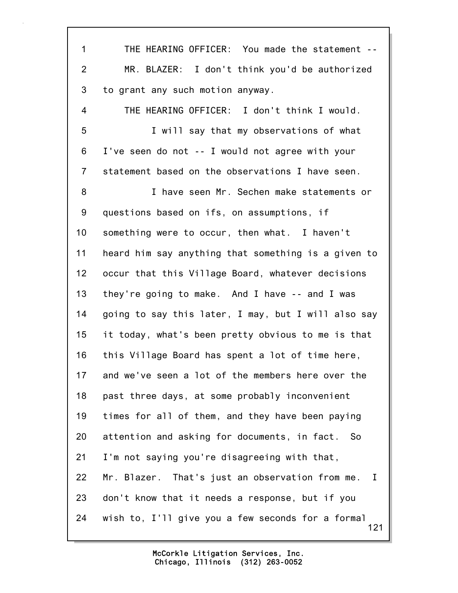121 1 THE HEARING OFFICER: You made the statement -- 2 MR. BLAZER: I don't think you'd be authorized 3 to grant any such motion anyway. 4 THE HEARING OFFICER: I don't think I would. 5 I will say that my observations of what 6 I've seen do not -- I would not agree with your 7 statement based on the observations I have seen. 8 I have seen Mr. Sechen make statements or 9 questions based on ifs, on assumptions, if 10 something were to occur, then what. I haven't 11 heard him say anything that something is a given to 12 occur that this Village Board, whatever decisions 13 they're going to make. And I have -- and I was 14 going to say this later, I may, but I will also say 15 it today, what's been pretty obvious to me is that 16 this Village Board has spent a lot of time here, 17 and we've seen a lot of the members here over the 18 past three days, at some probably inconvenient 19 times for all of them, and they have been paying 20 attention and asking for documents, in fact. So 21 I'm not saying you're disagreeing with that, 22 Mr. Blazer. That's just an observation from me. I 23 don't know that it needs a response, but if you 24 wish to, I'll give you a few seconds for a formal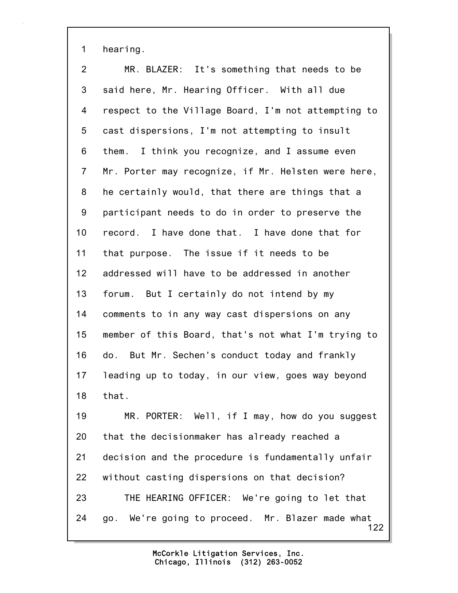1 hearing.

122 2 MR. BLAZER: It's something that needs to be 3 said here, Mr. Hearing Officer. With all due 4 respect to the Village Board, I'm not attempting to 5 cast dispersions, I'm not attempting to insult 6 them. I think you recognize, and I assume even 7 Mr. Porter may recognize, if Mr. Helsten were here, 8 he certainly would, that there are things that a 9 participant needs to do in order to preserve the 10 record. I have done that. I have done that for 11 that purpose. The issue if it needs to be 12 addressed will have to be addressed in another 13 forum. But I certainly do not intend by my 14 comments to in any way cast dispersions on any 15 member of this Board, that's not what I'm trying to 16 do. But Mr. Sechen's conduct today and frankly 17 leading up to today, in our view, goes way beyond 18 that. 19 MR. PORTER: Well, if I may, how do you suggest 20 that the decisionmaker has already reached a 21 decision and the procedure is fundamentally unfair 22 without casting dispersions on that decision? 23 THE HEARING OFFICER: We're going to let that 24 go. We're going to proceed. Mr. Blazer made what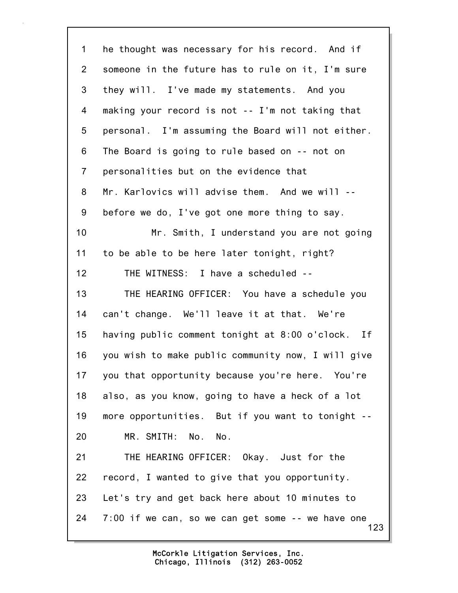123 1 he thought was necessary for his record. And if 2 someone in the future has to rule on it, I'm sure 3 they will. I've made my statements. And you 4 making your record is not -- I'm not taking that 5 personal. I'm assuming the Board will not either. 6 The Board is going to rule based on -- not on 7 personalities but on the evidence that 8 Mr. Karlovics will advise them. And we will -- 9 before we do, I've got one more thing to say. 10 Mr. Smith, I understand you are not going 11 to be able to be here later tonight, right? 12 THE WITNESS: I have a scheduled -- 13 THE HEARING OFFICER: You have a schedule you 14 can't change. We'll leave it at that. We're 15 having public comment tonight at 8:00 o'clock. If 16 you wish to make public community now, I will give 17 you that opportunity because you're here. You're 18 also, as you know, going to have a heck of a lot 19 more opportunities. But if you want to tonight -- 20 MR. SMITH: No. No. 21 THE HEARING OFFICER: Okay. Just for the 22 record, I wanted to give that you opportunity. 23 Let's try and get back here about 10 minutes to 24 7:00 if we can, so we can get some -- we have one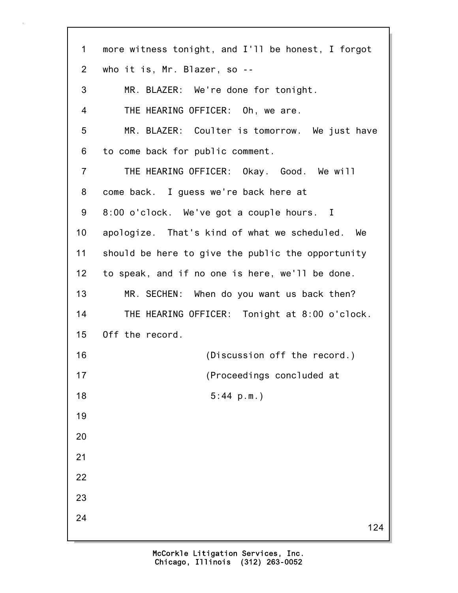| $\mathbf 1$     | more witness tonight, and I'll be honest, I forgot |
|-----------------|----------------------------------------------------|
| $\overline{2}$  | who it is, Mr. Blazer, so --                       |
| 3               | MR. BLAZER: We're done for tonight.                |
| 4               | THE HEARING OFFICER: Oh, we are.                   |
| 5               | MR. BLAZER: Coulter is tomorrow. We just have      |
| 6               | to come back for public comment.                   |
| $\overline{7}$  | THE HEARING OFFICER: Okay. Good. We will           |
| 8               | come back. I guess we're back here at              |
| 9               | 8:00 o'clock. We've got a couple hours. I          |
| 10 <sub>1</sub> | apologize. That's kind of what we scheduled. We    |
| 11              | should be here to give the public the opportunity  |
| 12              | to speak, and if no one is here, we'll be done.    |
| 13              | MR. SECHEN: When do you want us back then?         |
| 14              | THE HEARING OFFICER: Tonight at 8:00 o'clock.      |
| 15 <sub>1</sub> | Off the record.                                    |
| 16              | (Discussion off the record.)                       |
| 17              | (Proceedings concluded at                          |
| 18              | 5:44 p.m.                                          |
| 19              |                                                    |
| 20              |                                                    |
| 21              |                                                    |
| 22              |                                                    |
| 23              |                                                    |
| 24              | 124                                                |
|                 |                                                    |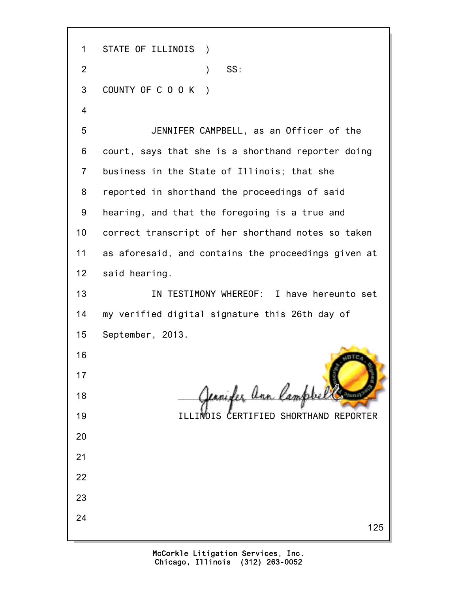125 1 STATE OF ILLINOIS ) 2 ) SS: 3 COUNTY OF C O O K ) 4 5 JENNIFER CAMPBELL, as an Officer of the 6 court, says that she is a shorthand reporter doing 7 business in the State of Illinois; that she 8 reported in shorthand the proceedings of said 9 hearing, and that the foregoing is a true and 10 correct transcript of her shorthand notes so taken 11 as aforesaid, and contains the proceedings given at 12 said hearing. 13 IN TESTIMONY WHEREOF: I have hereunto set 14 my verified digital signature this 26th day of 15 September, 2013. 16 17 18 **Censider an lam** 19 ILLINOIS CERTIFIED SHORTHAND REPORTER 20 21 22 23 24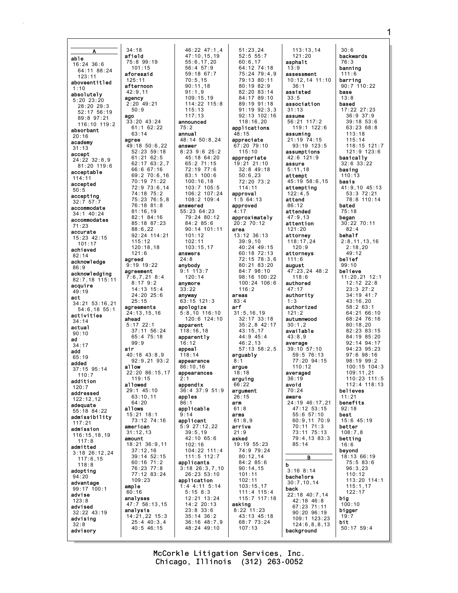$34:18$ afield able  $16:24.36:6$ 64:11 88:24  $123:11$  $125:11$ aboveentitled afternoon  $1:10$  $42:9.11$ absolutely agency  $5:20$  23:20 28:20 29:3  $52.1756.19$ ago 89:8 97:21 116:10 119:2 absorbant  $20:16$ agree academy  $31:13$ accept 24:22 32:8.9  $81:20$  119:6 acceptable  $114:11$ accepted 50:5 accepting  $32:7$  57: accommodate  $34:1$  40:24 accommodates  $71:23$ accurate  $15:23$  42:15  $101:17$ achieved  $82:14$ agreed acknowledge  $86:9$ acknowledging  $82.7$  18  $115.11$ acquire  $49:19$ act  $34:21$   $53:16.21$  $54:6.1855:1$ activities ahead  $34:14$ actual  $90:10$ ad  $31.17$ air add  $65:19$ added allow 37:15 95:14  $110:7$ addition allowed  $120:7$ addressed  $122:12.12$ adeguate allows 55:18 84:22 admissibility  $117:21$ american admission 116:15,18,19 amount  $117:8$ admitted  $3:18$  26:12,24  $117:6.15$  $118:8$ adopting  $94.20$ advantage ample  $99:17$  100:1  $60:16$ advise analyses  $123:8$ advised analysis  $32:22$  43:19 advising  $32:8$ advisorv

46:22 47:1,4  $47:10.15.19$  $75:899:19$  $55:6.17.20$  $101:15$  $56:4$  57:9  $59:18$  67:7 aforesaid  $70:5.15$  $90.11.18$  $91:1.9$  $109:15.19$  $2:20$  49:21 114:22 115:8  $115:13$  $117:13$  $33 \cdot 20$  43.24 announced  $61:1$  62:22  $75.2$  $63:14$ annual 48:14 50:8.24 49:18 50:6.22 answer  $8:23$  9:6 25:2  $52:23$   $59:18$  $61:21$  62:5 45:18 64:20  $62:1763:2,7$ 65:2 71:15 66:6 67:16 72:19 77:6  $69:270:6.16$ 83:1 100:6 70:19 71:22  $100:16,18$ 72:9 73:6.14 103:7 105:5 74:18 75:2 106:2 107:24 75:23 76:5.8  $108:2 109:4$ 76:18 81:8 answered 55:23 64:23  $81:16.19$ 82:1 84:16 79:24 80:12 85:18 87:23 84:2 85:6  $88:6,22$  $90:14$  101:11 92:24 114:21  $101:12$  $115:12$  $102:11$  $120:18,18$  $103:15,17$ answers  $24:8$  $9:19$  19:22 anybody  $9:1$  113:7 agreement  $7:6,7,21$  8:4  $120:14$  $8:17$  9:2 anvmore  $14:13$   $15:4$  $33:22$  $24:20$   $25:6$ anyway  $63:15$  121:3 agreements apologize  $24:13, 15, 16$  $5:8,10$  116:10<br>120:6 124:10  $5:17$  22:1 apparent  $37:11$  56:24  $118:16.18$  $65:475:18$ apparently  $16:12$ appeal  $40:18$  43:8.9  $118:14$  $92:9.21$   $93:2$ appearance  $86:10,16$  $22:20.86:15.17$ appearances  $119:15$ appendix 36:4 37:9 51:9  $29:1$  45:10  $63:10,11$ apples  $86.1$ applicable 15:21 18:1  $9:14$  $73:12$   $74:16$ applicant  $5:9$  27:12,22  $39:5,19$  $31:12.13$ 42:10 65:6 18:21 36:9,11  $102:16$  $37:12,16$ 104:22 111:4 39:14 52:15 111:5 112:7 60:16 71:2 applicants  $76.2377.8$  $3:18$   $26:3,7,10$ 77:12 83:24  $26:23$   $53:10$  $109:23$ application  $1:4$  4:11 5:14  $5:158:3$ 12:21 13:24  $14:2 20:13$ 47:7 56:13.15  $23:8.33:6$ 14:21,22 15:3  $35:14$   $36:2$  $25:4$  40:3,4  $36:16$   $48:7,9$  $40:5$  46:15 48:24 49:10

 $50:9$ 

 $121:6$ 

 $25:15$ 

 $99:9$ 

 $64.20$ 

 $51:23,24$  $52:5$  55:7  $60:6.17$ 64:12 74:18<br>75:24 79:4.9 79:13 80:11  $80.1982.9$  $82:20.83:14$ 84:17 89:10  $89.1991.18$  $91:19.92:3.3$ 92:13 102:16  $118.1620$ applications  $48:15$ appreciate 67:20 79:10  $115 \cdot 10$ appropriate 19:21 21:10  $32:8$  49:18  $50:6,23$ 72:20 73:2  $114:11$ approval  $1:5$  64:13 approved  $4:17$ approximately  $20:2$  70:12 area 13:12 36:13  $39:9,10$ 40:24 49:15  $60:18$  72:13 72:15 78:3,6 80:21 83:20  $84.798.10$ 98:16 100:22  $100:24$  106:6  $116:2$ areas  $83:4$ arf  $31:5.16.19$  $32:17$  33:18  $35:2.8$  42:17  $43:15.17$  $44.945.4$  $46:2.13$  $57:13$   $58:2.5$ arguably  $8:1$ argue  $18:18$ arguing  $66.22$ argument  $26:15$ arm  $61:8$ arms  $61:8.9$ arrive  $21:9$ asked 19:19 55:23 74:9 79:24  $80:12,14$ 84:2 85:6  $90.14$  15  $101:11$  $102:11$  $103:15.17$ 111:4 115:4  $115:7$  117:18 asking  $8:22$  11:23 43:13 45:18 68:7 73:24  $107:13$ 

 $113:13.14$  $121:20$  $asohalt$  $13:9$ assessment 10:12.14 11:10  $36:1$ assisted  $33.5$ association  $31:13$ **ASSUMA**  $56.21$  117.2  $119:1$   $122:6$ assuming  $21:19$   $74:15$  $93:19$  123:5 assumptions  $42:6.121:9$ assure  $5:11,18$ attempt 45:19 58:6,15 attempting  $122:4.5$ attend  $86:12$ attended  $47:9.13$ attention  $121:20$ attorney  $118:17,24$  $120:9$ attorneys  $111:6$ august 47:23,24 48:2  $118:6$ authored  $47:17$ authority authorized  $121:2$ autumnwood  $30:1.2$ available  $43.89$ average  $39:10$  57:10<br>59:5 76:13  $77:20.94:15$  $110.12$ averaged  $36.19$ avoid  $70:24$ aware  $24:19$   $46:17$  21 47:12 53:15 55:6 57:10 60:9,11 70:9  $70:11$   $71:3$ 73:11 75:13 79:4,13 83:3  $85:14$ B  $\mathbf b$  $3:168:14$ bachelors  $30:7.10.14$ back 22:18 40:7,14  $42:18$   $46:8$  $67:23$   $71:11$  $90:20$   $96:19$  $109:1$   $123:23$  $124:6.8.8.13$ background

 $30:6$ **hackwards**  $76:3$ banning  $111:6$ barring  $90:7$  110:22 base  $13:8$ based  $17:22$   $27:23$  $36:9$  37:9  $39:18.53:6$  $63:23.68:8$  $113:18$  $115:14$ 118:15 121:7  $121.9$   $123.6$ basically  $32:6$   $33:22$ basing  $110:13$ basis  $41:9,10$   $45:13$  $53:3$  72:21 78:8 110:14 bated  $75:18$ began 30:22 70:11  $82:4$ behalf  $2:8, 11, 13, 16$  $2:18,20$  $49:12$ belief  $99:10$ believe  $11:20,21$  12:1  $12:12$  22:8  $23:327:2$  $34:19$   $41:7$  $43:16,20$  $58:263:1$  $64:2166:10$ 68:24 76:16  $80:18.20$  $82:23$   $83:15$  $84.19$   $85.20$  $92:14$   $94:17$  $94.23$   $95.23$  $97:698:16$  $98:19.99:2$  $100 \cdot 15$   $104 \cdot 3$  $109:11.21$  $110:23$   $111:5$  $112 \cdot 4 \cdot 118 \cdot 13$ believes  $11:21$ benefits  $92:18$ best  $15.645.19$ better  $108:7,8$ betting  $16:6$ bevond 18:13 66:19  $75:583:6$  $96.323$  $110:12$ 113:20 114:1  $115:1,17$  $122:17$ big  $100:10$ bigger  $19:7$ bit  $50:17$  59:4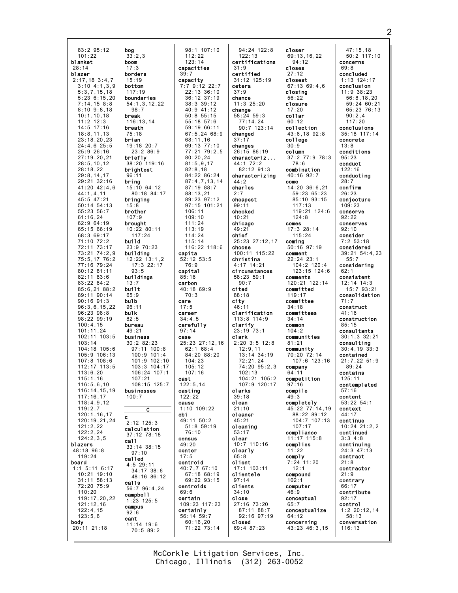83:2 95:12 101:22 blanket 28:14 blazer 2:17,18 3:4,7  $3:10$  4:1,3,9 5:3,7,15,18 5:23 6:15,20 7:14,15 8:8 8:10 9:8,18 10:1,10,18  $11:2$  12:3 14:5 17:16 18:8,11,13 23:18,20,23 24:4,6 25:5 25:9 26:16 27:19,20,21 28:5,10,12 28:18,22 29:8,14,17 29:21 32:16 41:20 42:4,6 44:1,4,11 45:5 47:21 50:14 54:13 55:23 56:7  $61:16,24$ 62:9 64:19 65:15 66:19 68:3 69:17 71:10 72:2 72:11 73:17 73:21 74:2,9 75:5,17 76:2 77:16 79:24 80:12 81:11 82:11 83:6 83:22 84:2 85:6,21 88:2 89:11 90:14 90:16 91:3 96:3,6,15,22 96:23 98:8 98:22 99:19 100:4,15 101:11,24  $102 \cdot 11$   $103 \cdot 5$ 103:14 104:18 105:6 105:9 106:13 107:8 108:6 112:17 113:5 113:6,20 115:1,16 116:5,6,10 116:14,15,19 117:16,17 118:4,9,12 119:2,7 120:1,16,17 120:19,21,24 121:2,22 122:2,24 124:2,3,5 blazers 48:18 96:8 119:24 board 1:1 5:11 6:17 10:21 19:10 31:11 58:13 72:20 75:9 110:20 119:17,20,22 121:12,16 122:4,15 123:5,6 body 20:11 21:18 bog boom break brian bring build built bulb bulk c call calls cant

 $33:2.3$ borders 15:19 bottom 117:19 boundaries 54:1,3,12,22 98:7  $116:13,14$ breath 75:18 19:18 20:7 23:2 86:9 briefly 38:20 119:16 brightest 96:11 15:10 64:12 80:18 84:17 bringing 15:8 brother 107:9 brought 10:22 80:11 117:24 23:9 70:23 building 12:22 13:1,2 17:3 22:17  $93.5$ buildings 96:11 bureau 49:21 business 30:2 82:23 97:11 100:8 100:9 101:4 101:9 102:10 103:3 104:17 106:24 107:1 107:21  $108:15$  125:7 businesses 100:7  $\overline{c}$ 2:12 125:3 calculation 37:12 78:18 33:14 38:15 97:10 called 4:5 29:11 34:17 38:6 48:16 86:12 56:7 96:4,24 campbell 1:23 125:5 campus 11:14 19:6 70:5 89:2 112:22 123:14 capacities 39:7 capacity 7:7 9:12 22:7 68:11,16 80:20,24 81:5,9,17 82:8,18 88:13,21 106:11  $109.10$ 111:24 113:19 114:24 115:14 capita 52:12 53:5 76:9 capital 85:16 carbon 40:18 69:9 70:3 care 17:5 career 34:4,5 carefully 97:14 case 62:1 68:4 104:23 105:12 107:16 cast  $122.5$  14 casting 122:22 cause 1:10 109:22 cbi  $49.11 50.2$ 51:8 59:19 76:10 census 49:20 center 17:5 centroid 40:7,7 67:10 centroids 69:6 certain 109:23 117:23 certainly 56:14 59:7 60:16,20

13:7

65:9

82:5

92:6

17:3

98:1 107:10 22:13 36:10 36:12 37:19 38:3 39:12 40:9 41:12 50:8 55:15 55:18 57:6 59:19 66:11 67:5,24 68:9 69:13 77:10  $77.21$   $79.25$ 84:22 86:24 87:4,7,13,14 87:19 88:7 89:23 97:12 97:15 101:21 116:22 118:6 25:23 27:12,16 84:20 88:20 67:18 68:19 69:22 93:15 71:22 73:14 94:24 122:8 122:13 certifications 31:9 certified 31:12 125:19 cetera 37:9 chance  $11:3$  25:20 change 58:24 59:3 77:14,24 90:7 123:14 changed 37:17 changes 26:15 86:19 characteriz ... 44:1 72:2 82:12 91:3 characterizing  $44:2$ charles 2:7 cheapest 99:11 checked 10:21 chicago 49:21 chief 25:23 27:12,17 choose 100:11 115:22 christina 4:17 14:21 circumstances 58:23 59:1 90:7 cited 88:18 city 46:11 clarification 113:8 114:9 clarify 23:19 73:1 clark 2:20 3:5 12:8 12:9,11 13:14 34:19 72:21,24  $74.20$  95.2,3 102:13 104:21 105:2 107:9 120:17 clarks 39:18 clean 21:10 cleaner 45:21 cleaning 53:17 clear 10:7 110:16 clearly 65:8 client 17:1 103:11 clientele 97:14 clients 34:10 close 27:16 73:20 87:11 88:7 92:16 97:19 closed 69:4 87:23

closer 69:13,16,22 94:12 closes 27:12 closest 67:13 69:4,6 closing 56:22 closure 17:20 collar  $60.12$ collection 43:6,18 92:8 college 30:9 column 37:2 77:9 78:3 78:6 combination 40:16 92:7 come 14:20 36:6,21 59:23 65:23 85:10 93:15 117:13 119:21 124:6  $124.8$ comes 17:3 28:14 115:24 coming 50:16 97:19 comment 22:24 23:1 104:2 120:4 123:15 124:6 comments 120:21 122:14 committed 119:17 committee 34:18 committees 34:14 common 104:2 communities 81:21 community 70:20 72:14 107:6 123:16 company 64:11 competition 97:16 compile 49:3 completely 45:22 77:14,19 88:22 89:12 104:7 107:13 107:17 compliance 11:17 115:8 complies 11:22 comply 7:24 11:20  $12.1$ compound 102:1 computer 46:9 conceptual 65:7 conceptualize 64:12 concerning 43:23 46:3,15

47:15,18 50:2 117:10 concerns 69:8 concluded 1:13 124:17 conclusion 11:9 38:23 56:8,18,20 90:2,4 117:20 concrete 13:8 conditions 95:23 conduct 122:16 28:7 confirm 26:23 conjecture 109:23 conserve 92:22 conserves 92:10 consider 7:2 53:18 55:7 62:1 71:7 construct 41:16 85:15 contained contains 125:11 57:16 content context 44:17 continue continued 3:3 4:8  $24:3$  47: contract 21:8 contractor 21:9 contrary 66:17 92:17 control 58:13 conversation 116:13

59:24 60:21 65:23 76:13 conclusions 35:18 117:14 conducting considered 39:21 54:4,23 considering consistent 12:14 14:3 15:7 93:21 consolidation construction consultants  $30 \cdot 1$ ,  $3$ ,  $32 \cdot 21$ consulting 30:4,19 33:3 21:7,22 51:9 89:24 contemplated 53:22 54:1 10:24 21:2,2 continuing contribute 1:2 20:12,14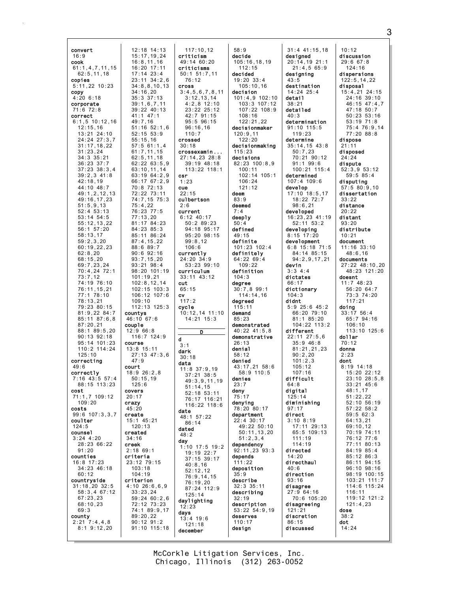| convert<br>16:9<br>cook<br>61:1, 4, 7, 11, 15<br>62:5, 11, 18<br>copies<br>5:11,22 10:23<br>copy<br>4:206:18<br>corporate<br>71:6 72:8<br>correct<br>$6:1, 5$ 10:12,16<br>12:15,16<br>13:21 24:10<br>24:24 27:3,7<br>31 : 17 , 18 , 22<br>31 : 23 , 24<br>34:3 35:21<br>36:23 37:7<br>37:23 38:3,4<br>$39:2,3$ 41:8<br>42:18,19<br>44:10 48:7<br>49:1, 2, 12, 13<br>49:16,17,23<br>51:5,9,13<br>52:4 53:13<br>53:14 54:5<br>55:12,13,22<br>56:1 57:20<br>58:13,17<br>59:2,3,20<br>60:19,22,23<br>62:8,20<br>68:15,20<br>69:7,23,24<br>70:4,24<br>72:1<br>73:7,12<br>74:19 76:10<br>76:11,15,21<br>77:1 78:10<br>78:13,21<br>79:23 80:15<br>81:9,22 84:7<br>85:11 87:6,8<br>87:20,21<br>88:1 89:5,20<br>90:13 92:18<br>95:14 101:23<br>110:2 114:24<br>125:10<br>correcting<br>49:6<br>correctly<br>57:4<br>$7:16$ 43:5<br>88:15 113:23<br>cost<br>71:1,7 109:12<br>109:20<br>costs<br>99:6 107:3,3,7<br>coulter<br>124:5<br>counsel<br>$3:24$ 4:20<br>28:23 66:22<br>91:20 | 12:18 14:13<br>15:17, 19, 24<br>16:8, 11, 16<br>16:20 17:11<br>$17:14$ $23:4$<br>$23:11$ $34:2,6$<br>34:8, 8, 10, 13<br>34:16,20<br>35:3 37:13<br>39:1,6,7,11<br>39:22 40:13<br>41:1 47:1<br>49:7,16<br>$51:16$ $52:1,6$<br>$52:15$ $53:9$<br>55:15,16<br>57:5 61:1,4<br>61:7,11,15<br>62:5,11,18<br>62:22 63:5,9<br>63:10,11,14<br>63:19 64:2,9<br>$66:17$ $67:2,9$<br>70:8 72:13<br>72:22 73:11<br>74:7,15 75:3<br>75:4,22<br>76:23 77:5<br>77:13,20<br>81:17 84:23<br>84:23 85:3<br>85:11 86:24<br>87:4, 15, 22<br>88:6 89:7<br>90:6 92:16<br>93:7,15,20<br>93:21 98:4<br>98:20 101:19<br>101:19,21<br>102:8, 12, 14<br>$102:15$ $103:3$<br>106:12 107:6<br>109:10<br>112:13 125:3<br>countys<br>46:10 67:6<br>couple<br>12:9 66:8<br>116:7 124:9<br>course<br>13:8 15:11<br>27:13 47:3,6<br>47:9<br>court<br>18:9 26:2,8<br>$50:15$ , 19<br>125:6<br>covers<br>20:17<br>crazy<br>45:20<br>create<br>15:1 45:21<br>120:13<br>created<br>34:16<br>creek<br>$2:18$ 69:1 |
|----------------------------------------------------------------------------------------------------------------------------------------------------------------------------------------------------------------------------------------------------------------------------------------------------------------------------------------------------------------------------------------------------------------------------------------------------------------------------------------------------------------------------------------------------------------------------------------------------------------------------------------------------------------------------------------------------------------------------------------------------------------------------------------------------------------------------------------------------------------------------------------------------------------------------------------------------------------------------|--------------------------------------------------------------------------------------------------------------------------------------------------------------------------------------------------------------------------------------------------------------------------------------------------------------------------------------------------------------------------------------------------------------------------------------------------------------------------------------------------------------------------------------------------------------------------------------------------------------------------------------------------------------------------------------------------------------------------------------------------------------------------------------------------------------------------------------------------------------------------------------------------------------------------------------------------------------------------|
| counties<br>16:8 17:23<br>34:23 46:18<br>60:12<br>countryside<br>$31:18,20$ $32:5$<br>58:3,467:12<br>67:23,23<br>68:10,23<br>69:3<br>county<br>2:21<br>7:4,4,8<br>$8:1$ $9:12,20$                                                                                                                                                                                                                                                                                                                                                                                                                                                                                                                                                                                                                                                                                                                                                                                          | criteria<br>23:12 79:15<br>103:18<br>104:19<br>criterion<br>$4:10$ $26:6,6,9$<br>33:23,24<br>59:24 60:2,6<br>72:12 73:23<br>74:1 89:9,17<br>89:20,22<br>$90:12$ $91:2$<br>91:10 115:18                                                                                                                                                                                                                                                                                                                                                                                                                                                                                                                                                                                                                                                                                                                                                                                   |

117:10,12 criticism 49:14 60:20 criticisms 50:1 51:7,11 76:12 cross 3:4,5,6,7,8,11 3:12,13,14 4:2,8 12:10 23:22 25:12 42:7 91:15 95:5 96:15 96:16,16 110:7 crossed 30:18 crossexamin ... 27:14,23 28:8 39:19 48:18 113:22 118:1 csr 1:23 cue 22:15 culbertson 2:6 current 6:12 40:17 50:2 89:23 94:18 95:17 95:20 98:15 99:8,12 106:6 currently 24:20 34:9 53:23 99:10 curriculum 33:11 43:12 cut 65:15 cv 117:2 cycle 10:12,14 11:10 14:21 15:3  $\overline{\mathbf{D}}$ d 3:1 dark 30:18 data 11:8 37:9,19 37:21 38:5 49:3,9,11,19 51:14,15 52:18 53:11 76:17 116:21 116:22 118:6 date 48:1 57:22 86:14 dated 48:2 day 1:10 17:5 19:2 19:19 22:7 37:15 39:17 40:8,16 52:12,12 76:9,14,15 76:19,20 87:24 112:9 125:14 daylighting 12:23 days 13:4 19:6 121:18 december

58:9 decide 105:16,18,19  $112:15$ decided 19:20 33:4 105:10,16 decision 101:4,9 102:10 103:3 107:12 107:22 108:9 108:16 122:21,22 decisionmaker 120:9,11  $122.20$ decisionmaking  $115.23$ decisions 82:23 100:8,9 100:11 102:14 105:1 106:24 121:12 deem 83:9 deemed 7:4 deeply 50:4 defined 49:15 definite 101:23 102:4 definitely 64:22 69:4 109:22 definition 104:3 degree 30:7,8 99:1 114:14,16 degreed 115:11 demand 85:23 demonstrated 40:22 41:5,8 demonstrative 26:13 denial 58:12 denied  $43 \cdot 17$ , 21, 58:6 58:9 110:5 denies 23:7 deny 75:17 denying 78:20 80:17 department 22:4 30:17 49:22 50:10 50:11,13,20 51:2,3,4 dependency 92:11,23 93:3 depends 111:22 deposition 35:9 describe 32:3 35:11 describing 32:19 description 53:22 54:9,19 deserves 110:17 design

31:4 41:15,18 designed 20:14,19 21:1 21:4,5 65:9 designing 43:5 destination 14:24 25:4 detail 38:21 detailed 40:3 determination 91:10 115:5 119:23 determine 35:14,15 43:8 50:7,23 70:21 90:12 91:1 99:6 100:21 115:4 determined 107:4 109:6 develop 17:10 18:5,17 18:22 72:7 98:6,21 developed 16:23,23 41:19 52:11 53:2 developing 8:15 17:20 development 6:8 15:18 71:5 84:14 85:15 94:2,9,17,21 devin 3:3 4:4 dictates 66:17 dictionary 104:3 didnt 5:9 25:6 45:2 66:20 79:10 81:1 85:20 104:22 113:2 different 22:11 27:5,6 35:9 46:8 81:21,21,23 90:2,20 101:2,3  $105 \cdot 12$ 107:16 difficult  $64.8$ digital 125:14 diminishing 97:17 direct 3:10 8:19 17:11 29:13 65:5 109:13 111:19 114:19 directed 14:20 directhaul 40:6 direction 93:16 disagree 27:9 64:16 70:6 105:20 disagreeing 121:21 discretion 86:15 discussed 10:12 disposal dispose 21:11 disposed 24:24 dispute 33:22 distance 20:22 distant 93:20 10:21 document doesnt doing dollar 70:12 donna 2:23 dont 48:1,17 51:22,22 52:10 56:19 57:22 58:2 59:5 62:3 64:13,21 69:10,12 70:19 74:11 76:12 77:6 77:11 80:13 84:19 85:4 85:12 86:3 86:11 94:15 96:10 98:16 98:19 100:15 103:21 111:7 114:6 115:24 116:11 119:12 121:2 121:4,23 dose 38:2 dot 14:24

discussion 29:6 67:8 124:16 dispersions 122:5,14,22 15:4,21 24:15 24:16 39:10 46:15 47:4,7 47:18 50:7 50:23 53:16 53:19 71:8 75:4 76:9,14 77:20 88:8 52:3,9 53:12 59:5 85:4 disputing 57:5 80:9,10 dissertation distribute 11:16 33:10 48:6,16 documents 27:22 48:10,20 48:23 121:20 11:7 48:23 56:20 64:7 73:3 74:20 117:21 33:17 56:4 65:7 94:16 106:10 113:10 125:6  $8.19$  14.18 15:20 22:12 23:10 28:5,8  $33 \cdot 21$  45 $\cdot$ 6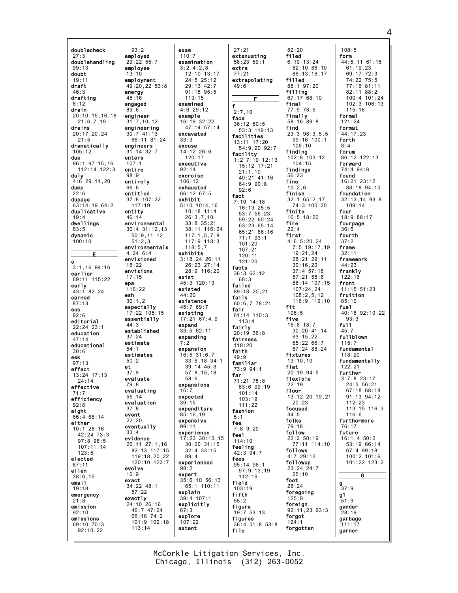doublecheck  $93:2$ employed  $27:3$ doublehandling  $29:22.55:7$  $99:13$ emplovee doubt  $13:10$  $19:11$ employment  $<sub>dr</sub>$ aft</sub>  $46:3$ energy drafting  $48:16$ engaged  $6.12$ drain  $89:6$  $20:10, 15, 16, 18$ engineer  $21:6.7.19$  $31:7,10,12$ engineering drains  $20:17.20.24$  $30:741:13$  $21:5$ dramatically engineers  $31:14.32.7$  $105 \cdot 12$ due enters 96:1 97:15,16  $107:$  $112:14$   $122:3$ entire duly  $98:9$  $4:6$  29:11, 20 entirely dump  $66:6$ entitled  $22:6$ 37:8 107:22 dupage  $63:14,1964:2$  $117:19$ duplicative entity  $46:14$ dwellings environmental  $83:5$ dynamic  $100:10$  $51:2.3$  $4:24 \ 6:4$ Е envisioned  $\ddot{\mathbf{e}}$  $18:22$  $3:1.16$   $94:16$ envisions earlier  $17:15$ 69:11 115:22 epa early<br> $43:182:24$  $116:22$ esh. earned  $30:1.2$  $87:13$ especially eco  $17:22$  105:15  $92:6$ essentially editorial  $44:3$  $22.24$   $23.1$ established education  $37.24$  $47:14$ estimate educational  $54.1$  $30:6$ estimates eek  $50:2$  $97:13$ et effect  $37:9$  $13:24$   $17:13$ evaluate  $24:14$  $79.8$ effective evaluating  $55:14$ efficiency evaluation  $92:8$  $37:8$ eight event 66:4 68:14  $22:20$ either eventually  $10:1$  28:16  $42:24$  73:3 evidence  $97.898.5$  $107:11.14$  $123:5$ elected  $87:11$ evolve ellen  $38:6.15$ exact email  $34:22$  48:1  $19:18$  $57:22$ emergency exactly  $21:8$ 24:10 26:16 emission  $92:10$ emissions 69:10 70:3  $113:14$  $92:10.22$ 

exam  $110:7$ examination  $3:24:2.8$  $12:10$  13:17  $24:5$   $25:12$  $49.20.22.53.8$  $29.13 \ 42.7$  $91:15$   $95:5$  $113:15$ examined  $4:6$  29:12 example  $16:19.32:22$  $47:14$  57:14 excavated 66:11 81:24  $33.3$ excuse  $14:12$  26:6  $120:17$ executive  $92:14$ exercise  $106:12$ exhausted 66:12 67:5 exhibit  $5:10$  10:4,16  $10:18$  11:4  $26:3.7.10$  $33:8.35:21$  $30:4$  31:12,13 38:11 116:24  $50:9,11,12$  $117:1,5,7,8$  $117:9.118:3$ environmentals  $118:5.7$ exhibits  $3:18,24$  26:11 26:23 27:14  $28:9$  116:20 exist 45:3 120:13 existed  $44:20$ existence 45:7 69:7 existing  $17:21$  67:4.9 expand  $33:562:11$ expanding  $7:2$ expansion  $16:5$  31:6.7  $33:6.18.34:1$  $39.14$   $45.8$  $57:8.15.18$  $58.6$ expansions  $16:7$ expected  $30.15$ expenditure  $85:16,19$ expensive  $99:11$ experience 17:23 30:13,15 26:11 27:1,16  $30:20$   $31:15$ 82:13 117:15  $32:4$  33:15 119:18,20,22  $89:4$ experienced 120:10 123:7  $98.2$ expert  $35:6, 10 56:13$ 65:1 110:11 explain 39:4 107:1 explicitly 46:7 47:24  $67:3$ 66:16 74:2 explore 101:9 102:18  $107:22$ extent

 $27:21$ extenuating  $58:23.59:1$ extra  $77:21$ extrapolating  $49.6$  $f$  $2:7.10$ face  $36:12$   $50:5$  $53:3$  119:13 facilities 13:11 17:20 54:9,20 92:7 facility  $1:2$  7:19 12:13 15:12 17:21  $21:1,10$ 40:21 41:16  $64:990:8$  $92:6$ fact  $7:19$  14:18 16:13 25:5  $53:7$   $56:23$ 59:22 60:24 63:23 65:14 65:21 66:16  $71:1$  93:1  $101:20$  $107:21$  $120:11$  $121:20$ facts  $36:362:12$  $68:3$ failed  $89.182021$ fails  $60:6,778:21$ **fair**<br> $61:14$   $110:3$  $113:4$ fairly  $20:19:36:8$ fairness  $118.20$ faith  $49:9$ familiar 73:9 94:1 far 71:21 75:8 83:6 99:19  $101:14$  $103:19$  $111:22$ fashion  $5:1$ fee  $7:89:20$ feel  $114:10$ feeling  $42:3$   $94:7$ fees  $95:14$  96:1  $97:9,13,19$  $112.16$ field  $103:19$ fifth  $55:2$ figure  $19:753:13$ figures 36:4 51:8 53:8 file

 $82:20$ filed  $6:19$  13:24  $82:10.86:10$  $86:13,16,17$ filled  $88:197:20$ filling 67:17 68:10 final 77:9 78:5 finally  $58:16$   $89:8$ find  $23:3$   $98:3.5.5$ 99:16 100:1  $106:10$  $\begin{array}{c}\n\text{finding} \\
102:8 \quad 103:12\n\end{array}$  $104.15$ findings  $56:23$ fine  $10.26$ finish  $32:1$  65:2,17  $74:3$  100:20 finite  $16:5$  18:20 fire first  $4:65:20.24$ 7:5 19:17,19 19:21.24 28:21 29:11  $30:16,20$  $37:4$  57:16  $57:21$   $58:6$ 86:14 107:15  $107:24,24$  $108:2.5.12$  $116:9$  119:10 fit  $106:5$ five  $15:6$  18:7 30:20 41:14  $63.15.22$  $65:22.66:7$  $67.24$   $88.24$ fixtures  $13:10.10$ flat  $20:19$  94:5 flexible  $22.19$ floor 13:12 20:19,21  $20.23$ focused  $34:5$ folks  $79:18$ follow  $22:2 50:19$ 77:11 114:10 follows  $4:7$  29:12 followup 23:24 24:7  $25:10$ foot  $28:24$ foregoing 125:9 foreign  $92:11,23$   $93:3$ forgot  $124:1$ forgotten

 $108:5$ form 44:5,11 61:16  $61:19.23$  $69:17$   $72:3$ 74:22 75:5  $77.16.81.11$  $82:11$   $88:2$  $100:4$  101:24  $102:3$  106:13  $115:16$ formal  $121:24$ format 44:17,23 forth  $8:4$ forum 86:12 122:13 forward  $74:4.94.8$ found 16:21 23:12  $88.1894.10$ foundation  $32:13,14$   $93:8$  $109:14$ four 18:9 88:17 fourpage  $36:5$ fourth  $37:2$ frame  $32:11$ framework 44:23 frankly  $122:16$ front  $11:15$  51:23 fruition  $85:10$ fuel 40:18 92:10,22  $93:3$  $f<sub>0</sub>11$  $45:7$ fullblown  $115:7$ fundamental  $118:20$ fundamentally  $122.21$ further  $3:7.823:17$  $24.5.56.21$  $67:18.68:18$ 91:13 94:12  $112.22$  $113:15$   $116:3$  $116:6$ furthermore  $76:17$ future  $16:1,450:2$ 53:19 66:14  $67.499.18$  $100:2 101:6$ 101:22 123:2 G g  $37:9$  $q1$  $51:9$ gander  $28:19$ 

qarbage

 $111:17$ 

garner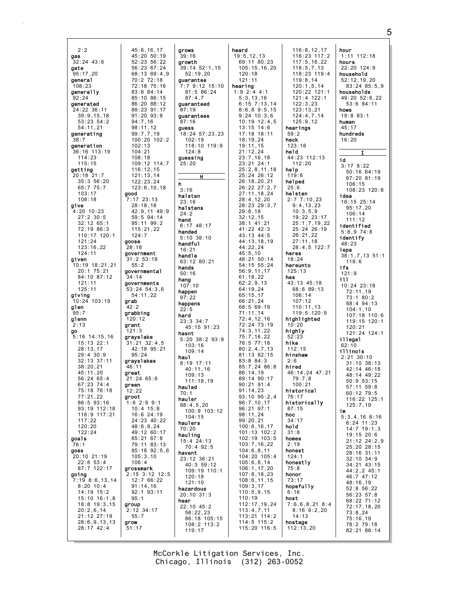$2:2$  $45:6, 16, 17$  $45:20$   $50:19$ gas  $32:24$  43:6  $52:23:56:22$ qate 56:23 67:24  $95:17.20$  $68:1369:49$ deneral  $70:272:18$  $72.18$  75.16  $108.23$  $83:8$   $84:14$ generally  $92.24$ 85:10 86:15  $86.20$   $88.12$ generated  $24:22.36:11$ 88:23 91:17  $39:9, 15, 18$  $91:20$   $93:8$  $53:23.54:2$  $94.716$  $54:11.21$  $98:11,12$ generating  $99:7,7,19$ <br> $100:20$   $102:2$  $38:7$ generation  $102:13$ 36:16 113:19  $101.21$  $114:23$  $108:18$  $115:15$ 109:12 114:7 getting  $116:12.15$  $20:18$  21:7  $121:13,14$ 35:3 56:20  $122:23,24$  $65:775:7$  $123:6, 10, 18$  $103:17$ good  $108:18$ 7:17 23:13  $28:18,18$ give 42:9,11 49:9 4:20 10:23  $27:2$  30:5 59:5 94:14  $32:12$  65:1 95:11 99:2  $72:19.86:3$  $115:21,22$ 110:17 120:1  $124:7$  $121:24$ goose  $123:16,22$  $28:18$  $124:11$ aovernment given .<br>31:2 53:18 10:19 18:21,21  $55:2$ 20:1 75:21 governmental 84:10 87:12 34:14 governments  $121:11$  $125:11$ 53:24 54:3,6 giving  $54:11.22$  $10:24$  103:19 grab alen  $42:2$ arabbing  $95:7$ glenn  $120:12$ grant  $2:13$ go  $121:3$  $5:16$  14:15.16 grayslake  $15:13$  22:1  $31:21$   $32:4.5$ 42:18 95:21  $28:13.17$  $29:4.30:9$  $95:24$  $32:13$   $37:11$ grayslakes  $38.20$  21 46:11 great  $45:11.20$  $21:24$  65:6  $56:2465:4$ green  $67:23$   $74:4$ 75:18 76:18  $12:22$  $77:21,22$ groot  $1:6$  2:8 9:1  $86.503.16$ 93:19 112:18  $10:4$  15:8 116:9 117:21 16:6 24:19  $117:22$  $24:23$  40:22  $120:20$  $48:6,9,24$  $122:24$ 49:12 60:17  $65:21$  67:8 goals 79:11 83:13  $76:1$  $85:18$   $92:5.6$ goes 20:10 21:19  $105:3,10$  $22:8$  53:4  $106:4$ 87:7 122:17 grossmark ,<br>2:15 3:12 12:5 going  $7:19$  8:6, 13, 14 12:7 66:22  $8:20$  10:4  $91:14.16$  $14:19$  15:2  $92:1$   $93:11$ 15:10 16:1,8  $95:1$  $18:8$  19:3,15 group  $20:2,6,14$  $2:12$  34:17 21:12 27:19  $55:7$  $28:6,9,13,13$ arow  $28:17$  42:4  $51:17$ 

arows  $39:16$ growth 39:14 52:1,15  $52:19.20$ guarantee  $7:7$  9:12 15:10  $81:586:24$  $87:4.7$ guaranteed  $87:19$ quarantees  $87.16$ guess 18:24 57:23,23  $102:19$ 118:10 119:9  $124.8$ guessing  $25:20$ н h  $3:16$ halsten  $23:16$ halstens  $24:2$ hand  $6:17$  48:17 handed  $5:10.38:10$ handful  $16:21$ handle 63:12 80:21 hands  $50:16$ hang  $107:10$ happen  $97:22$ happens  $22.5$ hard 23:3 34:7  $45 \cdot 15$  91  $\cdot$  23 hasnt  $5:20$   $38:2$   $93:9$  $103:16$  $109:14$ hau1  $8:19$  17:11  $40:11,16$  $109.13$  $111:18.19$ hauled  $70:1$ hauler  $98:4,5,20$ 100:9 103:12  $104:15$ haulers  $70:20$ hauling  $15:4$  24:13 70:4 92:5 havent 23:12 36:21 40:3 59:12 109:19 110:1  $120.18$  $121:10$ hazardous  $20:10$  31:3 hear  $22:10$  45:2  $56:22.23$ 86:18 105:15<br>108:2 113:2  $119:17$ 

heard  $19:5.12.13$  $69:11.80:23$  $105:15.16.20$  $120:18$  $121:11$ hearing  $1:9$  2:4 4:1  $5:3,13,16$  $6.15$   $7.13$   $14$  $8:6.8.9:5.15$  $9:24$  10:3.6  $10:19$   $12:4.5$  $13:15$   $14:6$  $17:18$  18:11  $18:19.24$  $19:11,15$  $21:12.24$  $23:7.16.18$ 23:21 24:1  $25:2,8,11,18$ 25:24 26:12  $26:18, 20, 21$  $26:22$   $27:2.7$  $27:11, 18, 24$  $28:4,12,20$ 28:23 29:3,7  $29:8.18$  $32:12.15$ 38:1 41:21 41:22 42:3 43:13 44:5 44:13,18,19  $44:22,24$  $45:5.10$ 48:21 50:14 54:15 55:24  $56:9, 11, 17$  $61:18,22$  $62:2.9.13$ 64:19.24  $65:15,17$ 66:21.24 68:5 69:19  $71:11.14$  $72:4.12.16$  $72:24$   $73:19$ 74: 3, 11, 22  $75:7.16.22$  $76:5$  77:18  $80:2,4,7,13$  $81:13.82:15$  $83:8$   $84:3$  $85:7.24$   $86:8$  $86:14.19$ 89:14 90:17  $90:21$   $91:4$  $91:14.23$  $93:10$   $95:2,4$  $96 \cdot 7$  10 17  $96:21$   $97:1$  $98:11,24$  $99:20.21$  $100:6, 16, 17$ 101:13 102:2 102:19 103:5  $103:7, 16, 22$  $104:6.8.11$ 104:20 105:4  $105:6, 8, 14$  $106:1, 17, 20$  $107:8, 18, 23$  $108:6, 11, 15$  $109:3.17$  $110:5,9,15$  $110:19$  $112:17,19,24$  $113:4,7,11$ 113:21 114:2 114:5 115:2 115:20 116:5

 $116:8.12.17$  $116:23 \quad 117:2$  $117:5.16.22$  $118:5.7.13$  $118:23:119:4$  $119:8,14$  $120:1.5.14$  $120:22$   $121:1$  $121:4$  122:1  $122.323$  $123:13.21$  $124:4,7,14$  $125:9.12$ hearings  $59:2$ heck  $123:18$ held 44:23 112:13  $112:20$ help  $119:6$ helped  $25:6$ helsten  $2:77:10,23$  $9:4,13,23$  $10:3,5,9$ 19:22 23:17  $25:1,7,19,22$ 25:24 26:19  $26:21,22$  $27:11,18$  $28:4,5$  122:7 heres  $18:24$ hereunto  $125:13$ hes 43:13 45:18 68:6 89:13  $106:14$  $107:12$  $110:11.13$  $119:5$  120:9 highlighted  $10:20$ highly  $52.23$ hike  $112.15$ hinshaw  $2:6$ hired 46:14,24 47:21  $79:7.8$  $100.21$ historical 76:17 historically  $87:15$ hoc  $34:17$ hold  $31:8$ homes  $2:19$ honest  $124:1$ honestly  $75.8$ honor  $73:17$ hopefully  $6:16$ host  $7:6,6,8,21$  8:4  $8:169::2,20$  $14:13$ hostage  $112:13,20$ 

hour  $1:11$   $112:18$ hours  $22:20$  124:9 household  $52:12,19,20$  $83.24$   $85.5$  9 households 49:20 52:6,22  $53:6$   $84:11$ hows  $19:8$  83:1 human  $45:17$ hundreds  $16:20$ id  $3:178:22$  $50:16$  64:19 67:20 81:19  $106:15$ 108:23 120:8 idea 16:15 25:14  $95:17,20$  $106:14$  $111:12$ identified  $5:8.974:8$ identify  $48.23$ iena  $38:1,7,13$  51:1  $118:6$ ifs  $121:9$ **i11**  $10:24$  23:18  $72 \cdot 11$  19  $73:180:2$ 88:4 94:13  $104:1.10$  $107:18$  110:6 119:15 120:1  $120.21$  $121:24$   $124:1$ illegal  $62:10$ illinois 2:21 30:10  $31:10$   $38:13$ 42:14 46:18  $48.14$   $49.22$  $50:9$   $53:15$ 57:11 59:8  $60:12$  79:5 116:22 125:1  $125:7.19$ im  $5:3,4,16$  6:16  $6:24$  11:23  $14:7$  19:1,3 19:15 20:6  $21:12$   $24:2.9$ 25:20 28:15 28:16 31:11  $32:10$   $34:9$ 34:21 43:15 44:2,2 45:1  $46:7^{6}47:12$  $48:16,19$  $52:8$  56:22  $56:23:57:8$ 68:22 71:12  $72:17.18.20$  $73:8.24$  $75:16.19$ 78:2 79:18  $82:21.86:14$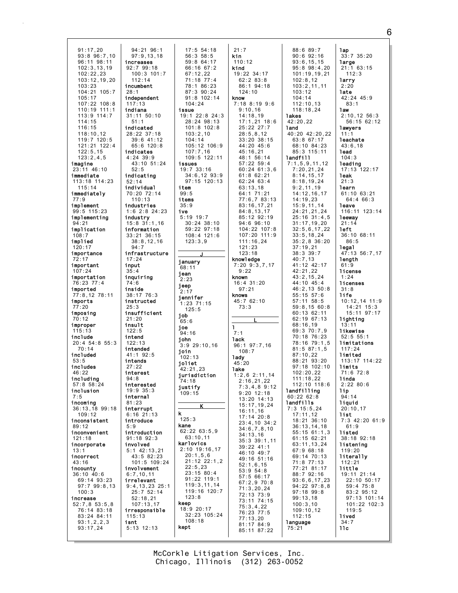91:17,20 93:8 96:7,10 96:11 98:11 102:3,13,19  $102:22.23$ 103:12,19,20 103:23 104:21 105:7 105:17 107:22 108:8 110:19 111:1 113:9 114:7 114:15 116:15 118:10,12 119:7 120:5 121:21 122:4  $122.5, 15$ 123:2,4,5 imagine 23:11 46:10 immediate 113:18 114:23 115:14 immediately 77:9 implement 99:5 115:23 implementing 94:21 implication 108:7 implied 120:17 importance 72:17 important  $107.24$ importation 76:23 77:4 imported 77:8,12 78:11 imports 77:20 imposing 70:12 improper 115:13 include 20:4 54:8 55:3 70:14 included 53:5 includes 46:22 including 57:8 58:24 inclusion 7:5 incoming 36:13,18 99:18 109:12 inconsistent 89:12 inconvenient 121:18 incorporate 13:1 incorrect 43:16 incounty 36:10 40:6 69:14 93:23 97:7 99:8,13 100:3 increase 52:7,8 53:5,8 76:14 83:18 83:24 84:11 93:1,2,2,3 93:17,24 94:21 96:1 97:9,13,18 increases 92:7 99:18 100:3 101:7 112:14 incumbent 28:1 independent 117:13 indiana 31:11 50:10 51:1 indicated 28:22 37:18 39:6 41:12 65:6 120:8 indicates 4:24 39:9 43:10 51:24  $52.5$ indicating 52:14 individual 70:20 72:14 110:13 industries 1:6 2:8 24:23 industry 15:8 31:1,16 information 33:21 36:15 38:8,12,16 94:7 infrastructure 17:24 input 35:4 inquiring 74:6 inside 38:17 76:3 instructed 25:3 insufficient 21:20 insult 122:5 intend 122:13 intended 41:1 92:5 intends  $27.22$ interest 94:8 interested 19:9 35:3 internal 81:23 interrupt 6:16 21:13 introduce 5:9 introduction 91:18 92:3 involved 5:1 42:13,21 43:5 82:23 101:5 109:24 involvement 6:7,10,11 irrelevant 9:4,13,23 25:1 25:7 52:14 52:18,21 107:13,17 irresponsible 115:13 isnt 5:13 12:13 17:5 54:18 56:3 58:5 59:8 64:17 66:16 67:2 67:12,22 71:18 77:4 78:1 86:23 87:3 90:24 91:8 102:14  $104.24$ issue 19:1 22:8 24:3 28:24 98:13 101:8 102:8 103:2,10 104:14 105:12 106:9 107:7,16 109:5 122:11 issues 19:7 33:16 34:6,12 93:9 97:15 120:13 item 99:5 items 35:9 ive 5:19 19:7 30:24 38:10 59:22 97:18 108:4 121:6 123:3,9 J january 68:11 jean 2:23 jeep  $2.17$ jennifer  $1:23$  71:15  $125:5$ job 65:6 joe .<br>94.16 john 3:9 29:10,16 join 102:13 joliet 42:21,23 jurisdiction 74:18 justify 109:15 K k 125:3 kane 62:22 63:5,9 63:10,11 karlovics 2:10 19:16,17 20:1,5,6 21:12 22:1,2 22:5,23 23:15 80:4 91:22 119:1  $119:3$ , 11, 14 119:16 120:7 123:8 keep 18:9 20:17 32:23 105:24 108:18 kept 21:7 kin 110:12 kind  $19:22$  34:17 62:2 83:8 86:1 94:18 124:10 know 7:18 8:19 9:6 9:10,16 14:18,19 17:1,21 18:6 25:22 27:7 28:5,8,12 33:20 38:15 44:20 45:6  $45 \cdot 16$ , 21 48:1 56:14 57:22 59:4 60:24 61:3,6 61:8 62:21 62:24 63:4 63:13,18 64:1 71:21 77:6,7 83:13 83:16,17,21 84:8,13,17 85:12 92:19 94:6 96:10 104:22 107:8 107:20 111:9 111:16,24 121:23 123:18 knowledge 7:20 9:3,7,17  $9:22$ known 16:4 31:20 97:21 knows  $45:7$  62:10 73:3 L  $\mathbf{I}$ 7:1 lack 96:1 97:7,16 108:7 lady 45:20 lake 1:2,6 2:11,14 2:16,21,22 7:3,4,8 9:12 9:20 12:18 13:20 14:13 15:17,19,24 16:11,16 17:14 20:8 23:4,10 34:2 34:6,7,8,10 34:13,16 35:3 39:1,11 39:22 41:1 46:10 49:7 49:16 51:16 52:1,6,15 53:9 54:8 57:5 66:17 67:2,9 70:8 71:3,20,24 72:13 73:9 73:11 74:15 75:3,4,22 76:23 77:5 77:13,20 81:17 84:9 85:11 87:22 88:6 89:7 90:6 92:16 93:6,15,15 95:8 98:4,20 101:19,19,21 102:8,12 103:2,11,11 103:12 104:14  $112 \cdot 10$ , 13 118:18,24 lakes 42:20,22 land 40:20 42:20,22 63:8 67:17 68:10 84:23 85:3 115:11 landfill 7:1,5,9,11,12 7:20,21,24 8:14,15,17 8:18,19,24 9:2,11,19 14:12,16,17 14:19,23 15:9,11,14 24:21,21,24  $25:16^{6}31:4,5$ 31:17,19,20 32:5,6,17,22 33:5,18,24 35:2,8 36:20 37:19,21 38:3 39:7 40:7,13 41:12 42:17  $42:21,22$ 43:2,15,24 44:10 45:4 46:2,13 50:8 55:15 57:6 57:11 58:5 59:8,15 60:8 60:13 62:11 62:19 67:13 68:16,19 69:3 70:7,9 70:18 76:23 78:16 79:1,5 81:5 87:1,5 87:10,22 88:21 93:20 97:18 102:10 102:20,22 111:18,22 112:10 118:6 landfilling 60:22 62:8 landfills 7:3 15:5,24 17:11,12 18:21 36:10 36:13,14,18 55:15 61:1,3 61:15 62:21 63:11,13,24 67:9 68:18 69:14 70:13 71:8 77:13 77:21 81:17 88:7 92:16 93:6,6,17,23 94:22 97:8,8 97:18 99:8 99:13,18 100:3,10 109:10,12 112:15 **language** 75:21 lap 33:7 35:20 large 21:1 63:15 112:3 larry  $2.20$ late 42:24 45:9 83:1 law 2:10,12 56:3 56:15 62:12 lawyers 11: leachate 43:6,18 lead 104:3 leading 17:13 122:17 leak 21:3 learn 61:10 63:21 64:4 66:3 leave 116:11 123:14 leeway 21:14 left 36:10 68:11 86:5 legal 47:13 56:7,17 length 61:9 license 1:24 licenses 31:8 life 10:12,14 11:9 14:21 15:3 15:11 97:17 lighting 13:11 likewise  $52:5.55:1$ limitations 117:24 limited 113:17 114:22 limits 71:6 72:8 linda  $2.22$  80 $·6$ lip 94:14 liquid 20:10,17 list 7:3 42:20 61:9 61:9 listed 38:18 92:18 listening 119:20 literally 112:21 little 19:11 21:14 22:10 50:17 59:4 75:8 83:2 95:12 97:13 101:14 101:22 102:3 119:5 lived 34:7 llc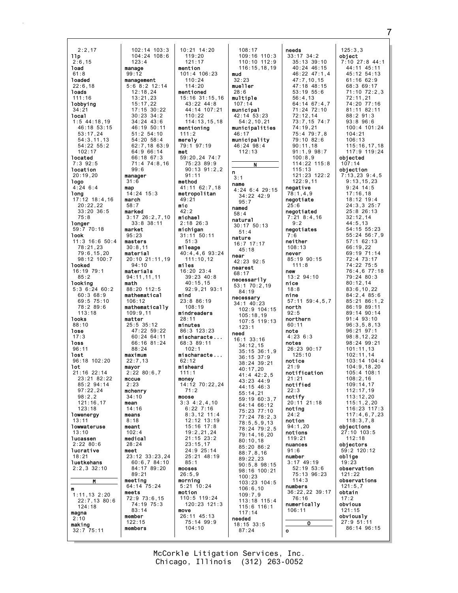2:2,17 llp  $2:6.15$ load 61:8 loaded 22:6,18 loads 111:16 lobbying 34:21 local 1:5 44:18,19 46:18 53:15 53:17,24 54:3,11,13 54:22 55:2  $102.17$ located 7:3 92:5 location 20:19,20 logo 4:24 6:4 long 17:12 18:4,16 20:22,22 33:20 36:5 75:8 longer 59:7 70:18 look 11:3 16:6 50:4 78:21,23 79:6,15,20 98:12 100:7 looked 16:19 79:1 85:2 looking 5:3 6:24 60:2 60:3 68:9 69:5 75:10 78:2 89:6 113:18 looks 88:10 lose  $17:3$ loss 96:11 lost 96:18 102:20 lot 21:16 22:14 23:21 82:22  $85 \cdot 2$   $94 \cdot 14$ 97:22,24 98:2,2 121:16,17 123:18 lowenergy 13:11 lowwateruse 13:10 lucassen 2:22 80:6 lucrative 18:21 **luetkehans** 2:2,3 32:10 M m 1:11,13 2:20 22:7,13 80:6 124:18 magna  $2:10$ making  $32:7$   $75:11$ 102:14 103:3 104:24 108:6 123:4 manage 99:12 management 5:6 8:2 12:14 12:18,24 13:21,23 15:17,22 17:15 30:22 30:23 34:2 34:24 43:6 46:19 50:11 51:2 54:10 54:20 58:4 62:7,18 63:9 64:9 66:14 66:18 67:3 71:4 74:8,16 99:6 manager 31:6 map 14:24 15:3 march 58:7 marked 3:17 26:2,7,10 33:8 38:11 market 95:23 masters  $30:8,11$ material 20:10 21:11,19 94:10 materials 94:11,11,11 math 88:20 112:5 mathematical 106:12 mathematically 109:9,11 matter 25:5 35:12 47:22 59:22 60:24 64:11 66:16 81:24 88:24 maximum 22:7,13 mayor 2:22 80:6,7 mccue  $2.23$ mchenry 34:10 mean 14:16 means 8:18 meant 102:4 medical 28:24 meet 23:12 33:23,24 60:6,7 84:10 84:17 89:20 89:21 meeting 64:14 75:24 meets 72:9 73:6,15 74:19 75:3 83:14 member 122:15 members

10:21 14:20 119:20 121:17 mention 101:4 106:23 110:24  $114.20$ mentioned 15:16 31:15,16  $43:22 \ 44:8$ 44:14 107:21 110:22 114:13,15,18 mentioning 111:2 merely 79:1 97:19 met 59:20,24 74:7 75:23 89:9  $90.13$   $91.2$  2 91:11 method 41:11 62:7,18 metropolitan 49:21 mic 42:2 michael 2:18 26:3 michigan 31:11 50:11 51:3 mileage 40:4,4,6 93:24 111:10,12 miles 16:20 23:4 39:23 40:8 40:15,15 92:9,21 93:1 mind 23:8 86:19 108:19 mindreaders 28:11 minutes 86:3 123:23 mischaracte ... 68:3 89:11  $102.1$ mischaracte ... 62:12 misheard 111:1 money 14:12 70:22,24 71:2 moose 3:3 4:2,4,10 6:22 7:16 8:3,12 11:4 12:12 13:19 15:16 17:8 19:2,21,24 21:15 23:2 23:15,17 24:9 25:14 25:21 48:19 85:1 mooses 26:5,9 morning 5:21 10:24 motion 110:5 119:24 120:23 121:3 move 26:11 45:13 75:14 99:9 104:10

108:17 109:16 110:3 110:10 112:9 116:15,18,19 mud 32:23 mueller 28:6 multiple 107:14 municipal 42:14 53:23 54:2,10,21 municipalities 46:17 municipality 46:24 98:4  $112.13$ N n 3:1 name 4:24 6:4 29:15 34:22 42:9 95:7 named 58:4 natural 30:17 50:13 51:4 nature 16:7 17:17 45:18 near  $42:23$  92:5 nearest 68:17 necessarily 53:1 70:2,19 84:19 necessary 34:1 40:23 102:9 104:15 105:18,19 107:5 119:13  $123:1$ need 16:1 33:16 34:12,15 35:15 36:1,9 36:15 37:9 38:24 39:21 40:17,20 41:4 42:2,5 43:23 44:9 44:15 46:3 55:14,21 59:19 60:3,7 64:14 66:12 75:23 77:10 77:24 78:2,3 78:5,5,9,13 78:24 79:2,5 79:14,16,20 80:10,18 85:20 86:2 88:7,8,16 89:22,23 90:5,8 98:15 98:16 100:21 100:23 103:23 104:5 106:6,10 109:7,9 113:18 115:4 115:6 116:1 117:14 needed 18:15 33:5 87:24

needs 33:17 34:2 35:13 39:10 40:24 46:15 46:22 47:1,4 47:7,10,15  $47.18$   $48.15$ 53:19 55:6 56:4,13  $64.14$   $67.4$  7 71:24 72:10 72:12,14 73:7,15 74:7 74:19,21 75:4 79:7,8 79:10 82:6 90:11,18  $91 \cdot 1, 9, 98 \cdot 7$ 100:8,9 114:22 115:8  $115 \cdot 13$ 121:23 122:2 122:9,11 negative 78:1,4,9 negotiate 25:6 negotiated 7:21 8:4,16 9:2 negotiates 7:6 neither 108:13 never 85:19 90:15 111:8 new 13:2 94:10 nice 18:8 nine 57:11 59:4,5,7 north 92:5 northern 60:11 note  $4.2363$ notes 26:23 90:17 125:10 notice  $21.9$ notification  $21.21$ notified  $22.3$ notify 20:11 21:18 noting 24:2 notion 94:1,20 notions 119:21 nuances  $91.6$ number 3:17 49:19 52:19 53:6 75:13 96:23 114:3 numbers 36:22,22 39:17 76:16 numerically 106:11 O o

125:3,3 object 7:10 27:8 44:1  $44:11$   $45:11$ 45:12 54:13 61:16 62:9 68:3 69:17 71:10 72:2,3 72:11,21 74:20 77:16 81:11 82:11 88:2 91:3 93:8 96:6 100:4 101:24 104:21 106:13 115:16,17,18 117:9 119:24 objected 107:14 objection 7:13,23 9:4,5 9:13,15,23 9:24 14:5 17:16,18 18:12 19:4 24:3,3 25:7 25:8 26:13 32:12,14 44:5,13 54:15 55:23 55:24 56:7,9 57:1 62:13 66:19,22 69:19 71:14 72:4 73:17 74:22 75:5 76:4,6 77:18 79:24 80:3 80:12,14 83:6,10,22 84:2,4 85:6 85:21 86:1,2 86:19 89:11 89:14 90:14 91:4 93:10 96:3,5,8,13 96:21 97:1 98:8,12,22 98:24 99:21 101:11,13 102:11,14 103:14 104:4  $104.9$  18, 20 105:4 108:1 108:2,16 109:14,17 112:17,19 113:12,20  $115:1,2,20$ 116:23 117:3 117:4,6,7,23  $118:3,7,8$ objections 27:10 103:5 112:18 objectors 59:2 120:12 oblige 19:23 observation 121:22 observations 121:5,7 obtain 17:2 obvious 121:15 obviously 27:9 51:11 86:14 96:15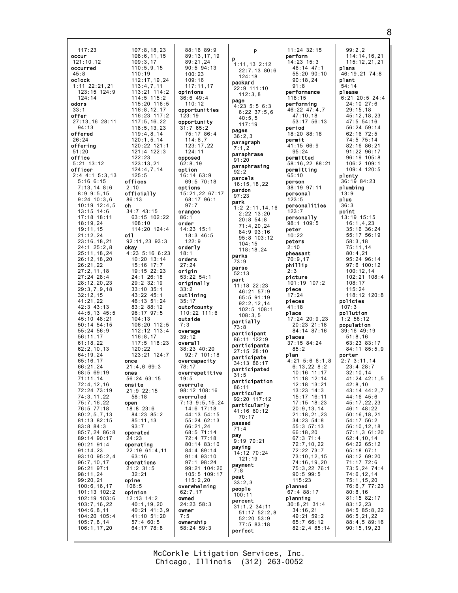| 117:23<br>occur<br>121:10,12<br>occurred<br>45:8<br>oclock<br>$1:11$ $22:21,21$<br>123:15 124:9<br>124:14<br>odors<br>33:1<br>offer<br>27:13,16 28:11<br>94:13<br>offered<br>26:24<br>offering<br>51:20<br>office<br>$5:21$ 13:12<br>officer<br>$2:4$ 4:1 5:3,13<br>5:16 6:15<br>7:13,148:6<br>8:99:5,15<br>$9:24$ 10:3,6<br>$10:19$ $12:4,5$<br>13:15 14:6<br>17:18 18:11<br>18:19,24<br>19:11,15<br>21:12,24<br>23:16,18,21<br>24:1 25:2,8<br>25:11,18,24<br>26:12,18,20<br>26:21,22<br>27:2,11,18<br>$27:24$ 28:4<br>28:12,20,23<br>29:3,7,9,18<br>32:12,15<br>41:21,22<br>42:3 43:13<br>44:5,13 45:5<br>45:10 48:21<br>50:14 54:15<br>55:24 56:9<br>56:11,17<br>61:18,22<br>62:2,10,13<br>64:19,24<br>65:16,17<br>66:21,24<br>68:5 69:19<br>71:11,14<br>72:4,12,16<br>72:24 73:19<br>74:3,11,22<br>75:7, 16, 22 | 107:8, 18, 23<br>108:6,11,15<br>109:3,17<br>110:5,9,15<br>110:19<br>112:17,19,24<br>113:4,7,11<br>113:21 114:2<br>$114:5$ 115:2<br>115:20 116:5<br>116:8, 12, 17<br>116:23 117:2<br>117:5, 16, 22<br>118:5, 13, 23<br>119:4,8,14<br>120:1,5,14<br>120:22 121:1<br>121:4 122:3<br>122:23<br>123:13,21<br>124:4,7,14<br>125:5<br>offices<br>2:10<br>officially<br>86:13<br>oh<br>34:7 43:15<br>63:15 102:22<br>108:10<br>114:20 124:4<br>oi 1<br>92:11,23 93:3<br>okay<br>$4:23$ 5:16 6:23<br>10:20 13:14<br>15:16 17:7<br>19:15 22:23<br>24:1 26:18<br>29:2 32:19<br>$33:10$ $35:1$<br>43:22 45:1<br>46:13 51:24<br>83:2 88:12<br>96:17 97:5<br>104:13<br>106:20 112:5<br>112:12 113:4<br>116:8,17<br>117:5 118:23<br>120:22<br>123:21 124:7<br>once<br>21:4,669:3<br>ones<br>56:24 63:15<br>onsite<br>21:9 22:15<br>58:18<br>open |
|---------------------------------------------------------------------------------------------------------------------------------------------------------------------------------------------------------------------------------------------------------------------------------------------------------------------------------------------------------------------------------------------------------------------------------------------------------------------------------------------------------------------------------------------------------------------------------------------------------------------------------------------------------------------------------------------------------------------------------------------------------------------------------------------------------------------|-----------------------------------------------------------------------------------------------------------------------------------------------------------------------------------------------------------------------------------------------------------------------------------------------------------------------------------------------------------------------------------------------------------------------------------------------------------------------------------------------------------------------------------------------------------------------------------------------------------------------------------------------------------------------------------------------------------------------------------------------------------------------------------------------------------------------------------|
| 76:5 77:18                                                                                                                                                                                                                                                                                                                                                                                                                                                                                                                                                                                                                                                                                                                                                                                                          | 18:8 23:6                                                                                                                                                                                                                                                                                                                                                                                                                                                                                                                                                                                                                                                                                                                                                                                                                         |
| 80:2,5,7,13                                                                                                                                                                                                                                                                                                                                                                                                                                                                                                                                                                                                                                                                                                                                                                                                         | 84:23 85:2                                                                                                                                                                                                                                                                                                                                                                                                                                                                                                                                                                                                                                                                                                                                                                                                                        |
| 81:13 82:15                                                                                                                                                                                                                                                                                                                                                                                                                                                                                                                                                                                                                                                                                                                                                                                                         | 85:11,13                                                                                                                                                                                                                                                                                                                                                                                                                                                                                                                                                                                                                                                                                                                                                                                                                          |
| 83:8 84:3                                                                                                                                                                                                                                                                                                                                                                                                                                                                                                                                                                                                                                                                                                                                                                                                           | 93:7                                                                                                                                                                                                                                                                                                                                                                                                                                                                                                                                                                                                                                                                                                                                                                                                                              |
| 85:7,24 86:8                                                                                                                                                                                                                                                                                                                                                                                                                                                                                                                                                                                                                                                                                                                                                                                                        | operated                                                                                                                                                                                                                                                                                                                                                                                                                                                                                                                                                                                                                                                                                                                                                                                                                          |
| 89:14 90:17                                                                                                                                                                                                                                                                                                                                                                                                                                                                                                                                                                                                                                                                                                                                                                                                         | 24:23                                                                                                                                                                                                                                                                                                                                                                                                                                                                                                                                                                                                                                                                                                                                                                                                                             |
| 90:21 91:4                                                                                                                                                                                                                                                                                                                                                                                                                                                                                                                                                                                                                                                                                                                                                                                                          | operating                                                                                                                                                                                                                                                                                                                                                                                                                                                                                                                                                                                                                                                                                                                                                                                                                         |
| 91:14,23                                                                                                                                                                                                                                                                                                                                                                                                                                                                                                                                                                                                                                                                                                                                                                                                            | 22:19 61:4,11                                                                                                                                                                                                                                                                                                                                                                                                                                                                                                                                                                                                                                                                                                                                                                                                                     |
| $93:10$ $95:2,4$                                                                                                                                                                                                                                                                                                                                                                                                                                                                                                                                                                                                                                                                                                                                                                                                    | 63:16                                                                                                                                                                                                                                                                                                                                                                                                                                                                                                                                                                                                                                                                                                                                                                                                                             |
| 96:7,10,17                                                                                                                                                                                                                                                                                                                                                                                                                                                                                                                                                                                                                                                                                                                                                                                                          | operations                                                                                                                                                                                                                                                                                                                                                                                                                                                                                                                                                                                                                                                                                                                                                                                                                        |
| 96:21 97:1                                                                                                                                                                                                                                                                                                                                                                                                                                                                                                                                                                                                                                                                                                                                                                                                          | 21:2 31:5                                                                                                                                                                                                                                                                                                                                                                                                                                                                                                                                                                                                                                                                                                                                                                                                                         |
| 98:11,24                                                                                                                                                                                                                                                                                                                                                                                                                                                                                                                                                                                                                                                                                                                                                                                                            | 32:21                                                                                                                                                                                                                                                                                                                                                                                                                                                                                                                                                                                                                                                                                                                                                                                                                             |
| 99:20,21                                                                                                                                                                                                                                                                                                                                                                                                                                                                                                                                                                                                                                                                                                                                                                                                            | opine                                                                                                                                                                                                                                                                                                                                                                                                                                                                                                                                                                                                                                                                                                                                                                                                                             |
| 100:6,16,17                                                                                                                                                                                                                                                                                                                                                                                                                                                                                                                                                                                                                                                                                                                                                                                                         | 106:5                                                                                                                                                                                                                                                                                                                                                                                                                                                                                                                                                                                                                                                                                                                                                                                                                             |
| 101:13 102:2                                                                                                                                                                                                                                                                                                                                                                                                                                                                                                                                                                                                                                                                                                                                                                                                        | opinion                                                                                                                                                                                                                                                                                                                                                                                                                                                                                                                                                                                                                                                                                                                                                                                                                           |
| 102:19 103:6                                                                                                                                                                                                                                                                                                                                                                                                                                                                                                                                                                                                                                                                                                                                                                                                        | 12:13 14:2                                                                                                                                                                                                                                                                                                                                                                                                                                                                                                                                                                                                                                                                                                                                                                                                                        |
| 103:7,16,22                                                                                                                                                                                                                                                                                                                                                                                                                                                                                                                                                                                                                                                                                                                                                                                                         | 40:1, 19, 20                                                                                                                                                                                                                                                                                                                                                                                                                                                                                                                                                                                                                                                                                                                                                                                                                      |
| 104:6, 8, 11                                                                                                                                                                                                                                                                                                                                                                                                                                                                                                                                                                                                                                                                                                                                                                                                        | 40:21 41:3,9                                                                                                                                                                                                                                                                                                                                                                                                                                                                                                                                                                                                                                                                                                                                                                                                                      |
| 104:20 105:4                                                                                                                                                                                                                                                                                                                                                                                                                                                                                                                                                                                                                                                                                                                                                                                                        | 41:10 51:20                                                                                                                                                                                                                                                                                                                                                                                                                                                                                                                                                                                                                                                                                                                                                                                                                       |
| 105:7,8,14                                                                                                                                                                                                                                                                                                                                                                                                                                                                                                                                                                                                                                                                                                                                                                                                          | 57:4 60:5                                                                                                                                                                                                                                                                                                                                                                                                                                                                                                                                                                                                                                                                                                                                                                                                                         |
| 106:1,17,20                                                                                                                                                                                                                                                                                                                                                                                                                                                                                                                                                                                                                                                                                                                                                                                                         | 64:17 78:8                                                                                                                                                                                                                                                                                                                                                                                                                                                                                                                                                                                                                                                                                                                                                                                                                        |

| 88:16 89:9                               |
|------------------------------------------|
| 89 : 13 , 17 , 19<br>89 : 21 , 24        |
|                                          |
|                                          |
| 90:5 94:13                               |
| 100:23                                   |
|                                          |
| 109:16                                   |
| 117:11,17                                |
| opinions                                 |
|                                          |
| 36:6 49:4                                |
| 110:12                                   |
|                                          |
| opportunities                            |
| 123:19                                   |
|                                          |
| opportunity<br>31:7 65:2                 |
|                                          |
|                                          |
| <br>75:17 86:4<br>114:6,7                |
|                                          |
| 123:17<br>, 22                           |
| 124:11                                   |
|                                          |
| opposed                                  |
| 62:8,19                                  |
| option                                   |
|                                          |
| 16:14 63:9                               |
| 69:5 70:18                               |
| options                                  |
|                                          |
| 15:21,22 67:17                           |
| 68:17 96:1                               |
|                                          |
| 97:7                                     |
| oranges                                  |
| 86:1                                     |
|                                          |
| order                                    |
| 14:23 15:1<br>18:3 46:5                  |
|                                          |
|                                          |
| 122:9                                    |
| orderly                                  |
|                                          |
| 18:1                                     |
| orders                                   |
| 27:24                                    |
|                                          |
| origin                                   |
| 53:22 54:1                               |
|                                          |
| originally                               |
|                                          |
|                                          |
| 33:2                                     |
| outlining                                |
| 35:17                                    |
|                                          |
| outofcounty                              |
| 110:22 111:6                             |
| outside                                  |
|                                          |
| 7:3                                      |
| overage                                  |
|                                          |
| 39:12                                    |
| overall                                  |
| 38:23 40:20                              |
|                                          |
| $92:7$ 101:18                            |
| overcapacity                             |
| 78:17                                    |
|                                          |
| overrepetitive                           |
| 19:5                                     |
| overrule                                 |
|                                          |
| 98:12 108:16                             |
| overruled                                |
|                                          |
|                                          |
| 7:13 9:5,15,24<br>14:6 17:18             |
|                                          |
|                                          |
|                                          |
|                                          |
| 44:13 54:15<br>55:24 62:13<br>66:21,24   |
|                                          |
| 68:5 71:14<br>72:4 77:18                 |
| 80:14 83:10                              |
|                                          |
|                                          |
|                                          |
| 84:4 89:14<br>91:4 93:10<br>97:1 98:24   |
|                                          |
|                                          |
|                                          |
|                                          |
| 99:21 104:20<br>105:5 109:17<br>115:2,20 |
| overwhelming                             |
| 62:7,17                                  |
|                                          |
| owned                                    |
| 24:23 58:3                               |
| owner                                    |
|                                          |
| 7:5                                      |
| ownership<br>58:24 59:3                  |

| P                                                    |  |
|------------------------------------------------------|--|
| р<br>13 2:12<br>1:11                                 |  |
| 22:7,13 80:6<br>124:18                               |  |
| packard<br>22:9 111:10                               |  |
| 112:3,8<br>page                                      |  |
| 5:56:3<br>4:23<br>$6:22$ 37:5,6<br>40:5,5            |  |
| 117:19<br>pages                                      |  |
| 36:2,3<br>paragraph                                  |  |
| 7:1,2<br>paraphrase                                  |  |
| 91:20<br>paraphrasing                                |  |
| 92:2<br>parcels                                      |  |
| 16:15,18,22<br>pardon                                |  |
| 97:23<br>park                                        |  |
| 2:11, 14, 16<br>1:2<br>2:22<br>13:20<br>54:8<br>20:8 |  |
| 71:4,20,24<br>84:9<br>93:16                          |  |
| 104:15                                               |  |
| 118:18,24<br>parks                                   |  |
| 73:9<br>parse                                        |  |
| 52:13<br>part                                        |  |
| 11:18 22:23<br>46:21 57:9                            |  |
| 65:5 91:19<br>92:2,12,14                             |  |
| $102:5$ $108:1$<br>108:3,5<br>partially              |  |
| 73:8<br>participant                                  |  |
| 86:11<br>122:9<br>participants                       |  |
| 27:15<br>28:10<br>participate                        |  |
| 34:13 86:17<br>participated                          |  |
| 31<br>: 5<br>participation                           |  |
| 86:11<br>particular<br>92:20 117:12                  |  |
| particularly<br>41:16 60:12                          |  |
| 70:17<br>passed                                      |  |
| 71:4<br>pay                                          |  |
| $9:19$ 70:21<br>paying                               |  |
| 14:12 70:24<br>121:19                                |  |
| payment<br>7:8                                       |  |
| peat<br>33:2,3<br>people                             |  |
| 100:11<br>percent                                    |  |
| 31:1,2 34:11<br>51:17 52:2                           |  |
| 51:17 52:2,8<br>52:20 53:9<br>77:5 83:18             |  |
| perfect                                              |  |

| 11:24 32:15                | 99:2,2                     |
|----------------------------|----------------------------|
|                            | 114:14, 16, 21             |
| perform                    |                            |
| 14:23 15:3                 | 115:12,21,21               |
| 46:14 47:1                 | plans                      |
| 55:20 90:10                | 46:19,21 74:8              |
|                            |                            |
| 90:18,24                   | plant                      |
| 91:8                       | 54:14                      |
| performance                |                            |
|                            | please                     |
| 118:15                     | 6:21 20:5 24:4             |
| performing                 | 24:10 27:6                 |
|                            |                            |
| 46:22 47:4,7               | 29:15,18                   |
| 47:10,18                   | 45:12,18,23                |
| 53:17<br>56:13             | $47:5$ 54:16               |
|                            | 56:24 59:14                |
| period                     |                            |
| 18:20 88:18                | 62:16 72:5                 |
| permit                     | 74:5 75:14                 |
|                            |                            |
| 41:15 66:9                 | 82:16 86:21                |
| 95:24                      | 91:22<br>96:17             |
| permitted                  | 96:19 105:8                |
|                            |                            |
| 58:16,22 88:21             | 106:2 109:1                |
| permitting                 | 109:4 120:5                |
| 65:10                      | plenty                     |
|                            |                            |
| person                     | 36:19 84:23                |
| 38:19 97:11                | plumbing                   |
| personal                   | 13:9                       |
|                            |                            |
| 123:5                      | plus                       |
| personalities              | 36:3                       |
| 123:7                      | point                      |
|                            |                            |
| personally                 | 13:19 15:15                |
| 98:1 109:5                 | 16:1,4,23                  |
| peter                      |                            |
|                            | 35:16 36:24                |
| 10:22                      | 55:17 56:19                |
| peters                     | 58:3,18                    |
|                            | 75:11.14                   |
| 2:10                       |                            |
| pheasant                   | 80:4,21                    |
| 70:9,17                    | 95:24 96:14                |
|                            |                            |
| phillip                    | 97:6 100:12                |
| 2:3                        | 100:12,14                  |
| picture                    | 102:21<br>108:4            |
|                            |                            |
| 101:19 107:2               | 108:17                     |
| piece                      | 115:24                     |
|                            |                            |
|                            |                            |
| 17:24                      | 118:12 120:8               |
| pieces                     | policies                   |
|                            |                            |
| 41:18                      | 107:3                      |
| place                      | pollution                  |
| 17:24 20:9,23              | 1:2 58:12                  |
|                            |                            |
| 20:23 21:18                | population                 |
| 84:14 87:16                | 39:16 49:19                |
| places                     | 51:8,16                    |
|                            |                            |
| 37:15 84:24                | 63:23 83:17                |
| 85:2                       | 84:11 85:5,9               |
| plan                       | porter                     |
| 4:21 5:6 6:1,8             |                            |
|                            | 2:7 3:11,14                |
| 6:13,22 8:2                | 23:4 28:7                  |
| 10:16 11:17                | 32:10,14                   |
|                            |                            |
| 11:18 12:14                | 41:24 42:1,5               |
| 12:18 13:21                | 42:8,10                    |
| 13:23 14:3                 | 43:14 44:2,7               |
| 15:17 16:11                |                            |
|                            |                            |
| $17:15$ 18:23              | 44:16 45:6<br>45:17,22,23  |
| 20:9,13,14                 | 46:1 48:22                 |
|                            |                            |
| 21:18,21,23                | 50:16, 18, 21              |
| 34:23 54:8                 | 54:17 56:2                 |
| 55:3 57:13                 | 56:10, 12, 18              |
|                            |                            |
| 66:18,20                   | 57:1,3 61:20               |
| 67:3 71:4                  | 62:4, 10, 14               |
| 72:7, 10, 22               | 64:22 65:12                |
|                            | 65:18 67:1                 |
|                            |                            |
| 72:22 73:7<br>73:10,12,15  | 68:12 69:20                |
| 74:16,19,20                | 71:17 72:6                 |
|                            |                            |
| 75:3,22 76:1               |                            |
| $90:5$ 99:5                | 73:5,24 74:4<br>74:6,12,14 |
| 115:23                     | 75:1, 15, 20               |
| planned                    |                            |
|                            | 76:6,7 77:23               |
| 67:4 88:17                 | 80:8,16                    |
| planning                   | 81:15 82:17                |
|                            | 83:12,23                   |
|                            |                            |
| 30:8,21 31:4<br>34:16,21   | 84:5 85:8,22               |
| 49:21 59:2                 | 86:5, 21, 22               |
|                            | 88:4,5 89:16               |
| 65:7 66:12<br>82:2,4 85:14 | 90:15, 19, 23              |

8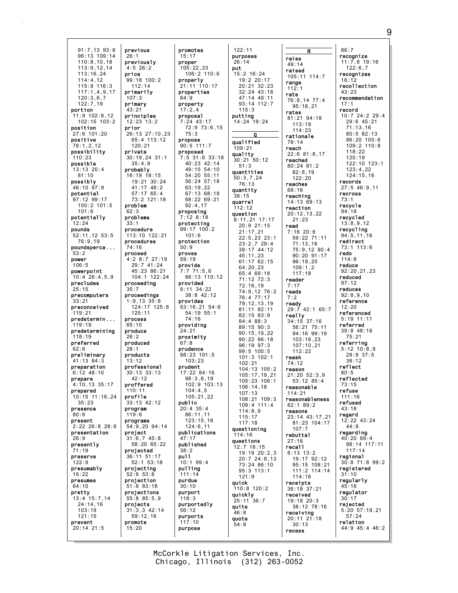91:7,13 93:8 96:13 109:14 110:8,10,18 113:9,12,14 113:16,24 114:4,12  $115.9$   $116.3$ 117:1,4,9,17 120:3,6,7  $122.7$  19 portion 11:9 102:8,12 102:15 103:2 position 27:6 101:20 positive 78:1,2,12 possibility 110:23 possible 13:13 20:4 81:10 possibly 46:10 97:9 potential 97:12 99:17 100:2 101:5 101:6 potentially 12:24 pounds 52:11,12 53:5 76:9,19 poundsperca ... 53:2 power 106:5 powerpoint 10:4 26:4,5,9 precludes 25:15 precomputers 33:21 preconceived 119:21 predetermin ... 119:19 predetermining 118:19 preferred  $62.6$ preliminary 41:13 84:3 preparation 6:12 48:10 prepare 4:10,13 35:17 prepared 10:15 11:16,24 35:23 presence 80:6 present 2:22 26:8 28:6 presentation 26:9 presently  $.19$ preserve 122:9 presumably 16:22 presumes 64:10 pretty 13:4 15:7,14 24:14,16 103:19 121:15 prevent 20:14 21:5 26:1 price 107:3 primary 43:21 prior 62:3 33:1 74:16 35:7 65:10  $28.2$  $28:1$ 13:12 119:6 15:20

previous previously 4:5 26:2 99:18 100:2  $112.14$ primarily principles  $12.23$  13.2 26:13 27:10,23 65:4 113:12 120:21 private 30:19,24 31:1  $35 \cdot 4$ , 9 probably 16:19 18:15 19:21 30:24 41:17 48:2 57:17 65:4 73:2 121:18 problem problems procedure 113:10 122:21 procedures proceed 4:2 8:7 27:19 29:7 41:24 45:23 86:21 104:1 122:24 proceeding proceedings 1:9,13 35:8 124:17 125:8 125:11 process produce produced products professional 30:13 33:13  $42.12$ proffered 110:11 profile 33:13 42:12 program programs 54:9,20 94:14 project 31:6,7 45:8 58:20 65:22 projected 36:11 51:17 52:1 53:18 projecting 52:6 53:8 projection 51:8 83:18 projections 55:8 85:5,9 projects 31:3,3 42:14 59:12,16 promote promotes 15:17 proper  $105:22.23$ properties 84:9 property  $17:2.4$ proposal 7:24 43:17 75:3 propose 90:5 111:7 proposed proposing 7:12 8:18 protecting 101:6 protection 50:9 proves 59:19 provide 7:7 71:5,6 provided 9:11 34:22 provides 74:16 providing 24:21 proximity 67:8 prudence 103:23 prudent public 20:4 35:4 47:17 published 38:2 pu<sub>11</sub> 10:1 99:4 pulling 111:14 purdue  $30:10$ purport 118:3 purportedly 56:12 purports 117:10 purpose

 $106:2 110:6$ properly 21:11 110:17 72:9 73:6,15 7:5 31:6 33:18 40:23 42:14  $49.15$  54.10 54:20 55:11 56:24 57:18 63:19,22 67:13 68:19 68:22 69:21 92:4,17 99:17 100:2 88:13 110:12 38:8 42:12 53:16,21 54:6 54:19 55:1 98:23 101:5 17:22 84:16 98:3,6,19 102:9 103:13  $104:4.5$ 105:21,22 86:11,11  $123:15,16$ 124:6,11 publications 122:11 purposes 26:14 put 15:2 16:24 19:2 20:17 115:3 putting 14:24 19:24  $\overline{0}$ qualified 109:21 quality 30:21 50:12 51:3 quantities 50:3,7,24 76:13 quantity 39:15 quarrel 112:12 question 8:11,21 17:17 20:9 21:15 21:17,21 45:11,23 64:20,23 65:4 69:18 71:12 72:3 72:16,19 76:4 77:17 82:15 83:9 84:4 88:3 89:15 90:3 96:19 97:3 99:5 100:5 102:21 106:14,18 107:13 114:8,9 115:17 117:18 questioning 114:16 questions 12:7 18:15 95:3 113:1  $121.9$ quick 110:8 120:2 quickly 25:11 36:7 quite 46:8 quote 54:8

20:21 32:23 32:24 43:18 47:14 49:11 93:14 112:7 22:5,23 23:1 23:2,7 29:4 39:17 44:12 61:17 62:15 74:9,12 76:2 79:12,13,19 81:11 82:11 90:15,19,22 90:22 96:18 101:3 102:1 104:13 105:2 105:17,19,21 105:23 106:1 108:21 109:3 109:4 111:4 19:19 20:2,3 20:7 24:8,13 73:24 86:10 raise 49:14 raised range 112:1 rate 95:18,21 rates 81:21 94:18 113:19  $114.23$ rationale 78:14 reach reached 80:24 81:2 82:8,19 122:20 reaches 68:16 reaching 14:13 69:13 reaction 20:12,13,22 21:23 read 7:16 20:6  $109:1.2$ 117:18 reader 7:17 reads 7:2 really 34:15 37:16 112:22 reask 74:12 reason reasonable 114:21 82:1 89:2 reasons 107:7 rebuttal 27:16 recall 8:13 13:2  $114.16$ receipts 36:18 37:21 received 19:18 20:3 receiving 20:11 21:18 30:13 recess

R 105:11 114:7 76:9,14 77:4 22:6 81:8,17 59:22 71:11 71:13,16 75:9,12 90:4 90:20 91:17 96:19,20 ready 29:7 42:1 65:7 56:21 75:11 94:16 99:19 103:18,23 107:10,21 21:20 52:3,9 53:12 85:4 reasonableness 23:14 43:17,21 81:23 104:17 19:17 92:12 95:15 108:21 111:2 114:14 38:12 78:16 86:7 16:12 43:23 17:1 record 73:1 94:18 redo 114:8 reduce 97:12 12:20 80:5 73:15 refuse 43:18 regard 44:9 31:10  $45:16$ 30:17

recognize 11:7,8 19:16 122:6,7 recognizes recollection recommendation 10:7 24:2 29:4 29:6 45:21 71:13,16 80:5 82:13 96:20 105:6 109:2 110:8  $118.22$ 120:19 122:10 123:1  $123 \cdot 4$ , 22 124:15,16 records  $27:5$  46.9 11 recross recycle recycled 13:8,9,12 recycling 94:5,11,16 redirect 73:1 113:6 92:20,21,23 reduced reduces 92:8,9,10 reference referenced 5:19 11:11 referred 39:8 48:18 75:21 referring 5:12 10:8,9 28:9 37:5 38:12 reflect reflected 111:16 refused 12:22 43:24 regarding 40:20 89:4 98:14 117:11 117:14 regional 30:8 71:8 99:2 registered regularly regulator rejected 5:20 57:19,21 57:24 relation 44:9 45:4 46:2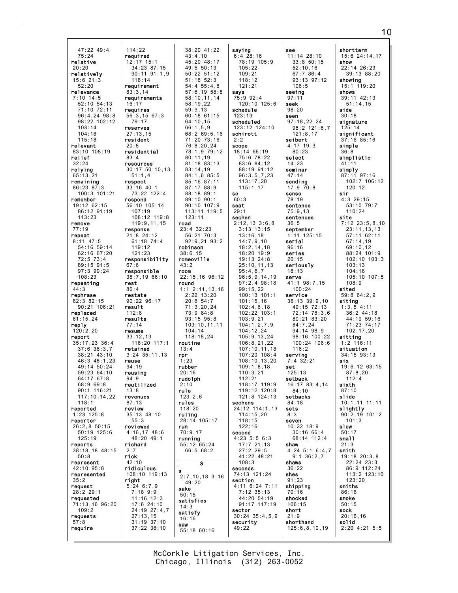$47:22$   $49:4$  $114:22$  $75:24$ reauired relative  $12:17$  15:1 34:23 87:15<br>90:11 91:1,9  $20:20$ relatively  $15:6$  21:3<br>52:20  $118:14$ requirement relevance  $83:3.14$ requirements  $7:10$  14:5  $52 \cdot 10$   $54 \cdot 13$  $16:17$ 71:10 72:11 requires 96:4,24 98:8 56:3,15 67:3 98:22 102:12  $79.17$  $103 \cdot 14$ reserves  $27:13,15$  $104:18$  $115.18$ resident relevant  $20:8$ 83:10 108:19 residential relief  $83:4$ resources relying  $30:17$   $50:10,13$  $65:13.21$  $51:1.4$ remaining respect  $33:16$  40:1 86:23 87:3 100:3 101:21 73:22 122:4 remember respond 56:10 105:14 19:12 62:15 86:12 91:19  $107:19$  $113.23$ 108:12 119:8 119:9,11,15 remove response  $77:19$ repeat  $21:8$  24:12  $8:11$  47:5  $61:18$  74:4 54:16 59:14 119:12  $62:1667:20$  $121:23$  $72:5$  73:4 responsibility 89:15 91:5  $67:6$  $97:3$   $99:24$ responsible 38:7,19 66:10  $108:23$ repeating rest  $44:3$  $86:4$ rephrase restate 90:22 96:17 62:3 82:15  $90:21$   $106:21$ result replaced  $112:8$  $61:15.24$ results reply  $77:14$  $120:2,20$ resume  $33 \cdot 12$  13 report  $35:17.23$  36:4  $116:20$   $117:1$ retained  $37:6$   $38:3.7$  $38:21$   $43:10$  $3:24$   $35:11$  13  $46:3$   $48:1.23$ reuse  $49.14.50.24$  $94.19$  $59:23.64:10$ reusina  $64:1767:8$  $Q_{\mathcal{A}}\cdot Q$ reutilized  $R \cdot 9$   $R \cdot 8$  $90:1$  116:21  $13:8$ 117:10.14.22 revenues  $118.1$  $87.12$ reported review  $1:23$  125:8 35:13 48:10 reporter  $55:3$  $26:2,850:15$ reviewed  $50:19$  125:6 4:16,17 48:6  $125:19$ 48:20 49:1 reports richard 38:18.18 48:15  $50:8$ rick represent  $42:10$  $42:10$   $95:8$ ridiculous 108:10 119:13 represented right  $35:2$  $5:24$  6:7.9 request  $7:189:9$  $28:2$  29:1 requested  $11:16$  12:3 71:13,16 96:20  $17:624:10$  $109:2$ 24:19 27:4,7 requests  $27:13.15$  $31:19$  37:10  $57:8$  $37:22$   $38:10$ require

 $38:20$  41:22  $43:4.10$  $45:20$   $48:17$  $49:5$  50:13  $50:22$   $51:12$  $51:18$   $52:3$  $54.455.48$  $57:6.19.58:8$ 58:10,11,14  $58.19.22$  $59:9.13$ 60:18 61:15  $64.10$  15  $66:1, 5, 9$  $68:269:5.16$  $71:20$  73:16  $76:8,20,24$  $78.1979.12$  $80:11.19$ 81:18 83:13  $83:14.19$ 84:1,6 85:5 85:16 87:11 87:17 88:9 88:18 89:1 89:10 90:1  $90:10$  107:9 113:11 119:5  $123:11$ road  $23:4$   $32:23$  $56:21$  70:3  $92:9.21$   $93:2$ robinson  $38:6.15$ romeoville  $43:2$ room 22:15,16 96:12 round  $1:1, 2:11, 13, 16$  $2:22$  13:20  $20:8$  54:7  $71:3.20.24$  $73:984:8$  $93:15$   $95:8$  $103:10.11.11$  $104:14$  $118.1824$ routine  $13.4$ rpr  $1:23$ rubber  $20:16$ rudolph  $2.10$ rule  $123:2.6$ rules  $118:20$ ruling  $28:14$  105:17 run  $70:9,17$ running 55:12 65:24  $66:568:2$ s.  $2:7, 10, 18$  3:16  $49:20$ sake  $50:15$ satisfies  $14:3$ satisfy  $16:16$ saw  $55:18$  60:16

saying  $6:4$  28:16 78:19 105:9  $105:22$  $109:21$  $118:12$  $121.21$ says 75:9 92:4  $120:10$  125:6 schedule  $123:13$ scheduled 123:12 124:10 schirott  $2:2$ scope  $18:14$  66:19 75:6 78:22 83:6 84:12 88:19 91:12  $96:3,5,7,23$  $113:17,20$  $115:1,17$ se  $60:3$ seat  $29:1$ sechen  $2:12,13$  3:6,8  $3:13$  13:15  $13:16.18$  $14:7,9,10$  $18:2,14,18$  $18:20$  19:9  $19:13$  24:8 25:10,11,13  $95:4.6.7$  $96:5,9,14,19$  $97:2.4.98:18$  $99:15,22$  $100:13$   $101:1$  $101:15.16$  $102:4.6.18$  $102:22$   $103:1$  $103:9.21$  $104:1.2.7.9$  $104:12,24$  $105:9, 13.24$  $106:8.21.22$ 107:10,11,18<br>107:20 108:4  $108:10.13.20$  $109:1.8.18$  $110:3.21$  $112:21$  $118.17$   $119.9$  $119:12$   $120:8$ 121:8 124:13 sechens 24:12 114:1.13  $114:15,20$  $118.15$  $122:16$ second  $4:23$  5:5 6:3 17:7 21:13<br>27:2 29:5 41:22 48:21  $108:3$ seconds 74:13 121:24 section 4:11 6:24 7:11  $7:12$  35:13 44:20 54:19 91:17 117:19 sector  $30:24$   $35:4,5,9$ security  $49:22$ 

see  $11:14$  28:10  $33:8$  50:15  $52:10.16$  $67:786:4$  $93:13.97:12$  $106.5$ seeina  $97:11$ **SAAK**  $98:20$ seen  $97.18$  22 24  $98:2$  121:6.7  $121:8.17$ seibert  $4:17$  19:3<br>80:23 select  $14:23$ seminar  $47:14$ sending  $17:970:8$ sense 78:19 sentence  $75:9.13$ sentences  $36:5$ september  $1:11$  125:15 serial  $96:16$ series  $20:15$ seriously  $18:13$ serve 41:1 98:7,15  $100:24$ service  $36:13$   $39:9,10$  $49:15$   $72:13$  $72:14$   $78:3.6$  $80:21$   $83:20$  $84:7.24$  $94:14$   $98:9$ 98:16 100:22  $100:24$   $106:6$  $116.2$ serving  $7:4$  32:21 set  $125:13$ setback 16:17 83:4.14  $84 \cdot 10$ setbacks  $84.18$ sets  $8:3$ seven  $10:22$   $18:9$  $30:1666:4$ 68:14 112:4 shaw  $4:24$  5:1 6:4,7  $9:1$  36:2,7 shaws  $36.22$ shes  $91:23$ shipping  $70:16$ shocked  $106:15$ short  $21:9$ shorthand  $125:6, 8, 10, 19$ 

shortterm  $15:6$   $24:14.17$ show  $22:14$   $26:23$  $39:13.88:20$ showing 15:1 119:20 shows  $39:11$  42:13  $51:14.15$ side  $30:18$ signature  $125:14$ significant  $37:16$   $85:16$ simple  $36:8$ simplistic  $41:$ simply 87:11 97:16 102:7 106:12  $120:12$ sir  $4:3$  29:15 53:10 79:7  $110:24$ site  $7:12$   $23:5,8,10$  $23:11, 13, 13$  $57:11$  62:11  $67:14,19$  $69:10,12$ 88:24 101:9  $102:10$   $103:3$  $103:13$  $104.16$ 105:10 107:5  $108:9$ sited 59:8 64:2.9  $siting$ <br> $1:3,5,4:11$  $36:2$  44:18 44:19 59:16  $71:23$  74:17  $102:17.20$ sitting  $1:2$   $116:11$ situation  $34:15$  93:13 six  $19:6.12$  63:15  $87:8.20$  $112 \cdot A$ sixth  $87:10$ slide  $10.11111111$ slightly  $90:2,19$  101:2  $101:3$ slow  $50:17$ small  $21:3$ smith  $19:18$   $20:3,8$  $22:24$   $23:3$ 86:9 112:24 113:2 123:10  $123:20$ smiths  $86:16$ smoke  $50:15$ sock  $20:16,16$ solid  $2:20$  4:21 5:5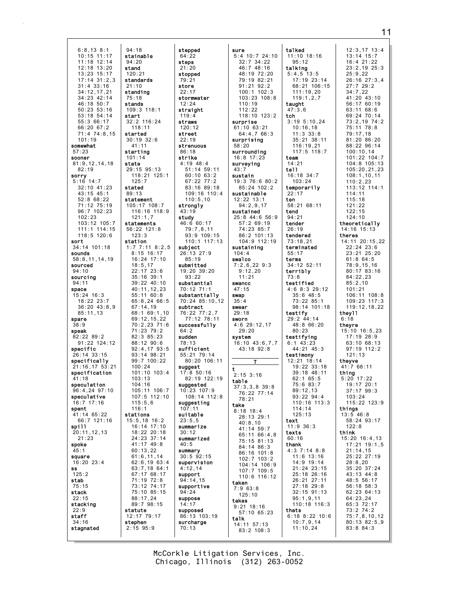$6:8,13.8:1$  $94:18$  $10:15$  11:17 stainable  $11:18$  12:14  $94:20$  $12:18$  13:20 stand  $13:23$   $15:17$  $120:21$  $17:14$   $31:2.3$ standards  $31 \cdot 4 \cdot 33 \cdot 16$  $21:10$ 34:12.17.21 standing  $34:23$   $42:14$  $75:18$  $46.18.50.7$ stands  $50:23:53:16$  $109:3$  118:1 53:18 54:14 start  $32.2$  116.24  $55:366:17$ 66:20 67:2  $118:11$  $71:474:8,15$ started  $101 \cdot 19$  $30:19$   $32:6$ somewhat  $41:11$  $57.23$ starting  $101:14$ sooner  $81:9, 12, 14, 18$ state  $82:19$  $29:15$   $95:13$ sorry 118:21 125:1  $5:16$  14:7  $125:7$ 32:10 41:23 stated 43:15 45:1  $89:13$ 52:8 68:22 statement 71:12 75:19 105:17 108:7 96:7 102:23 116:16 118:9  $102.23$  $121:1.7$ 103:12 105:7 statements 111:1 114:15 56:22 121:8  $118:5$   $120:6$  $123.3$ sort station 34:14 101:18  $1:7$  7:11 8:2,5  $8:15$  16:17 sounds  $58:8, 11, 14, 19$  $16:24$  17:10 sourced  $18:5.17$  $22:17$  23:6  $94:10$ sourcina  $35:16$  39:1 39:22 40:10  $94:11$ 40:11,12,23 space  $15:24$  16:3  $55:1160:8$ 18:22 23:7  $65:8,2466:5$  $36:20$  43:8.9  $67:14.19$  $85:11.13$ 68:1 69:1.10  $69:12, 15, 22$ spare  $70:2.23.71:6$  $38:9$  $71:23$   $79:2$ speak  $82:22$   $89:2$  $82:385:23$  $88:12$  90:6  $91:22$   $124:12$ specific  $92:4.17$   $93:5$  $93:14.98:21$  $26:14$  33:15 specifically  $99:7 100:22$  $100:24$  $21.16$  17 53 21 specification  $101:10$   $103:4$  $41:18$  $103.13$ speculation  $104.16$  $105:11$   $106:7$ 96:4.24.97:10 speculative 107:5 112:10  $16.7$  17.16  $115:5.6$ spent  $116:1$ 41:14 65:22 stations 66:7 121:16 15:5,18 16:2 spill 16:14 17:10  $20:11, 12, 13$ 18:22 20:18  $21:23$ 24:23 37:14 spoke 41:17 49:8  $60:13.22$  $61:6, 11, 14$ square  $62:6, 19 63:4$  $16:20$  23:4 **ss**  $63:7,18$  64:1  $125:2$  $67:1768:17$ stab 71:19 72:8  $75:15$ 73:12 74:17 stack 75:10 85:15  $88:17,24$  $22:15$ 89:7 98:15 stacking  $22:9$ statute 12:17 79:17 staff  $34:16$ stephen stagnated  $2:15$  95:9

stepped  $64:22$ steps  $21:20$ stopped  $79:21$ store  $22:17$ stormwater  $12.24$ straight  $119:4$ straws  $120:12$ street  $22:19$ strenuous  $86.18$ strike  $4:19$   $48:4$  $51:14$  59:11  $60:10$   $63:2$ 67:22 77:2  $83.16$   $89.18$ 109:16 110:4  $110:5.10$ strongly  $43:19$ study  $46:660:17$  $79:7,8,11$  $93:9,109:15$  $110:1$   $117:13$ subject 26:13 27:9  $85:19$ submitted 19:20 39:20  $93:22$ substantial 70:12 71:1 substantially 70:24 85:10.12 subtract 76:22 77:2.7  $77:12$  78:11 successfully  $64:2$ sudden  $78:13$ sufficient  $55:21$  79:14  $80:20$  106:11 suggest  $17:8$  50:16  $82:19$  122:19 suggested  $10:23$  107:9 108:14 112:8 suggesting  $107 \cdot 1$ suitable  $23:5.5$ summarize  $30:12$ summarized  $40:5$ summary  $30:5$   $92:15$ supervision  $4:12.14$ support  $94:14.15$ supportive  $94:24$ suppose  $14:17$ supposed 86:13 103:19 surcharge  $70:13$ 

sure  $5:4$  10:7 24:10  $32:7$   $34:22$  $46:7$  48:16  $48:19$  72:20 79:19 82:21  $91.21$   $92.2$  $100:1$  102:3 103:23 108:8  $110.19$  $112:22$  $118:10$   $123:2$ surprise  $61:10$   $63:21$  $64:4.766:3$ surprising  $58:20$ surrounding  $16:8$  17:23 surveying  $43.7$ sustain 19:3 76:6 80:2  $85:24$  102:2 sustainable  $12:22$  13:1  $94:2,9,17$ sustained  $25:8$  44:6 56:9 57:2 69:19 74:23 85:7 86:2 101:13  $104:9$  112:19 sustaining  $104:4$ swalco  $7:2,6,22$  9:3  $9:12,20$  $11:21$ swancc  $47:15$ swan  $35 \cdot 4$ swear  $29:18$ sworn  $4:6$  29:12,17  $29:20$ svstem  $16:10$   $43:6.7.7$ 43:18 92:8  $2:15$  3:16 table  $37:3,3,8$  39:8 76:22 77:14  $78:21$ take  $8:18$  18:4 28:13 29:1  $40:8,10$  $41:14$  59:7 65:11 66:4.8 75:15 81:13 84:14 86:3 86:16 101:8  $102:7$   $103:2$  $104:14$  106:9 107:7 109:5<br>110:6 116:12 taken  $7:963:8$  $125:10$ takes  $9:21$  18:16  $57:10$  65:23 talk 14:11 57:13  $83:2$  108:3

talked  $11:10$  18:16  $13:14$  15:7  $16:4$  21:22  $95:12$ talking  $5:4,5$  13:5  $25:9.22$  $17:19$  23:14  $68:21$  106:15  $27:7$  29:2  $111:19.20$  $34:7.22$  $119:1,2,7$ taught  $47:3.6$  $63:11.68:6$ tch 69:24 70:14  $3:195:10.24$  $73:2.1974:2$  $10:16.18$ 75:11 78:8  $11:3$  33:8  $79:17,18$  $35:21$   $38:11$ 81:20 86:20 116:19.21  $88:22996:14$  $117.5$   $118.7$  $100:10.14$ 101:22 104:7 team  $14:21$ 104:8 105:13  $tel1$  $105:20.21.23$ 16:18 34:7  $108:1, 10, 11$  $103:24$  $110:2,23$ temporarily  $113:12$   $114:1$  $114:11$  $22:17$ ten  $115:18$ 58:21 68:11  $121:22$ tend  $122:15$  $94:21$  $124:10$ tender theoretically  $26:19$ 14:16 15:13 tendered theres 14:11 20:15,22  $73:18,21$ terminated 22:24 23:6  $23:21$   $25:20$  $55:17$ terms  $61:8$  64:5 34:12 52:11 78:9,15,16 terribly  $80:17$   $83:16$  $84:22,23$  $73:8$ testified  $85:2.10$  $4:68:329:12$  $101:21$  $35:6$  48:5  $106:11$   $108:8$ 73:22 85:1 109:23 117:3 98:14 101:18 119:12.18.22 they11 testify 29:2 44:14  $6:18$  $48:8$  66:20 theyre  $15:10$  16:5,23  $80:23$  $17.19 28.9$ testifying  $63:10.68:13$  $6:1$  43:23  $44.21$   $45.3$  $97:19$  112:2  $121:13$ testimony  $12:21$   $18:14$ theyve  $19:22$  33:18 41:7 68:11  $39:18$  48:11 thing  $5:20$  17:22  $62:165:5$  $19:17$  20:1  $75.683.7$  $37:17$  99:3  $89:12.13$  $93:22$   $94:4$  $103:24$  $115.22 123.0$  $110 \cdot 16$   $113 \cdot 3$  $114:14$ things  $125:13$  $13:5$  46:8<br>58:24 93:17 text  $11:9.36:3$  $122:8$ texts think  $60:16$ 15:20 16:4,13 thank 17:21 19:1,5  $4:3$  7:14 8:8  $21:14.15$  $11:6$  13:16 25:22 27:19 14:9 19:14  $28:8,20$  $21:24$   $23:15$  $35:20$  37:24 25:18 26:16 43:13 44:8  $26:21$   $27:11$ 48:5 56:17  $27:18$  29:8 56:18 58:3 62:23 64:13 32:15 91:13  $95:1,9,11$  $64:23,24$ 110:18 116:3 65:3 72:17 thats 73:2 74:2  $6:18$   $8:22$   $10:6$  $75:7,8,10,12$  $10:7,9,14$  $80:13.82:5.9$  $11:10,24$ 83:8 84:3

 $12:3,17$   $13:4$  $23:2.19$   $25:3$  $26:16$   $27:3.4$ 41:20 43:10  $56.1760.19$ 

 $11$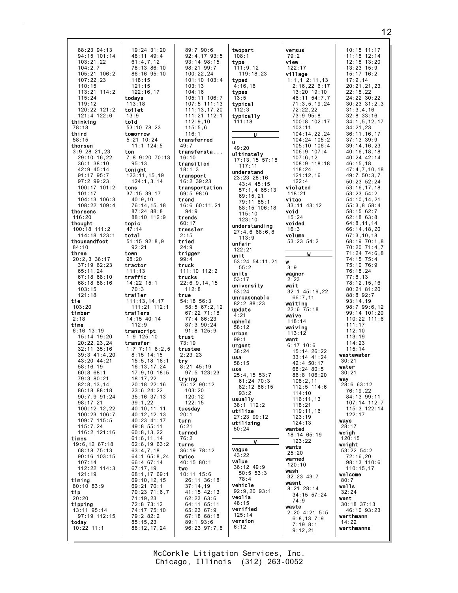19:24 31:20 88:23 94:13  $94:15$  101:14 48:11 49:4  $61:4.7.12$  $103:21.22$ 78:13 86:10  $104:2.7$  $105:21 106:2$ 86:16 95:10  $107:22.23$  $118:15$  $110.15$  $121.15$  $113:21$   $114:2$  $122:16.17$  $115.24$ todavs  $119.12$  $113:18$  $120:22$   $121:2$ toilet 121:4 122:6  $13:9$ thinking told 53:10 78:23  $78:18$ third tomorrow  $5:21$  10:24  $58:15$ thorsen  $11:1$  124:5  $3:9$  28:21,23 ton 7:8 9:20 70:13 29:10,16,22  $36:1$   $38:10$  $95:13$ 42:9 45:14 tonight  $91:17$   $95:7$ 123:11, 15, 19 97:2 99:23  $124:1,3,14$ 100:17 101:2 tons  $101:17$ 37:15 39:17 104:13 106:3  $40:9,10$  $108:22$   $109:4$  $76:14, 15, 18$  $87:24$   $88:8$ thorsens 88:10 112:9  $116:20$ thought topic 100:18 111:2  $47:14$ 114:18 123:1 total thousandfoot  $51:15$   $92:8,9$  $92:21$  $84:10$ three town  $20:2,3$  36:17  $98:20$ 37:19 62:23 tractor  $65:11,24$  $111:13$ 67:18 68:10 traffic 68:18 88:16  $14:22$  15:1  $70:3$  $103:15$  $121:18$ trailer 111:13.14.17 tie  $103:20$  $111:21$   $112:1$ timber trailers  $2:18$  $14:15$  40:14  $112:9$ time  $6:16$  13:19 transcript  $15:14$  19:20  $1.9125.10$  $20:22.23.24$ transfer 1:7 7:11 8:2,5<br>8:15 14:15  $32:11$   $35:16$  $39:3$  41:4.20 43:20 44:21  $15:5.18$  16:1  $16:13, 17.24$  $58.16$  19  $60:868:1$  $17:9,10$  18:5 79:3 80:21  $18:17,22$  $20.18$   $22.16$  $82:8.13.14$ 86:18 88:18  $23:6$  24:22 90:7,9 91:24 35:16 37:13  $98.1721$  $39.122$  $100:12,12,22$ 40:10,11,11 100:23 106:7  $40:12,12,13$ 40:23 41:17 109:7 115:5  $115:7,24$ 49:8 55:11 116:2 121:16  $60:8,13,22$  $61:6, 11, 14$ times 19:6,12 67:18  $62:6, 1963:2$ 68:18 75:13  $63:4,7,18$ 90:16 103:15  $64:1$  65:8,24  $107:14$ 66:4 67:14  $112:22$   $114:3$  $67:17,19$  $121:19$ 68:1, 17 69:1 timing 69:10,12,15  $80:10$   $83:9$ 69:21 70:1 70:23 71:6,7 tip  $20:20$  $71:19,23$ 72:8 73:12 tipping  $13:11$  95:14 74:17 75:10 97:19 112:15 79:2 82:2 today  $85:15,23$  $10:22$  11:1 88:12,17,24

 $89:790:6$  $92:4.17$   $93:5$  $93:14$   $98:15$ 98:21 99:7  $100:22,24$  $101:10$   $103:4$  $103.13$  $104:16$ 105:11 106:7  $107:5$  111:13  $111:13.17.20$ 111:21 112:1  $112:9.10$  $115:5.6$  $116:1$ transferred  $49:7$ transfersta...  $16:10$ transition  $18:1,3$ transport 16:2 39:23 transportation  $69:5.98:6$ trend 16:6 60:11,21  $94:9$ trends  $60:17$ tressler  $2:15$ tried  $24:9$ trigger  $99:4$ truck  $111:10$   $112:2$ trucks  $22:6,9,14,15$  $112:8$ true  $54:18$  56:3  $58:567:2.12$  $67:22$   $71:18$  $77:486:23$  $87:390:24$  $91:8$  125:9 trust  $73:19$ trustee  $2:23.23$  $try$ <br>8:21 45:19  $97:5$  123:23 trying 75:12 90:12  $103:20$  $120:12$  $122.15$ tuesday  $20:1$ turn  $6:21$ turned  $76:2$ turns 36:19 78:12 twice 40:15 80:1 two  $10:11$   $15:6$ 26:11 36:18  $37:14.19$ 41:15 42:13  $62:2363:6$ 64:11 65:11 65:23 67:9 67:18 68:18 89:1 93:6 96:23 97:7,8

| , | twopart<br>108:1<br>type                  |
|---|-------------------------------------------|
| ļ | 111:9,12<br>119:18,23<br>typed<br>4:16,16 |
|   | types<br>13:5                             |
| ļ | typical<br>112:3                          |
|   | typically<br>111:18                       |
|   | . U                                       |
|   | u<br>49:20                                |
|   | ultimately<br>57:18<br>17:13,15<br>117:11 |
|   | understand<br>23:23 28:16                 |
|   | $43:4$ $45:15$<br>57:1,4 65:13            |
|   | 69:15,21<br>79:11<br>85:1                 |
|   | $.5$ $.5$ $.5$ $.18$<br>115:10            |
|   | 123:10                                    |
|   | understanding<br>27:4,6 68:6,8<br>113:9   |
|   | unfair<br>122:21                          |
|   | unit<br>53:24 54:11,21                    |
|   | 55:2<br>units                             |
|   | 53:17<br>university                       |
|   | 53:24<br>unreasonab1e                     |
|   | 82:2 88:23<br>update                      |
|   | 4:21<br>upheld                            |
|   | 58:12<br>urban                            |
|   | 99:1<br>urgent                            |
|   | 38:24<br>usa                              |
|   | 58:15<br>use                              |
|   | 4, 15 53:7<br>25:                         |
|   | $61:24$ 70:3<br>82:12 86:15<br>93:2       |
|   | usuallv<br>38:1 112:2                     |
|   | utilize<br>27:23 99:12                    |
|   | utilizing<br>50:24                        |
|   | ٧                                         |
|   | vague<br>43:22                            |
|   | value<br>36:12 49:9                       |
|   | 50:5<br>53:3<br>78:4                      |
|   | vehicle<br>$92:9,20$ $93:1$               |
|   | veolia<br>48:15                           |
|   | verified<br>125:14                        |
| ì | version<br>6:12                           |

versus  $79:2$ view  $122:17$ village  $1:1,1$  2:11,13  $2.16$  22 6.17  $13:20$  19:10 46:11 54:7.7  $71:3.5.19.24$  $72:22.22$  $73:995:8$ 100:8 102:17  $103:11$ 104:14,22,24  $104:24$   $105:2$  $105:10$   $106:4$  $106:9$  107:4  $107:6.12$ 108:9 118:18  $118.24$  $121:12,16$  $122:4$ violated  $118:21$ vitae  $33:11$   $43:12$ void  $15:24$ voided  $16:3$ volume 53:23 54:2  $\overline{M}$ w  $3:9$ wagner  $2:23$ wait  $32:1$  45:19.22  $66:7,11$ waiting  $22.6$   $75.18$ waive  $118:14$ waiving  $113:12$ want  $6:17$  10:6  $15:14$   $26:22$ 33:14 41:24 42:4 50:17 68:24 80:5 86:8 106:20  $108:2,11$ 112:5 114:6  $114:10$  $116:11,13$  $118:21$ 119:11,16  $123:19$  $124:13$ wanted 18:14 65:19  $123:22$ wants  $25:20$ warned  $120:10$ wash  $32:23$  43:7 wasnt  $8:21$  28:14 34:15 57:24  $74:9$ waste  $2:20$  4:21 5:5  $6:8,13$  7:9  $7:19$  8:1  $9:12.21$ 

 $10:15$  11:17  $11:18$  12:14  $12:18$   $13:20$  $13:23$   $15:9$  $15:17$   $16:2$  $17:9, 14$ <br> $20:21.21.23$  $22:18.22$ 24:22 30:22  $30.23$   $31.2$  3  $31:3.4.16$  $32:8$   $33:16$  $34:1.5.12.17$  $34:21,23$  $36:11, 16, 17$  $37:13$  39:9  $39:14, 16, 23$  $40:16, 18, 18$ 40:24 42:14 46:15,18<br>47:4,7,10,18 49:7 50:3,7 50:23 52:24  $53:16, 17, 18$  $53:23.54:2$  $54:10, 14, 21$  $55:3, 8$   $58:4$  $58:1562:7$ 62:18 63:8  $64:8, 11, 14$  $66:14, 18, 20$  $67:3,10,18$ 68:19 70:1,8 70:20 71:4,7  $71:24$   $74:6.8$ 74:15 75:4 75:10 76:9  $76:18,24$  $77:8,13$  $78:12.15.16$  $80:21$   $81:20$ 88:8 92:7  $93:14.19$  $98:799:6.12$  $99:14$  101:20  $110:22$  111:6  $111:17$  $112:10$  $113.19$  $114:23$  $115:14$ wastewater  $30:21$ water  $30:21$ way  $28:6$  63:12 76:19.22 84:13 99:11  $107.14$   $112.7$ 115:3 122:14  $122:17$ ways  $28:17$ weigh  $120:15$ weight  $53:22$   $54:2$  $72:16,20$ 98:13 110:6  $110:15.17$ welcome  $80:7$ wells  $32:24$ went  $30:18$  37:13  $46:10.93:23$ werthmann  $14:22$ werthmanns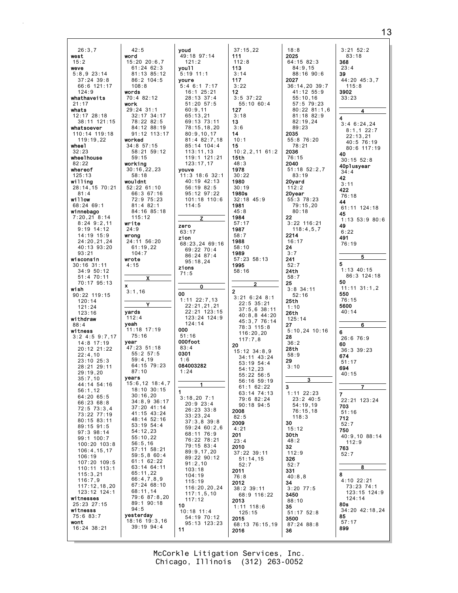$26:3.7$  $42:5$ west word  $15:20$  20:6.7  $15:2$  $61:24$  62:3 weve  $5:8,9$  23:14  $81:13$   $85:12$  $37:24$  39:8  $86:2 104:5$  $66:6$  121:17  $108.8$  $124:9$ mords whathaveite 70:4 82:12  $21.17$ work 29:24 31:1 whats 32:17 34:17<br>78:22 82:5 12:17 28:18 38:11 121:15 whatsoever 84:12 88:19 110:14 119:18 91:12 113:17  $119:19.22$ worked wheel 34:8 57:15  $32.23$  $58.21$   $59.12$ wheelhouse  $59:15$ working  $82:22$  $30:16, 22, 23$ whereof  $125:13$  $58:18$ willing wouldnt 28:14, 15 70:21  $52:22$  61:10  $81:4$ 66:3 67:16 willow 72:9 75:23 68:24 69:1  $81:482:1$ winnebago 84:16 85:18  $7:20,21$  8:14  $115:12$  $8:24$  9:2,11 write  $9:19$  14:12  $24:9$ 14:19 15:9 wrong 24:20,21,24 24:11 56:20 40:13 93:20  $61:19,22$  $93:21$  $104:7$ wisconsin wrote  $30:16$  31:11  $4:15$  $34:9$   $50:12$  $51:470:11$ 70:17 95:13 wish  $3:1.16$ 90:22 119:15  $120:14$  $121:24$ yards  $123:16$ withdraw  $112:4$ veah  $88:4$ 11:18 17:19 witness  $3:2$  4:5 9:7.17  $75:16$ year  $14:8$  17:19 47:23 51:18 20:12 21:22  $55:2$  57:5  $22:4.10$  $59:4,19$ 23:10 25:3<br>28:21 29:11  $64:15$  79:23  $87:10$  $29:19.20$ years  $35:7.10$ 15:6,12 18:4,7  $44:14$  54:16  $18:10$  30:15  $56:1.12$  $30:16,20$ 64:20 65:5  $34:8.9.36:17$  $66.23.68.8$  $37:20$  41:14  $72:5 73:3,4$  $41:15$   $43:24$ 73:22 77:19 48:14 52:16 80:15 83:11 53:19 54:4 89:15 91:5  $54:12,23$ 97:3 98:14  $55:10,22$ 99:1 100:7 56:5,16<br>57:11 58:21 100:20 103:8  $106:4, 15, 17$  $59:5.860:4$  $106:19$  $61:1$  62:22 107:20 109:5 63:14 64:11 110:11 113:1  $115:3,21$  $65:11.22$  $116:7,9$ 66:4,7,8,9  $67.24$   $68.10$  $117:12,18,20$  $123:12$   $124:1$  $68:11.14$ 79:6 87:8,20 witnesses 89:1 90:18 25:23 27:15  $94:5$ witnesss 75:6 83:7 yesterday 18:16 19:3.16 wont 39:19 94:4 16:24 38:21

voud  $37:15,22$ 49:18 97:14 111  $112:8$  $121:2$ vou11 113  $5:19$  11:1  $3:14$ 117 youre  $5:4$  6:1 7:17  $3:22$  $16:1$   $25:21$  $12<sup>2</sup>$  $3:5$  37:22  $28:13$  37:4  $55:10.60:4$  $51 \cdot 20$   $57 \cdot 5$  $60:9.11$ 127  $65:13,21$  $3:18$ 69:13 73:11 13  $3:6$ 78:15.18.20  $80:9,10,17$  $14$ 81:4 82:7.18  $10:1$ 85:14 104:4 15  $113 \cdot 11$  13  $10:2.2.1161:2$ 119:1 121:21  $15th$  $123:17,17$  $48:3$ 1978 youve  $30:22$  $11:3$  18:6 32:1 40:19 42:13 1980  $56:1982:5$  $30:19$ 95:12 97:22 1980s 101:18 110:6  $32:18$  45:9  $114:5$ 1981  $45:8$ 1984  $57:17$ zero 1987 63:17  $58:7$ zion 1988 68:23,24 69:16  $58:10$  $69:2270:4$ 1989  $86:24$   $87:4$ 57:23 58:13  $95:18.24$ 1995 zions  $58:16$  $71:5$  $\mathbf{c}$  $\Omega$  $\overline{2}$ 00  $3:21$  6:24 8:1  $1:11$   $22:7.13$  $22:5.35:21$  $22:21,21,21$  $37:5,6$  38:11 22:21 123:15  $40:8.844:20$ 123:24 124:9 45:3,7 76:14  $124:14$ 78:3 115:8 000  $116:20,20$  $51:16$  $117:7,8$ 000foot 20  $83:4$  $15:12$   $34:8,9$ 0301 34:11 43:24  $1:6$ 53:19 54:4 084003282  $54:12,23$  $1:24$  $55.22.56.5$ 56:16 59:19  $61:1$  62:22 63:14 74:13  $3:18.207:1$ 79:6 82:24  $20:9$  23:4  $90:18$   $94:5$  $26:23:33:8$ 2008  $33:23.24$  $82:5$  $37:3.839:8$ 2009  $59:24$  60:2.6  $4:21$ 68:11 76:9 201 76:22 78:21  $23:4$  $79:15.83:4$ 2010  $89:9,17,20$ 37:22 39:11  $89.22990.12$  $51:14.15$  $91:2.10$  $52:7$  $103:18$ 2011  $104:19$  $76.8$  $115:19$ 2012 116:20,20,24  $38:2$  39:11  $117:1,5,10$ 68:9 116:22  $117:12$ 2013  $10$  $1:11$   $118:6$  $10:18$  11:4  $125:15$ 54:19 70:12  $2015$  $95:13$   $123:23$ 68:13 76:15,19

 $18:8$ 2025  $64:15$  82:3 368  $84:9.15$  $88:16$  90:6 39 2027  $36:14.20.39:7$  $41:12.55:9$ 3902  $55:10,16$  $57.579.23$  $80:22.81:1.6$ 81:18 82:9  $\overline{\mathbf{4}}$  $82:19.24$  $89:23$ 2035  $55:876:20$  $78:21$ 2036 40  $76:15$ 2040  $51:18$   $52:2,7$  $83:19$ 42 20yard  $3:11$  $112:2$ 422 20vear 55:3 78:23 44  $79:15,20$  $80:18$ 45 22  $3:22$  116:21 49  $118:4,5,7$ 2214 491  $16:17$  $24$  $3:7$ 241 5  $52:7$  $24th$  $58:7$ 50  $25$  $3:8$  34:11 550  $52:16$  $25<sub>th</sub>$ 5600  $1:10$  $26th$  $125:14$ 27  $5:10, 24$  10:16 6  $28$  $36:2$ 60  $2R<sub>th</sub>$  $58:9$ 674 29  $3.10$ 694 3  $1:11$  22:23  $\overline{7}$  $23:2$  40:5  $54:19,19$ 703  $76:15,18$  $118:3$ 712 30  $15:12$ 750 30th  $48:2$ 32 763  $112:9$  $52:7$ 326  $52:7$ 331 8  $40.8R$  $4:10.22:21$ 34 73:23 74:1  $3:20$  77:5 123:15 124:9 3450  $124:14$  $88:10$ 80s  $35$ 34:20 42:18,24  $51:17$   $52:8$ 85 3500  $57:17$  $87:24$   $88:8$ 899 36

 $3:21$   $52:2$  $83:18$  $23:4$ 44:20 45:3.7  $115.8$  $33:23$  $3:46:24,24$  $8:1,1$  22:7  $22:13,21$  $40:5$  76:19 80:6 117:19  $30.15.52.8$ 40plusyear  $34:4$  $76:18$ 61:11 124:18  $1:13$  53:9 80:6  $6:22$ 76:19  $1:13$  40:15 86:3 124:18  $11:11$   $31:1,2$  $76:15$  $40:14$ 6  $26:676:9$  $36:3$  39:23  $51:17$  $40:15$  $22.21$   $123.24$  $51:16$  $52:7$ 40:9,10 88:14  $112:9$ 8

McCorkle Litigation Services, Inc. Chicago, Illinois (312) 263-0052

2016

 $11$